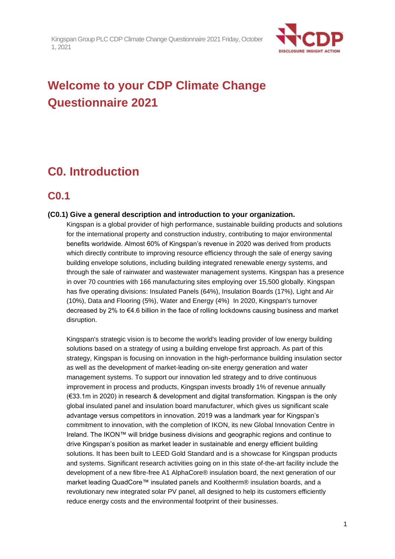

# **Welcome to your CDP Climate Change Questionnaire 2021**

# **C0. Introduction**

# **C0.1**

## **(C0.1) Give a general description and introduction to your organization.**

Kingspan is a global provider of high performance, sustainable building products and solutions for the international property and construction industry, contributing to major environmental benefits worldwide. Almost 60% of Kingspan's revenue in 2020 was derived from products which directly contribute to improving resource efficiency through the sale of energy saving building envelope solutions, including building integrated renewable energy systems, and through the sale of rainwater and wastewater management systems. Kingspan has a presence in over 70 countries with 166 manufacturing sites employing over 15,500 globally. Kingspan has five operating divisions: Insulated Panels (64%), Insulation Boards (17%), Light and Air (10%), Data and Flooring (5%), Water and Energy (4%) In 2020, Kingspan's turnover decreased by 2% to €4.6 billion in the face of rolling lockdowns causing business and market disruption.

Kingspan's strategic vision is to become the world's leading provider of low energy building solutions based on a strategy of using a building envelope first approach. As part of this strategy, Kingspan is focusing on innovation in the high-performance building insulation sector as well as the development of market-leading on-site energy generation and water management systems. To support our innovation led strategy and to drive continuous improvement in process and products, Kingspan invests broadly 1% of revenue annually (€33.1m in 2020) in research & development and digital transformation. Kingspan is the only global insulated panel and insulation board manufacturer, which gives us significant scale advantage versus competitors in innovation. 2019 was a landmark year for Kingspan's commitment to innovation, with the completion of IKON, its new Global Innovation Centre in Ireland. The IKON™ will bridge business divisions and geographic regions and continue to drive Kingspan's position as market leader in sustainable and energy efficient building solutions. It has been built to LEED Gold Standard and is a showcase for Kingspan products and systems. Significant research activities going on in this state of-the-art facility include the development of a new fibre-free A1 AlphaCore® insulation board, the next generation of our market leading QuadCore™ insulated panels and Kooltherm® insulation boards, and a revolutionary new integrated solar PV panel, all designed to help its customers efficiently reduce energy costs and the environmental footprint of their businesses.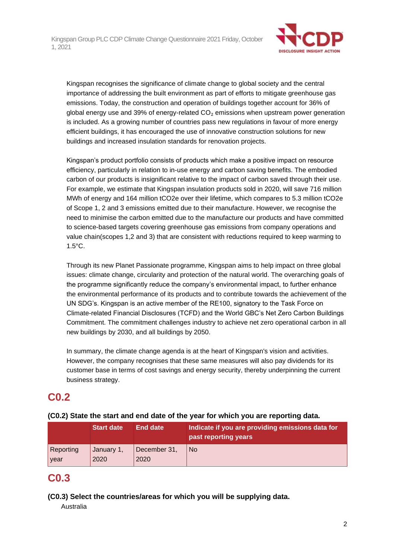

Kingspan recognises the significance of climate change to global society and the central importance of addressing the built environment as part of efforts to mitigate greenhouse gas emissions. Today, the construction and operation of buildings together account for 36% of global energy use and 39% of energy-related  $CO<sub>2</sub>$  emissions when upstream power generation is included. As a growing number of countries pass new regulations in favour of more energy efficient buildings, it has encouraged the use of innovative construction solutions for new buildings and increased insulation standards for renovation projects.

Kingspan's product portfolio consists of products which make a positive impact on resource efficiency, particularly in relation to in-use energy and carbon saving benefits. The embodied carbon of our products is insignificant relative to the impact of carbon saved through their use. For example, we estimate that Kingspan insulation products sold in 2020, will save 716 million MWh of energy and 164 million tCO2e over their lifetime, which compares to 5.3 million tCO2e of Scope 1, 2 and 3 emissions emitted due to their manufacture. However, we recognise the need to minimise the carbon emitted due to the manufacture our products and have committed to science-based targets covering greenhouse gas emissions from company operations and value chain(scopes 1,2 and 3) that are consistent with reductions required to keep warming to 1.5°C.

Through its new Planet Passionate programme, Kingspan aims to help impact on three global issues: climate change, circularity and protection of the natural world. The overarching goals of the programme significantly reduce the company's environmental impact, to further enhance the environmental performance of its products and to contribute towards the achievement of the UN SDG's. Kingspan is an active member of the RE100, signatory to the Task Force on Climate-related Financial Disclosures (TCFD) and the World GBC's Net Zero Carbon Buildings Commitment. The commitment challenges industry to achieve net zero operational carbon in all new buildings by 2030, and all buildings by 2050.

In summary, the climate change agenda is at the heart of Kingspan's vision and activities. However, the company recognises that these same measures will also pay dividends for its customer base in terms of cost savings and energy security, thereby underpinning the current business strategy.

# **C0.2**

# **(C0.2) State the start and end date of the year for which you are reporting data.**

|           | <b>Start date</b> | End date     | Indicate if you are providing emissions data for<br>past reporting years |
|-----------|-------------------|--------------|--------------------------------------------------------------------------|
| Reporting | January 1,        | December 31, | l No                                                                     |
| year      | 2020              | 2020         |                                                                          |

# **C0.3**

**(C0.3) Select the countries/areas for which you will be supplying data.**

Australia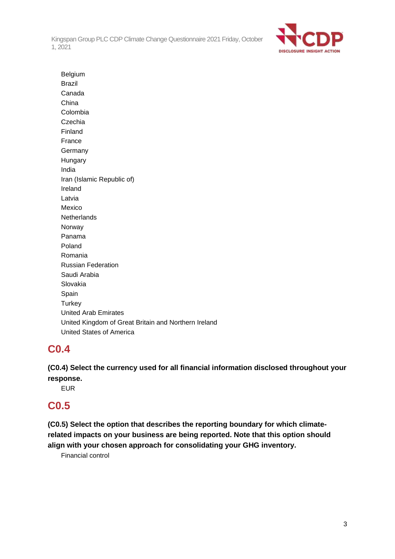

Belgium Brazil Canada China Colombia Czechia Finland France Germany Hungary India Iran (Islamic Republic of) Ireland Latvia Mexico **Netherlands** Norway Panama Poland Romania Russian Federation Saudi Arabia Slovakia Spain **Turkey** United Arab Emirates United Kingdom of Great Britain and Northern Ireland United States of America

# **C0.4**

**(C0.4) Select the currency used for all financial information disclosed throughout your response.**

EUR

# **C0.5**

**(C0.5) Select the option that describes the reporting boundary for which climaterelated impacts on your business are being reported. Note that this option should align with your chosen approach for consolidating your GHG inventory.**

Financial control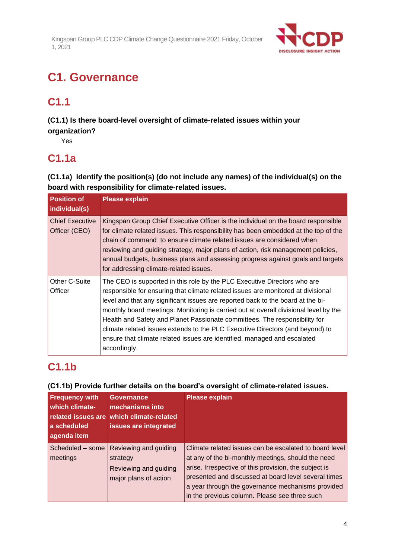

# **C1. Governance**

# **C1.1**

**(C1.1) Is there board-level oversight of climate-related issues within your organization?**

Yes

# **C1.1a**

**(C1.1a) Identify the position(s) (do not include any names) of the individual(s) on the board with responsibility for climate-related issues.**

| <b>Position of</b><br>individual(s)     | <b>Please explain</b>                                                                                                                                                                                                                                                                                                                                                                                                                                                                                                                                                                              |
|-----------------------------------------|----------------------------------------------------------------------------------------------------------------------------------------------------------------------------------------------------------------------------------------------------------------------------------------------------------------------------------------------------------------------------------------------------------------------------------------------------------------------------------------------------------------------------------------------------------------------------------------------------|
| <b>Chief Executive</b><br>Officer (CEO) | Kingspan Group Chief Executive Officer is the individual on the board responsible<br>for climate related issues. This responsibility has been embedded at the top of the<br>chain of command to ensure climate related issues are considered when<br>reviewing and guiding strategy, major plans of action, risk management policies,<br>annual budgets, business plans and assessing progress against goals and targets<br>for addressing climate-related issues.                                                                                                                                 |
| Other C-Suite<br>Officer                | The CEO is supported in this role by the PLC Executive Directors who are<br>responsible for ensuring that climate related issues are monitored at divisional<br>level and that any significant issues are reported back to the board at the bi-<br>monthly board meetings. Monitoring is carried out at overall divisional level by the<br>Health and Safety and Planet Passionate committees. The responsibility for<br>climate related issues extends to the PLC Executive Directors (and beyond) to<br>ensure that climate related issues are identified, managed and escalated<br>accordingly. |

# **C1.1b**

# **(C1.1b) Provide further details on the board's oversight of climate-related issues.**

| <b>Frequency with</b><br>which climate-<br>a scheduled<br>agenda item | <b>Governance</b><br>mechanisms into<br>related issues are which climate-related<br>issues are integrated | <b>Please explain</b>                                                                                                                                                                                                                                                                                                               |
|-----------------------------------------------------------------------|-----------------------------------------------------------------------------------------------------------|-------------------------------------------------------------------------------------------------------------------------------------------------------------------------------------------------------------------------------------------------------------------------------------------------------------------------------------|
| Scheduled - some<br>meetings                                          | Reviewing and guiding<br>strategy<br>Reviewing and guiding<br>major plans of action                       | Climate related issues can be escalated to board level<br>at any of the bi-monthly meetings, should the need<br>arise. Irrespective of this provision, the subject is<br>presented and discussed at board level several times<br>a year through the governance mechanisms provided<br>in the previous column. Please see three such |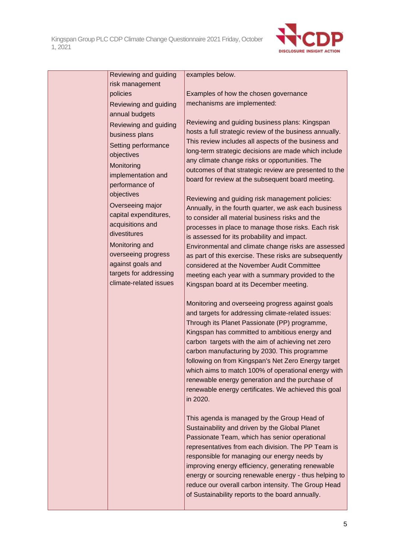

| Reviewing and guiding                    | examples below.                                                                                            |
|------------------------------------------|------------------------------------------------------------------------------------------------------------|
| risk management<br>policies              | Examples of how the chosen governance                                                                      |
| Reviewing and guiding                    | mechanisms are implemented:                                                                                |
| annual budgets                           |                                                                                                            |
| Reviewing and guiding                    | Reviewing and guiding business plans: Kingspan                                                             |
| business plans                           | hosts a full strategic review of the business annually.                                                    |
| Setting performance                      | This review includes all aspects of the business and                                                       |
| objectives                               | long-term strategic decisions are made which include                                                       |
| Monitoring                               | any climate change risks or opportunities. The                                                             |
| implementation and                       | outcomes of that strategic review are presented to the                                                     |
| performance of                           | board for review at the subsequent board meeting.                                                          |
| objectives                               | Reviewing and guiding risk management policies:                                                            |
| Overseeing major                         | Annually, in the fourth quarter, we ask each business                                                      |
| capital expenditures,                    | to consider all material business risks and the                                                            |
| acquisitions and                         | processes in place to manage those risks. Each risk                                                        |
| divestitures                             | is assessed for its probability and impact.                                                                |
| Monitoring and                           | Environmental and climate change risks are assessed                                                        |
| overseeing progress<br>against goals and | as part of this exercise. These risks are subsequently                                                     |
| targets for addressing                   | considered at the November Audit Committee                                                                 |
| climate-related issues                   | meeting each year with a summary provided to the<br>Kingspan board at its December meeting.                |
|                                          |                                                                                                            |
|                                          | Monitoring and overseeing progress against goals                                                           |
|                                          | and targets for addressing climate-related issues:                                                         |
|                                          | Through its Planet Passionate (PP) programme,                                                              |
|                                          | Kingspan has committed to ambitious energy and                                                             |
|                                          | carbon targets with the aim of achieving net zero                                                          |
|                                          | carbon manufacturing by 2030. This programme                                                               |
|                                          | following on from Kingspan's Net Zero Energy target<br>which aims to match 100% of operational energy with |
|                                          | renewable energy generation and the purchase of                                                            |
|                                          | renewable energy certificates. We achieved this goal                                                       |
|                                          | in 2020.                                                                                                   |
|                                          |                                                                                                            |
|                                          | This agenda is managed by the Group Head of                                                                |
|                                          | Sustainability and driven by the Global Planet                                                             |
|                                          | Passionate Team, which has senior operational                                                              |
|                                          | representatives from each division. The PP Team is                                                         |
|                                          | responsible for managing our energy needs by<br>improving energy efficiency, generating renewable          |
|                                          | energy or sourcing renewable energy - thus helping to                                                      |
|                                          | reduce our overall carbon intensity. The Group Head                                                        |
|                                          | of Sustainability reports to the board annually.                                                           |
|                                          |                                                                                                            |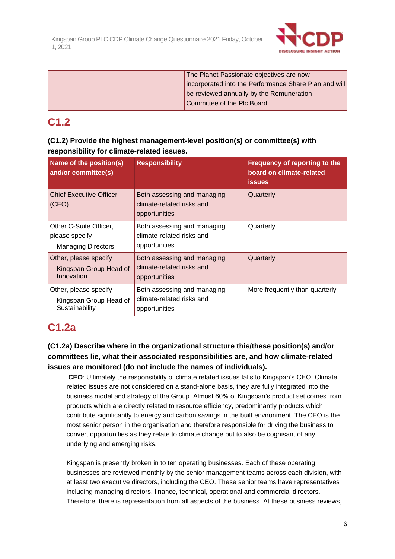

| The Planet Passionate objectives are now              |
|-------------------------------------------------------|
| incorporated into the Performance Share Plan and will |
| be reviewed annually by the Remuneration              |
| Committee of the Plc Board.                           |

# **C1.2**

| (C1.2) Provide the highest management-level position(s) or committee(s) with |  |
|------------------------------------------------------------------------------|--|
| responsibility for climate-related issues.                                   |  |

| Name of the position(s)<br>and/or committee(s)                        | <b>Responsibility</b>                                                     | Frequency of reporting to the<br>board on climate-related<br><b>issues</b> |
|-----------------------------------------------------------------------|---------------------------------------------------------------------------|----------------------------------------------------------------------------|
| <b>Chief Executive Officer</b><br>(CEO)                               | Both assessing and managing<br>climate-related risks and<br>opportunities | Quarterly                                                                  |
| Other C-Suite Officer,<br>please specify<br><b>Managing Directors</b> | Both assessing and managing<br>climate-related risks and<br>opportunities | Quarterly                                                                  |
| Other, please specify<br>Kingspan Group Head of<br>Innovation         | Both assessing and managing<br>climate-related risks and<br>opportunities | Quarterly                                                                  |
| Other, please specify<br>Kingspan Group Head of<br>Sustainability     | Both assessing and managing<br>climate-related risks and<br>opportunities | More frequently than quarterly                                             |

# **C1.2a**

# **(C1.2a) Describe where in the organizational structure this/these position(s) and/or committees lie, what their associated responsibilities are, and how climate-related issues are monitored (do not include the names of individuals).**

**CEO**: Ultimately the responsibility of climate related issues falls to Kingspan's CEO. Climate related issues are not considered on a stand-alone basis, they are fully integrated into the business model and strategy of the Group. Almost 60% of Kingspan's product set comes from products which are directly related to resource efficiency, predominantly products which contribute significantly to energy and carbon savings in the built environment. The CEO is the most senior person in the organisation and therefore responsible for driving the business to convert opportunities as they relate to climate change but to also be cognisant of any underlying and emerging risks.

Kingspan is presently broken in to ten operating businesses. Each of these operating businesses are reviewed monthly by the senior management teams across each division, with at least two executive directors, including the CEO. These senior teams have representatives including managing directors, finance, technical, operational and commercial directors. Therefore, there is representation from all aspects of the business. At these business reviews,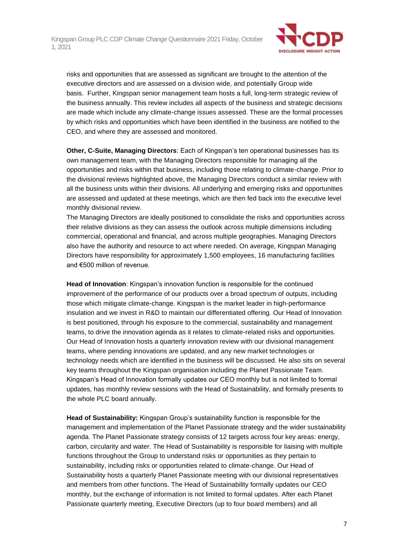

risks and opportunities that are assessed as significant are brought to the attention of the executive directors and are assessed on a division wide, and potentially Group wide basis. Further, Kingspan senior management team hosts a full, long-term strategic review of the business annually. This review includes all aspects of the business and strategic decisions are made which include any climate-change issues assessed. These are the formal processes by which risks and opportunities which have been identified in the business are notified to the CEO, and where they are assessed and monitored.

**Other, C-Suite, Managing Directors**: Each of Kingspan's ten operational businesses has its own management team, with the Managing Directors responsible for managing all the opportunities and risks within that business, including those relating to climate-change. Prior to the divisional reviews highlighted above, the Managing Directors conduct a similar review with all the business units within their divisions. All underlying and emerging risks and opportunities are assessed and updated at these meetings, which are then fed back into the executive level monthly divisional review.

The Managing Directors are ideally positioned to consolidate the risks and opportunities across their relative divisions as they can assess the outlook across multiple dimensions including commercial, operational and financial, and across multiple geographies. Managing Directors also have the authority and resource to act where needed. On average, Kingspan Managing Directors have responsibility for approximately 1,500 employees, 16 manufacturing facilities and €500 million of revenue.

**Head of Innovation**: Kingspan's innovation function is responsible for the continued improvement of the performance of our products over a broad spectrum of outputs, including those which mitigate climate-change. Kingspan is the market leader in high-performance insulation and we invest in R&D to maintain our differentiated offering. Our Head of Innovation is best positioned, through his exposure to the commercial, sustainability and management teams, to drive the innovation agenda as it relates to climate-related risks and opportunities. Our Head of Innovation hosts a quarterly innovation review with our divisional management teams, where pending innovations are updated, and any new market technologies or technology needs which are identified in the business will be discussed. He also sits on several key teams throughout the Kingspan organisation including the Planet Passionate Team. Kingspan's Head of Innovation formally updates our CEO monthly but is not limited to formal updates, has monthly review sessions with the Head of Sustainability, and formally presents to the whole PLC board annually.

**Head of Sustainability:** Kingspan Group's sustainability function is responsible for the management and implementation of the Planet Passionate strategy and the wider sustainability agenda. The Planet Passionate strategy consists of 12 targets across four key areas: energy, carbon, circularity and water. The Head of Sustainability is responsible for liaising with multiple functions throughout the Group to understand risks or opportunities as they pertain to sustainability, including risks or opportunities related to climate-change. Our Head of Sustainability hosts a quarterly Planet Passionate meeting with our divisional representatives and members from other functions. The Head of Sustainability formally updates our CEO monthly, but the exchange of information is not limited to formal updates. After each Planet Passionate quarterly meeting, Executive Directors (up to four board members) and all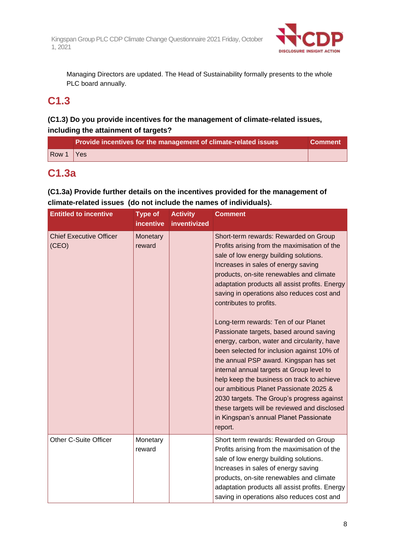

Managing Directors are updated. The Head of Sustainability formally presents to the whole PLC board annually.

# **C1.3**

# **(C1.3) Do you provide incentives for the management of climate-related issues, including the attainment of targets?**

| Row 1<br><b>Yes</b> | Provide incentives for the management of climate-related issues | <b>Comment</b> |
|---------------------|-----------------------------------------------------------------|----------------|
|                     |                                                                 |                |

# **C1.3a**

# **(C1.3a) Provide further details on the incentives provided for the management of climate-related issues (do not include the names of individuals).**

| <b>Entitled to incentive</b>            | <b>Type of</b><br><b>incentive</b> | <b>Activity</b><br>inventivized | <b>Comment</b>                                                                                                                                                                                                                                                                                                                                                                                                                                                                                                                                                                                                                                                                                                                                                                                                                                                  |
|-----------------------------------------|------------------------------------|---------------------------------|-----------------------------------------------------------------------------------------------------------------------------------------------------------------------------------------------------------------------------------------------------------------------------------------------------------------------------------------------------------------------------------------------------------------------------------------------------------------------------------------------------------------------------------------------------------------------------------------------------------------------------------------------------------------------------------------------------------------------------------------------------------------------------------------------------------------------------------------------------------------|
| <b>Chief Executive Officer</b><br>(CEO) | Monetary<br>reward                 |                                 | Short-term rewards: Rewarded on Group<br>Profits arising from the maximisation of the<br>sale of low energy building solutions.<br>Increases in sales of energy saving<br>products, on-site renewables and climate<br>adaptation products all assist profits. Energy<br>saving in operations also reduces cost and<br>contributes to profits.<br>Long-term rewards: Ten of our Planet<br>Passionate targets, based around saving<br>energy, carbon, water and circularity, have<br>been selected for inclusion against 10% of<br>the annual PSP award. Kingspan has set<br>internal annual targets at Group level to<br>help keep the business on track to achieve<br>our ambitious Planet Passionate 2025 &<br>2030 targets. The Group's progress against<br>these targets will be reviewed and disclosed<br>in Kingspan's annual Planet Passionate<br>report. |
| Other C-Suite Officer                   | Monetary<br>reward                 |                                 | Short term rewards: Rewarded on Group<br>Profits arising from the maximisation of the<br>sale of low energy building solutions.<br>Increases in sales of energy saving<br>products, on-site renewables and climate<br>adaptation products all assist profits. Energy<br>saving in operations also reduces cost and                                                                                                                                                                                                                                                                                                                                                                                                                                                                                                                                              |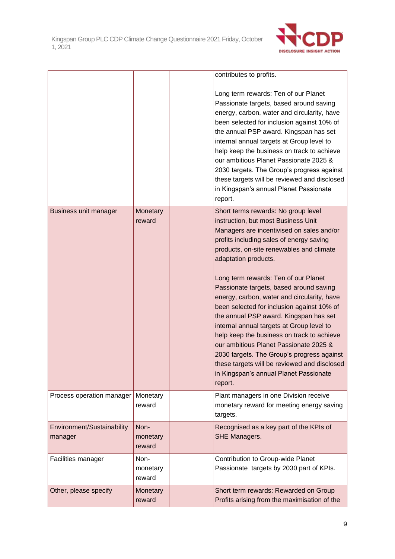

|                                       |                            | contributes to profits.                                                                                                                                                                                                                                                                                                                                                                                                                                                                                                                                                                                                                                                                                                                                   |
|---------------------------------------|----------------------------|-----------------------------------------------------------------------------------------------------------------------------------------------------------------------------------------------------------------------------------------------------------------------------------------------------------------------------------------------------------------------------------------------------------------------------------------------------------------------------------------------------------------------------------------------------------------------------------------------------------------------------------------------------------------------------------------------------------------------------------------------------------|
|                                       |                            | Long term rewards: Ten of our Planet<br>Passionate targets, based around saving<br>energy, carbon, water and circularity, have<br>been selected for inclusion against 10% of<br>the annual PSP award. Kingspan has set<br>internal annual targets at Group level to<br>help keep the business on track to achieve<br>our ambitious Planet Passionate 2025 &<br>2030 targets. The Group's progress against<br>these targets will be reviewed and disclosed<br>in Kingspan's annual Planet Passionate<br>report.                                                                                                                                                                                                                                            |
| <b>Business unit manager</b>          | Monetary<br>reward         | Short terms rewards: No group level<br>instruction, but most Business Unit<br>Managers are incentivised on sales and/or<br>profits including sales of energy saving<br>products, on-site renewables and climate<br>adaptation products.<br>Long term rewards: Ten of our Planet<br>Passionate targets, based around saving<br>energy, carbon, water and circularity, have<br>been selected for inclusion against 10% of<br>the annual PSP award. Kingspan has set<br>internal annual targets at Group level to<br>help keep the business on track to achieve<br>our ambitious Planet Passionate 2025 &<br>2030 targets. The Group's progress against<br>these targets will be reviewed and disclosed<br>in Kingspan's annual Planet Passionate<br>report. |
| Process operation manager             | Monetary<br>reward         | Plant managers in one Division receive<br>monetary reward for meeting energy saving<br>targets.                                                                                                                                                                                                                                                                                                                                                                                                                                                                                                                                                                                                                                                           |
| Environment/Sustainability<br>manager | Non-<br>monetary<br>reward | Recognised as a key part of the KPIs of<br><b>SHE Managers.</b>                                                                                                                                                                                                                                                                                                                                                                                                                                                                                                                                                                                                                                                                                           |
| Facilities manager                    | Non-<br>monetary<br>reward | Contribution to Group-wide Planet<br>Passionate targets by 2030 part of KPIs.                                                                                                                                                                                                                                                                                                                                                                                                                                                                                                                                                                                                                                                                             |
| Other, please specify                 | Monetary<br>reward         | Short term rewards: Rewarded on Group<br>Profits arising from the maximisation of the                                                                                                                                                                                                                                                                                                                                                                                                                                                                                                                                                                                                                                                                     |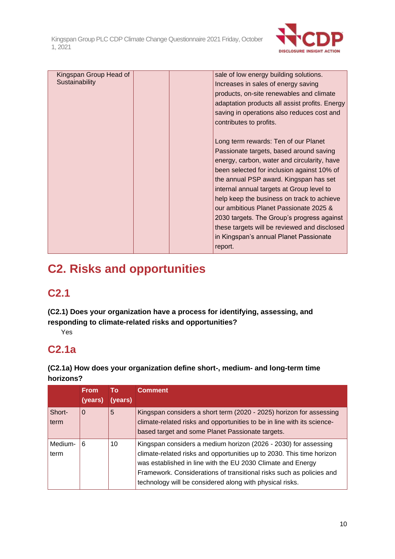

| Kingspan Group Head of |  | sale of low energy building solutions.         |
|------------------------|--|------------------------------------------------|
| Sustainability         |  | Increases in sales of energy saving            |
|                        |  | products, on-site renewables and climate       |
|                        |  | adaptation products all assist profits. Energy |
|                        |  | saving in operations also reduces cost and     |
|                        |  | contributes to profits.                        |
|                        |  |                                                |
|                        |  | Long term rewards: Ten of our Planet           |
|                        |  |                                                |
|                        |  | Passionate targets, based around saving        |
|                        |  | energy, carbon, water and circularity, have    |
|                        |  | been selected for inclusion against 10% of     |
|                        |  | the annual PSP award. Kingspan has set         |
|                        |  | internal annual targets at Group level to      |
|                        |  | help keep the business on track to achieve     |
|                        |  | our ambitious Planet Passionate 2025 &         |
|                        |  | 2030 targets. The Group's progress against     |
|                        |  | these targets will be reviewed and disclosed   |
|                        |  |                                                |
|                        |  | in Kingspan's annual Planet Passionate         |
|                        |  | report.                                        |

# **C2. Risks and opportunities**

# **C2.1**

**(C2.1) Does your organization have a process for identifying, assessing, and responding to climate-related risks and opportunities?**

Yes

# **C2.1a**

**(C2.1a) How does your organization define short-, medium- and long-term time horizons?**

|                 | <b>From</b><br>(years) | Тο<br>(years) | <b>Comment</b>                                                                                                                                                                                                                                                                                                                              |
|-----------------|------------------------|---------------|---------------------------------------------------------------------------------------------------------------------------------------------------------------------------------------------------------------------------------------------------------------------------------------------------------------------------------------------|
| Short-<br>term  | $\Omega$               | 5             | Kingspan considers a short term (2020 - 2025) horizon for assessing<br>climate-related risks and opportunities to be in line with its science-<br>based target and some Planet Passionate targets.                                                                                                                                          |
| Medium-<br>term | 6                      | 10            | Kingspan considers a medium horizon (2026 - 2030) for assessing<br>climate-related risks and opportunities up to 2030. This time horizon<br>was established in line with the EU 2030 Climate and Energy<br>Framework. Considerations of transitional risks such as policies and<br>technology will be considered along with physical risks. |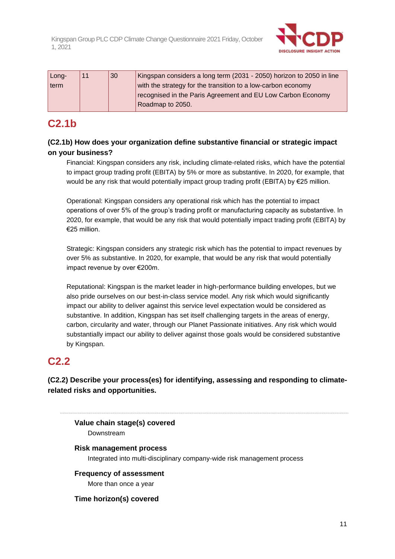

| Long- | 11 | 30 | Kingspan considers a long term (2031 - 2050) horizon to 2050 in line |
|-------|----|----|----------------------------------------------------------------------|
| term  |    |    | with the strategy for the transition to a low-carbon economy         |
|       |    |    | recognised in the Paris Agreement and EU Low Carbon Economy          |
|       |    |    | Roadmap to 2050.                                                     |

# **C2.1b**

# **(C2.1b) How does your organization define substantive financial or strategic impact on your business?**

Financial: Kingspan considers any risk, including climate-related risks, which have the potential to impact group trading profit (EBITA) by 5% or more as substantive. In 2020, for example, that would be any risk that would potentially impact group trading profit (EBITA) by €25 million.

Operational: Kingspan considers any operational risk which has the potential to impact operations of over 5% of the group's trading profit or manufacturing capacity as substantive. In 2020, for example, that would be any risk that would potentially impact trading profit (EBITA) by €25 million.

Strategic: Kingspan considers any strategic risk which has the potential to impact revenues by over 5% as substantive. In 2020, for example, that would be any risk that would potentially impact revenue by over €200m.

Reputational: Kingspan is the market leader in high-performance building envelopes, but we also pride ourselves on our best-in-class service model. Any risk which would significantly impact our ability to deliver against this service level expectation would be considered as substantive. In addition, Kingspan has set itself challenging targets in the areas of energy, carbon, circularity and water, through our Planet Passionate initiatives. Any risk which would substantially impact our ability to deliver against those goals would be considered substantive by Kingspan.

# **C2.2**

**(C2.2) Describe your process(es) for identifying, assessing and responding to climaterelated risks and opportunities.**

**Value chain stage(s) covered**

Downstream

**Risk management process**

Integrated into multi-disciplinary company-wide risk management process

**Frequency of assessment** More than once a year

**Time horizon(s) covered**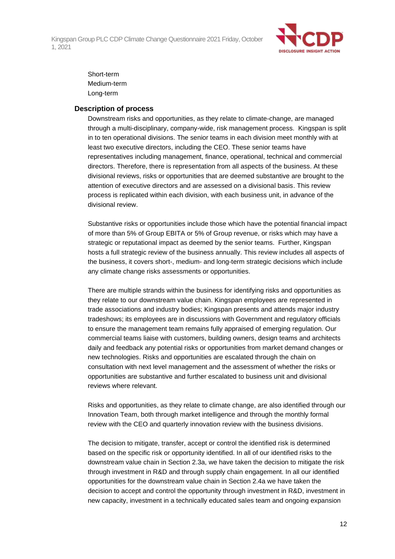

Short-term Medium-term Long-term

#### **Description of process**

Downstream risks and opportunities, as they relate to climate-change, are managed through a multi-disciplinary, company-wide, risk management process. Kingspan is split in to ten operational divisions. The senior teams in each division meet monthly with at least two executive directors, including the CEO. These senior teams have representatives including management, finance, operational, technical and commercial directors. Therefore, there is representation from all aspects of the business. At these divisional reviews, risks or opportunities that are deemed substantive are brought to the attention of executive directors and are assessed on a divisional basis. This review process is replicated within each division, with each business unit, in advance of the divisional review.

Substantive risks or opportunities include those which have the potential financial impact of more than 5% of Group EBITA or 5% of Group revenue, or risks which may have a strategic or reputational impact as deemed by the senior teams. Further, Kingspan hosts a full strategic review of the business annually. This review includes all aspects of the business, it covers short-, medium- and long-term strategic decisions which include any climate change risks assessments or opportunities.

There are multiple strands within the business for identifying risks and opportunities as they relate to our downstream value chain. Kingspan employees are represented in trade associations and industry bodies; Kingspan presents and attends major industry tradeshows; its employees are in discussions with Government and regulatory officials to ensure the management team remains fully appraised of emerging regulation. Our commercial teams liaise with customers, building owners, design teams and architects daily and feedback any potential risks or opportunities from market demand changes or new technologies. Risks and opportunities are escalated through the chain on consultation with next level management and the assessment of whether the risks or opportunities are substantive and further escalated to business unit and divisional reviews where relevant.

Risks and opportunities, as they relate to climate change, are also identified through our Innovation Team, both through market intelligence and through the monthly formal review with the CEO and quarterly innovation review with the business divisions.

The decision to mitigate, transfer, accept or control the identified risk is determined based on the specific risk or opportunity identified. In all of our identified risks to the downstream value chain in Section 2.3a, we have taken the decision to mitigate the risk through investment in R&D and through supply chain engagement. In all our identified opportunities for the downstream value chain in Section 2.4a we have taken the decision to accept and control the opportunity through investment in R&D, investment in new capacity, investment in a technically educated sales team and ongoing expansion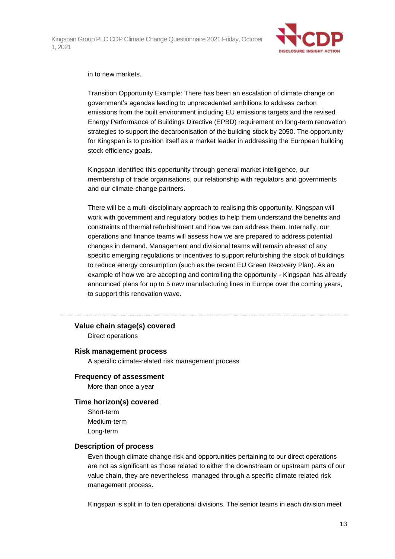

#### in to new markets.

Transition Opportunity Example: There has been an escalation of climate change on government's agendas leading to unprecedented ambitions to address carbon emissions from the built environment including EU emissions targets and the revised Energy Performance of Buildings Directive (EPBD) requirement on long-term renovation strategies to support the decarbonisation of the building stock by 2050. The opportunity for Kingspan is to position itself as a market leader in addressing the European building stock efficiency goals.

Kingspan identified this opportunity through general market intelligence, our membership of trade organisations, our relationship with regulators and governments and our climate-change partners.

There will be a multi-disciplinary approach to realising this opportunity. Kingspan will work with government and regulatory bodies to help them understand the benefits and constraints of thermal refurbishment and how we can address them. Internally, our operations and finance teams will assess how we are prepared to address potential changes in demand. Management and divisional teams will remain abreast of any specific emerging regulations or incentives to support refurbishing the stock of buildings to reduce energy consumption (such as the recent EU Green Recovery Plan). As an example of how we are accepting and controlling the opportunity - Kingspan has already announced plans for up to 5 new manufacturing lines in Europe over the coming years, to support this renovation wave.

#### **Value chain stage(s) covered**

Direct operations

#### **Risk management process**

A specific climate-related risk management process

#### **Frequency of assessment**

More than once a year

#### **Time horizon(s) covered**

Short-term Medium-term Long-term

#### **Description of process**

Even though climate change risk and opportunities pertaining to our direct operations are not as significant as those related to either the downstream or upstream parts of our value chain, they are nevertheless managed through a specific climate related risk management process.

Kingspan is split in to ten operational divisions. The senior teams in each division meet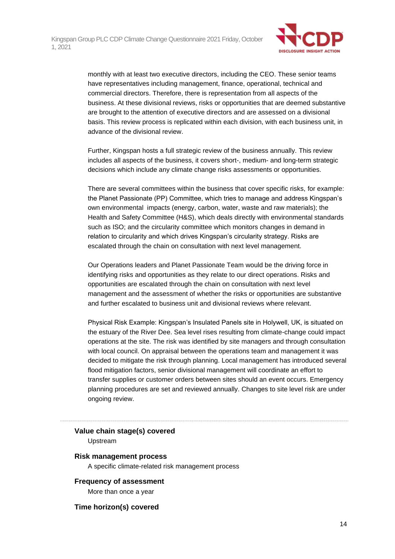

monthly with at least two executive directors, including the CEO. These senior teams have representatives including management, finance, operational, technical and commercial directors. Therefore, there is representation from all aspects of the business. At these divisional reviews, risks or opportunities that are deemed substantive are brought to the attention of executive directors and are assessed on a divisional basis. This review process is replicated within each division, with each business unit, in advance of the divisional review.

Further, Kingspan hosts a full strategic review of the business annually. This review includes all aspects of the business, it covers short-, medium- and long-term strategic decisions which include any climate change risks assessments or opportunities.

There are several committees within the business that cover specific risks, for example: the Planet Passionate (PP) Committee, which tries to manage and address Kingspan's own environmental impacts (energy, carbon, water, waste and raw materials); the Health and Safety Committee (H&S), which deals directly with environmental standards such as ISO; and the circularity committee which monitors changes in demand in relation to circularity and which drives Kingspan's circularity strategy. Risks are escalated through the chain on consultation with next level management.

Our Operations leaders and Planet Passionate Team would be the driving force in identifying risks and opportunities as they relate to our direct operations. Risks and opportunities are escalated through the chain on consultation with next level management and the assessment of whether the risks or opportunities are substantive and further escalated to business unit and divisional reviews where relevant.

Physical Risk Example: Kingspan's Insulated Panels site in Holywell, UK, is situated on the estuary of the River Dee. Sea level rises resulting from climate-change could impact operations at the site. The risk was identified by site managers and through consultation with local council. On appraisal between the operations team and management it was decided to mitigate the risk through planning. Local management has introduced several flood mitigation factors, senior divisional management will coordinate an effort to transfer supplies or customer orders between sites should an event occurs. Emergency planning procedures are set and reviewed annually. Changes to site level risk are under ongoing review.

#### **Value chain stage(s) covered**

Upstream

#### **Risk management process**

A specific climate-related risk management process

### **Frequency of assessment**

More than once a year

#### **Time horizon(s) covered**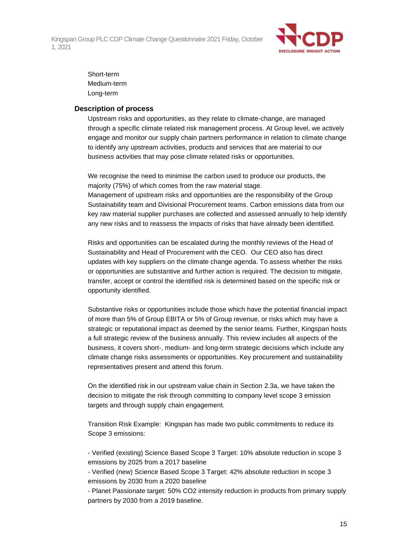

Short-term Medium-term Long-term

### **Description of process**

Upstream risks and opportunities, as they relate to climate-change, are managed through a specific climate related risk management process. At Group level, we actively engage and monitor our supply chain partners performance in relation to climate change to identify any upstream activities, products and services that are material to our business activities that may pose climate related risks or opportunities.

We recognise the need to minimise the carbon used to produce our products, the majority (75%) of which comes from the raw material stage.

Management of upstream risks and opportunities are the responsibility of the Group Sustainability team and Divisional Procurement teams. Carbon emissions data from our key raw material supplier purchases are collected and assessed annually to help identify any new risks and to reassess the impacts of risks that have already been identified.

Risks and opportunities can be escalated during the monthly reviews of the Head of Sustainability and Head of Procurement with the CEO. Our CEO also has direct updates with key suppliers on the climate change agenda. To assess whether the risks or opportunities are substantive and further action is required. The decision to mitigate, transfer, accept or control the identified risk is determined based on the specific risk or opportunity identified.

Substantive risks or opportunities include those which have the potential financial impact of more than 5% of Group EBITA or 5% of Group revenue, or risks which may have a strategic or reputational impact as deemed by the senior teams. Further, Kingspan hosts a full strategic review of the business annually. This review includes all aspects of the business, it covers short-, medium- and long-term strategic decisions which include any climate change risks assessments or opportunities. Key procurement and sustainability representatives present and attend this forum.

On the identified risk in our upstream value chain in Section 2.3a, we have taken the decision to mitigate the risk through committing to company level scope 3 emission targets and through supply chain engagement.

Transition Risk Example: Kingspan has made two public commitments to reduce its Scope 3 emissions:

- Verified (existing) Science Based Scope 3 Target: 10% absolute reduction in scope 3 emissions by 2025 from a 2017 baseline

- Verified (new) Science Based Scope 3 Target: 42% absolute reduction in scope 3 emissions by 2030 from a 2020 baseline

- Planet Passionate target: 50% CO2 intensity reduction in products from primary supply partners by 2030 from a 2019 baseline.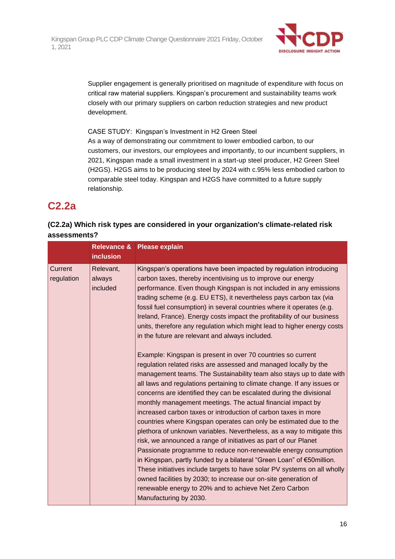

Supplier engagement is generally prioritised on magnitude of expenditure with focus on critical raw material suppliers. Kingspan's procurement and sustainability teams work closely with our primary suppliers on carbon reduction strategies and new product development.

CASE STUDY: Kingspan's Investment in H2 Green Steel As a way of demonstrating our commitment to lower embodied carbon, to our customers, our investors, our employees and importantly, to our incumbent suppliers, in 2021, Kingspan made a small investment in a start-up steel producer, H2 Green Steel (H2GS). H2GS aims to be producing steel by 2024 with c.95% less embodied carbon to comparable steel today. Kingspan and H2GS have committed to a future supply relationship.

# **C2.2a**

# **(C2.2a) Which risk types are considered in your organization's climate-related risk assessments?**

|                       | <b>inclusion</b>                | Relevance & Please explain                                                                                                                                                                                                                                                                                                                                                                                                                                                                                                                                                                                                                                                                                                                                                                                                                                                                                                                                                                                                                                                                                                                                                                                                                                                                                                                                                                                                                                                                                                                                                                                                                                        |
|-----------------------|---------------------------------|-------------------------------------------------------------------------------------------------------------------------------------------------------------------------------------------------------------------------------------------------------------------------------------------------------------------------------------------------------------------------------------------------------------------------------------------------------------------------------------------------------------------------------------------------------------------------------------------------------------------------------------------------------------------------------------------------------------------------------------------------------------------------------------------------------------------------------------------------------------------------------------------------------------------------------------------------------------------------------------------------------------------------------------------------------------------------------------------------------------------------------------------------------------------------------------------------------------------------------------------------------------------------------------------------------------------------------------------------------------------------------------------------------------------------------------------------------------------------------------------------------------------------------------------------------------------------------------------------------------------------------------------------------------------|
| Current<br>regulation | Relevant,<br>always<br>included | Kingspan's operations have been impacted by regulation introducing<br>carbon taxes, thereby incentivising us to improve our energy<br>performance. Even though Kingspan is not included in any emissions<br>trading scheme (e.g. EU ETS), it nevertheless pays carbon tax (via<br>fossil fuel consumption) in several countries where it operates (e.g.<br>Ireland, France). Energy costs impact the profitability of our business<br>units, therefore any regulation which might lead to higher energy costs<br>in the future are relevant and always included.<br>Example: Kingspan is present in over 70 countries so current<br>regulation related risks are assessed and managed locally by the<br>management teams. The Sustainability team also stays up to date with<br>all laws and regulations pertaining to climate change. If any issues or<br>concerns are identified they can be escalated during the divisional<br>monthly management meetings. The actual financial impact by<br>increased carbon taxes or introduction of carbon taxes in more<br>countries where Kingspan operates can only be estimated due to the<br>plethora of unknown variables. Nevertheless, as a way to mitigate this<br>risk, we announced a range of initiatives as part of our Planet<br>Passionate programme to reduce non-renewable energy consumption<br>in Kingspan, partly funded by a bilateral "Green Loan" of €50million.<br>These initiatives include targets to have solar PV systems on all wholly<br>owned facilities by 2030; to increase our on-site generation of<br>renewable energy to 20% and to achieve Net Zero Carbon<br>Manufacturing by 2030. |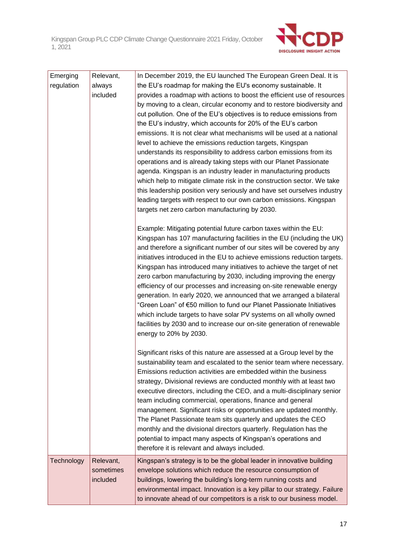

| Emerging   | Relevant, | In December 2019, the EU launched The European Green Deal. It is                                                                            |
|------------|-----------|---------------------------------------------------------------------------------------------------------------------------------------------|
| regulation | always    | the EU's roadmap for making the EU's economy sustainable. It                                                                                |
|            | included  | provides a roadmap with actions to boost the efficient use of resources                                                                     |
|            |           | by moving to a clean, circular economy and to restore biodiversity and                                                                      |
|            |           | cut pollution. One of the EU's objectives is to reduce emissions from                                                                       |
|            |           | the EU's industry, which accounts for 20% of the EU's carbon                                                                                |
|            |           | emissions. It is not clear what mechanisms will be used at a national                                                                       |
|            |           | level to achieve the emissions reduction targets, Kingspan                                                                                  |
|            |           | understands its responsibility to address carbon emissions from its                                                                         |
|            |           | operations and is already taking steps with our Planet Passionate                                                                           |
|            |           | agenda. Kingspan is an industry leader in manufacturing products<br>which help to mitigate climate risk in the construction sector. We take |
|            |           | this leadership position very seriously and have set ourselves industry                                                                     |
|            |           | leading targets with respect to our own carbon emissions. Kingspan                                                                          |
|            |           | targets net zero carbon manufacturing by 2030.                                                                                              |
|            |           |                                                                                                                                             |
|            |           | Example: Mitigating potential future carbon taxes within the EU:                                                                            |
|            |           | Kingspan has 107 manufacturing facilities in the EU (including the UK)                                                                      |
|            |           | and therefore a significant number of our sites will be covered by any                                                                      |
|            |           | initiatives introduced in the EU to achieve emissions reduction targets.                                                                    |
|            |           | Kingspan has introduced many initiatives to achieve the target of net                                                                       |
|            |           | zero carbon manufacturing by 2030, including improving the energy                                                                           |
|            |           | efficiency of our processes and increasing on-site renewable energy                                                                         |
|            |           | generation. In early 2020, we announced that we arranged a bilateral                                                                        |
|            |           | "Green Loan" of €50 million to fund our Planet Passionate Initiatives                                                                       |
|            |           | which include targets to have solar PV systems on all wholly owned                                                                          |
|            |           | facilities by 2030 and to increase our on-site generation of renewable<br>energy to 20% by 2030.                                            |
|            |           |                                                                                                                                             |
|            |           | Significant risks of this nature are assessed at a Group level by the                                                                       |
|            |           | sustainability team and escalated to the senior team where necessary.                                                                       |
|            |           | Emissions reduction activities are embedded within the business                                                                             |
|            |           | strategy, Divisional reviews are conducted monthly with at least two                                                                        |
|            |           | executive directors, including the CEO, and a multi-disciplinary senior                                                                     |
|            |           | team including commercial, operations, finance and general                                                                                  |
|            |           | management. Significant risks or opportunities are updated monthly.                                                                         |
|            |           | The Planet Passionate team sits quarterly and updates the CEO                                                                               |
|            |           | monthly and the divisional directors quarterly. Regulation has the                                                                          |
|            |           | potential to impact many aspects of Kingspan's operations and                                                                               |
|            |           | therefore it is relevant and always included.                                                                                               |
| Technology | Relevant, | Kingspan's strategy is to be the global leader in innovative building                                                                       |
|            | sometimes | envelope solutions which reduce the resource consumption of                                                                                 |
|            | included  | buildings, lowering the building's long-term running costs and                                                                              |
|            |           | environmental impact. Innovation is a key pillar to our strategy. Failure                                                                   |
|            |           | to innovate ahead of our competitors is a risk to our business model.                                                                       |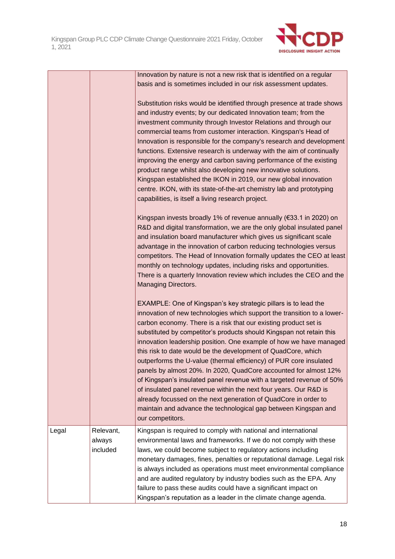

Innovation by nature is not a new risk that is identified on a regular basis and is sometimes included in our risk assessment updates.

Substitution risks would be identified through presence at trade shows and industry events; by our dedicated Innovation team; from the investment community through Investor Relations and through our commercial teams from customer interaction. Kingspan's Head of Innovation is responsible for the company's research and development functions. Extensive research is underway with the aim of continually improving the energy and carbon saving performance of the existing product range whilst also developing new innovative solutions. Kingspan established the IKON in 2019, our new global innovation centre. IKON, with its state-of-the-art chemistry lab and prototyping capabilities, is itself a living research project.

Kingspan invests broadly 1% of revenue annually (€33.1 in 2020) on R&D and digital transformation, we are the only global insulated panel and insulation board manufacturer which gives us significant scale advantage in the innovation of carbon reducing technologies versus competitors. The Head of Innovation formally updates the CEO at least monthly on technology updates, including risks and opportunities. There is a quarterly Innovation review which includes the CEO and the Managing Directors.

EXAMPLE: One of Kingspan's key strategic pillars is to lead the innovation of new technologies which support the transition to a lowercarbon economy. There is a risk that our existing product set is substituted by competitor's products should Kingspan not retain this innovation leadership position. One example of how we have managed this risk to date would be the development of QuadCore, which outperforms the U-value (thermal efficiency) of PUR core insulated panels by almost 20%. In 2020, QuadCore accounted for almost 12% of Kingspan's insulated panel revenue with a targeted revenue of 50% of insulated panel revenue within the next four years. Our R&D is already focussed on the next generation of QuadCore in order to maintain and advance the technological gap between Kingspan and our competitors.

| Legal | Relevant, | Kingspan is required to comply with national and international        |
|-------|-----------|-----------------------------------------------------------------------|
|       | always    | environmental laws and frameworks. If we do not comply with these     |
|       | included  | laws, we could become subject to regulatory actions including         |
|       |           | monetary damages, fines, penalties or reputational damage. Legal risk |
|       |           | is always included as operations must meet environmental compliance   |
|       |           | and are audited regulatory by industry bodies such as the EPA. Any    |
|       |           | failure to pass these audits could have a significant impact on       |
|       |           | Kingspan's reputation as a leader in the climate change agenda.       |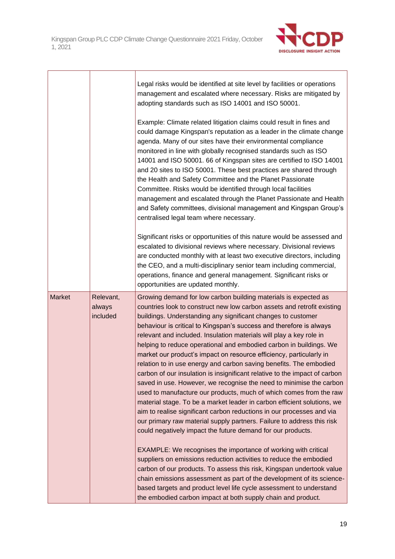

Ė

|               |                                 | Legal risks would be identified at site level by facilities or operations<br>management and escalated where necessary. Risks are mitigated by<br>adopting standards such as ISO 14001 and ISO 50001.                                                                                                                                                                                                                                                                                                                                                                                                                                                                                                                                                                                                                                                                                                                                                                                                                                                                                                |
|---------------|---------------------------------|-----------------------------------------------------------------------------------------------------------------------------------------------------------------------------------------------------------------------------------------------------------------------------------------------------------------------------------------------------------------------------------------------------------------------------------------------------------------------------------------------------------------------------------------------------------------------------------------------------------------------------------------------------------------------------------------------------------------------------------------------------------------------------------------------------------------------------------------------------------------------------------------------------------------------------------------------------------------------------------------------------------------------------------------------------------------------------------------------------|
|               |                                 | Example: Climate related litigation claims could result in fines and<br>could damage Kingspan's reputation as a leader in the climate change<br>agenda. Many of our sites have their environmental compliance<br>monitored in line with globally recognised standards such as ISO<br>14001 and ISO 50001. 66 of Kingspan sites are certified to ISO 14001<br>and 20 sites to ISO 50001. These best practices are shared through<br>the Health and Safety Committee and the Planet Passionate<br>Committee. Risks would be identified through local facilities<br>management and escalated through the Planet Passionate and Health<br>and Safety committees, divisional management and Kingspan Group's<br>centralised legal team where necessary.                                                                                                                                                                                                                                                                                                                                                  |
|               |                                 | Significant risks or opportunities of this nature would be assessed and<br>escalated to divisional reviews where necessary. Divisional reviews<br>are conducted monthly with at least two executive directors, including<br>the CEO, and a multi-disciplinary senior team including commercial,<br>operations, finance and general management. Significant risks or<br>opportunities are updated monthly.                                                                                                                                                                                                                                                                                                                                                                                                                                                                                                                                                                                                                                                                                           |
| <b>Market</b> | Relevant,<br>always<br>included | Growing demand for low carbon building materials is expected as<br>countries look to construct new low carbon assets and retrofit existing<br>buildings. Understanding any significant changes to customer<br>behaviour is critical to Kingspan's success and therefore is always<br>relevant and included. Insulation materials will play a key role in<br>helping to reduce operational and embodied carbon in buildings. We<br>market our product's impact on resource efficiency, particularly in<br>relation to in use energy and carbon saving benefits. The embodied<br>carbon of our insulation is insignificant relative to the impact of carbon<br>saved in use. However, we recognise the need to minimise the carbon<br>used to manufacture our products, much of which comes from the raw<br>material stage. To be a market leader in carbon efficient solutions, we<br>aim to realise significant carbon reductions in our processes and via<br>our primary raw material supply partners. Failure to address this risk<br>could negatively impact the future demand for our products. |
|               |                                 | EXAMPLE: We recognises the importance of working with critical<br>suppliers on emissions reduction activities to reduce the embodied<br>carbon of our products. To assess this risk, Kingspan undertook value<br>chain emissions assessment as part of the development of its science-<br>based targets and product level life cycle assessment to understand<br>the embodied carbon impact at both supply chain and product.                                                                                                                                                                                                                                                                                                                                                                                                                                                                                                                                                                                                                                                                       |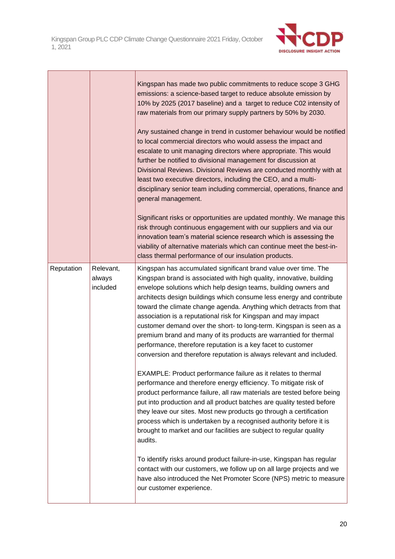

|            |                                 | Kingspan has made two public commitments to reduce scope 3 GHG<br>emissions: a science-based target to reduce absolute emission by<br>10% by 2025 (2017 baseline) and a target to reduce C02 intensity of<br>raw materials from our primary supply partners by 50% by 2030.<br>Any sustained change in trend in customer behaviour would be notified<br>to local commercial directors who would assess the impact and<br>escalate to unit managing directors where appropriate. This would<br>further be notified to divisional management for discussion at<br>Divisional Reviews. Divisional Reviews are conducted monthly with at<br>least two executive directors, including the CEO, and a multi-<br>disciplinary senior team including commercial, operations, finance and<br>general management.<br>Significant risks or opportunities are updated monthly. We manage this<br>risk through continuous engagement with our suppliers and via our<br>innovation team's material science research which is assessing the<br>viability of alternative materials which can continue meet the best-in-<br>class thermal performance of our insulation products.                                                                      |
|------------|---------------------------------|---------------------------------------------------------------------------------------------------------------------------------------------------------------------------------------------------------------------------------------------------------------------------------------------------------------------------------------------------------------------------------------------------------------------------------------------------------------------------------------------------------------------------------------------------------------------------------------------------------------------------------------------------------------------------------------------------------------------------------------------------------------------------------------------------------------------------------------------------------------------------------------------------------------------------------------------------------------------------------------------------------------------------------------------------------------------------------------------------------------------------------------------------------------------------------------------------------------------------------------|
| Reputation | Relevant,<br>always<br>included | Kingspan has accumulated significant brand value over time. The<br>Kingspan brand is associated with high quality, innovative, building<br>envelope solutions which help design teams, building owners and<br>architects design buildings which consume less energy and contribute<br>toward the climate change agenda. Anything which detracts from that<br>association is a reputational risk for Kingspan and may impact<br>customer demand over the short- to long-term. Kingspan is seen as a<br>premium brand and many of its products are warrantied for thermal<br>performance, therefore reputation is a key facet to customer<br>conversion and therefore reputation is always relevant and included.<br>EXAMPLE: Product performance failure as it relates to thermal<br>performance and therefore energy efficiency. To mitigate risk of<br>product performance failure, all raw materials are tested before being<br>put into production and all product batches are quality tested before<br>they leave our sites. Most new products go through a certification<br>process which is undertaken by a recognised authority before it is<br>brought to market and our facilities are subject to regular quality<br>audits. |
|            |                                 | To identify risks around product failure-in-use, Kingspan has regular<br>contact with our customers, we follow up on all large projects and we<br>have also introduced the Net Promoter Score (NPS) metric to measure<br>our customer experience.                                                                                                                                                                                                                                                                                                                                                                                                                                                                                                                                                                                                                                                                                                                                                                                                                                                                                                                                                                                     |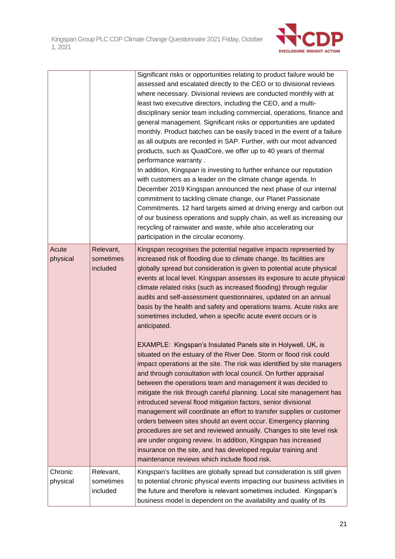

|                     |                                    | Significant risks or opportunities relating to product failure would be<br>assessed and escalated directly to the CEO or to divisional reviews<br>where necessary. Divisional reviews are conducted monthly with at<br>least two executive directors, including the CEO, and a multi-<br>disciplinary senior team including commercial, operations, finance and<br>general management. Significant risks or opportunities are updated<br>monthly. Product batches can be easily traced in the event of a failure<br>as all outputs are recorded in SAP. Further, with our most advanced<br>products, such as QuadCore, we offer up to 40 years of thermal<br>performance warranty.<br>In addition, Kingspan is investing to further enhance our reputation<br>with customers as a leader on the climate change agenda. In<br>December 2019 Kingspan announced the next phase of our internal<br>commitment to tackling climate change, our Planet Passionate<br>Commitments. 12 hard targets aimed at driving energy and carbon out<br>of our business operations and supply chain, as well as increasing our<br>recycling of rainwater and waste, while also accelerating our<br>participation in the circular economy. |
|---------------------|------------------------------------|--------------------------------------------------------------------------------------------------------------------------------------------------------------------------------------------------------------------------------------------------------------------------------------------------------------------------------------------------------------------------------------------------------------------------------------------------------------------------------------------------------------------------------------------------------------------------------------------------------------------------------------------------------------------------------------------------------------------------------------------------------------------------------------------------------------------------------------------------------------------------------------------------------------------------------------------------------------------------------------------------------------------------------------------------------------------------------------------------------------------------------------------------------------------------------------------------------------------------|
| Acute<br>physical   | Relevant,<br>sometimes<br>included | Kingspan recognises the potential negative impacts represented by<br>increased risk of flooding due to climate change. Its facilities are<br>globally spread but consideration is given to potential acute physical<br>events at local level. Kingspan assesses its exposure to acute physical<br>climate related risks (such as increased flooding) through regular<br>audits and self-assessment questionnaires, updated on an annual<br>basis by the health and safety and operations teams. Acute risks are<br>sometimes included, when a specific acute event occurs or is<br>anticipated.                                                                                                                                                                                                                                                                                                                                                                                                                                                                                                                                                                                                                          |
|                     |                                    | EXAMPLE: Kingspan's Insulated Panels site in Holywell, UK, is<br>situated on the estuary of the River Dee. Storm or flood risk could<br>impact operations at the site. The risk was identified by site managers<br>and through consultation with local council. On further appraisal<br>between the operations team and management it was decided to<br>mitigate the risk through careful planning. Local site management has<br>introduced several flood mitigation factors, senior divisional<br>management will coordinate an effort to transfer supplies or customer<br>orders between sites should an event occur. Emergency planning<br>procedures are set and reviewed annually. Changes to site level risk<br>are under ongoing review. In addition, Kingspan has increased<br>insurance on the site, and has developed regular training and<br>maintenance reviews which include flood risk.                                                                                                                                                                                                                                                                                                                    |
| Chronic<br>physical | Relevant,<br>sometimes<br>included | Kingspan's facilities are globally spread but consideration is still given<br>to potential chronic physical events impacting our business activities in<br>the future and therefore is relevant sometimes included. Kingspan's<br>business model is dependent on the availability and quality of its                                                                                                                                                                                                                                                                                                                                                                                                                                                                                                                                                                                                                                                                                                                                                                                                                                                                                                                     |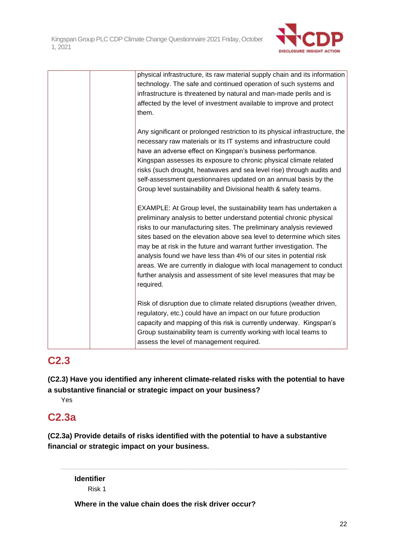

| physical infrastructure, its raw material supply chain and its information<br>technology. The safe and continued operation of such systems and<br>infrastructure is threatened by natural and man-made perils and is<br>affected by the level of investment available to improve and protect<br>them.                                                                                                                                                                                                                                                                                             |
|---------------------------------------------------------------------------------------------------------------------------------------------------------------------------------------------------------------------------------------------------------------------------------------------------------------------------------------------------------------------------------------------------------------------------------------------------------------------------------------------------------------------------------------------------------------------------------------------------|
| Any significant or prolonged restriction to its physical infrastructure, the<br>necessary raw materials or its IT systems and infrastructure could<br>have an adverse effect on Kingspan's business performance.<br>Kingspan assesses its exposure to chronic physical climate related<br>risks (such drought, heatwaves and sea level rise) through audits and<br>self-assessment questionnaires updated on an annual basis by the<br>Group level sustainability and Divisional health & safety teams.                                                                                           |
| EXAMPLE: At Group level, the sustainability team has undertaken a<br>preliminary analysis to better understand potential chronic physical<br>risks to our manufacturing sites. The preliminary analysis reviewed<br>sites based on the elevation above sea level to determine which sites<br>may be at risk in the future and warrant further investigation. The<br>analysis found we have less than 4% of our sites in potential risk<br>areas. We are currently in dialogue with local management to conduct<br>further analysis and assessment of site level measures that may be<br>required. |
| Risk of disruption due to climate related disruptions (weather driven,<br>regulatory, etc.) could have an impact on our future production<br>capacity and mapping of this risk is currently underway. Kingspan's<br>Group sustainability team is currently working with local teams to                                                                                                                                                                                                                                                                                                            |

# **C2.3**

**(C2.3) Have you identified any inherent climate-related risks with the potential to have a substantive financial or strategic impact on your business?**

assess the level of management required.

Yes

# **C2.3a**

**(C2.3a) Provide details of risks identified with the potential to have a substantive financial or strategic impact on your business.**

**Identifier** Risk 1

**Where in the value chain does the risk driver occur?**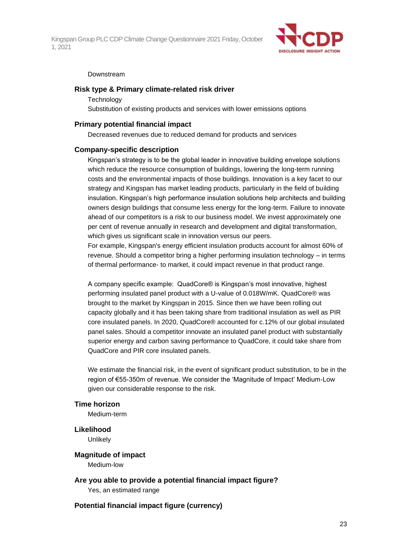

#### Downstream

#### **Risk type & Primary climate-related risk driver**

#### **Technology**

Substitution of existing products and services with lower emissions options

#### **Primary potential financial impact**

Decreased revenues due to reduced demand for products and services

#### **Company-specific description**

Kingspan's strategy is to be the global leader in innovative building envelope solutions which reduce the resource consumption of buildings, lowering the long-term running costs and the environmental impacts of those buildings. Innovation is a key facet to our strategy and Kingspan has market leading products, particularly in the field of building insulation. Kingspan's high performance insulation solutions help architects and building owners design buildings that consume less energy for the long-term. Failure to innovate ahead of our competitors is a risk to our business model. We invest approximately one per cent of revenue annually in research and development and digital transformation, which gives us significant scale in innovation versus our peers.

For example, Kingspan's energy efficient insulation products account for almost 60% of revenue. Should a competitor bring a higher performing insulation technology – in terms of thermal performance- to market, it could impact revenue in that product range.

A company specific example: QuadCore® is Kingspan's most innovative, highest performing insulated panel product with a U-value of 0.018W/mK. QuadCore® was brought to the market by Kingspan in 2015. Since then we have been rolling out capacity globally and it has been taking share from traditional insulation as well as PIR core insulated panels. In 2020, QuadCore® accounted for c.12% of our global insulated panel sales. Should a competitor innovate an insulated panel product with substantially superior energy and carbon saving performance to QuadCore, it could take share from QuadCore and PIR core insulated panels.

We estimate the financial risk, in the event of significant product substitution, to be in the region of €55-350m of revenue. We consider the 'Magnitude of Impact' Medium-Low given our considerable response to the risk.

#### **Time horizon**

Medium-term

# **Likelihood**

**Unlikely** 

#### **Magnitude of impact**

Medium-low

**Are you able to provide a potential financial impact figure?** Yes, an estimated range

#### **Potential financial impact figure (currency)**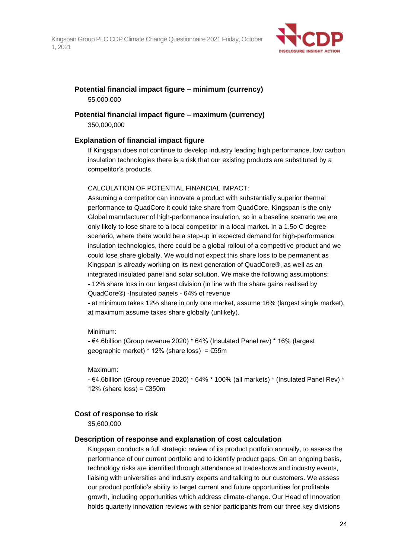

#### **Potential financial impact figure – minimum (currency)** 55,000,000

# **Potential financial impact figure – maximum (currency)**

350,000,000

## **Explanation of financial impact figure**

If Kingspan does not continue to develop industry leading high performance, low carbon insulation technologies there is a risk that our existing products are substituted by a competitor's products.

### CALCULATION OF POTENTIAL FINANCIAL IMPACT:

Assuming a competitor can innovate a product with substantially superior thermal performance to QuadCore it could take share from QuadCore. Kingspan is the only Global manufacturer of high-performance insulation, so in a baseline scenario we are only likely to lose share to a local competitor in a local market. In a 1.5o C degree scenario, where there would be a step-up in expected demand for high-performance insulation technologies, there could be a global rollout of a competitive product and we could lose share globally. We would not expect this share loss to be permanent as Kingspan is already working on its next generation of QuadCore®, as well as an integrated insulated panel and solar solution. We make the following assumptions: - 12% share loss in our largest division (in line with the share gains realised by QuadCore®) -Insulated panels - 64% of revenue

- at minimum takes 12% share in only one market, assume 16% (largest single market), at maximum assume takes share globally (unlikely).

#### Minimum:

- €4.6billion (Group revenue 2020) \* 64% (Insulated Panel rev) \* 16% (largest geographic market) \* 12% (share loss) = €55m

Maximum:

- €4.6billion (Group revenue 2020) \* 64% \* 100% (all markets) \* (Insulated Panel Rev) \* 12% (share loss) =  $€350m$ 

## **Cost of response to risk**

35,600,000

## **Description of response and explanation of cost calculation**

Kingspan conducts a full strategic review of its product portfolio annually, to assess the performance of our current portfolio and to identify product gaps. On an ongoing basis, technology risks are identified through attendance at tradeshows and industry events, liaising with universities and industry experts and talking to our customers. We assess our product portfolio's ability to target current and future opportunities for profitable growth, including opportunities which address climate-change. Our Head of Innovation holds quarterly innovation reviews with senior participants from our three key divisions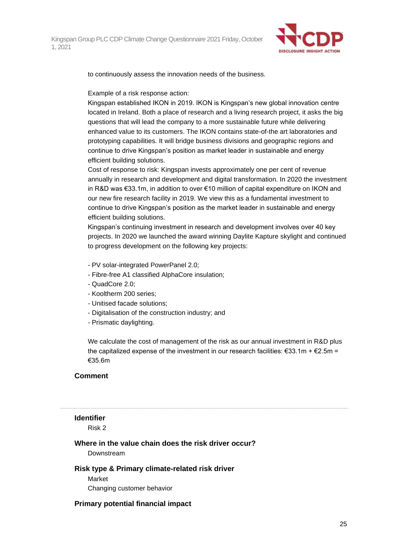

to continuously assess the innovation needs of the business.

Example of a risk response action:

Kingspan established IKON in 2019. IKON is Kingspan's new global innovation centre located in Ireland. Both a place of research and a living research project, it asks the big questions that will lead the company to a more sustainable future while delivering enhanced value to its customers. The IKON contains state-of-the art laboratories and prototyping capabilities. It will bridge business divisions and geographic regions and continue to drive Kingspan's position as market leader in sustainable and energy efficient building solutions.

Cost of response to risk: Kingspan invests approximately one per cent of revenue annually in research and development and digital transformation. In 2020 the investment in R&D was €33.1m, in addition to over €10 million of capital expenditure on IKON and our new fire research facility in 2019. We view this as a fundamental investment to continue to drive Kingspan's position as the market leader in sustainable and energy efficient building solutions.

Kingspan's continuing investment in research and development involves over 40 key projects. In 2020 we launched the award winning Daylite Kapture skylight and continued to progress development on the following key projects:

- PV solar-integrated PowerPanel 2.0;
- Fibre-free A1 classified AlphaCore insulation;
- QuadCore 2.0;
- Kooltherm 200 series;
- Unitised facade solutions;
- Digitalisation of the construction industry; and
- Prismatic daylighting.

We calculate the cost of management of the risk as our annual investment in R&D plus the capitalized expense of the investment in our research facilities:  $\epsilon$ 33.1m +  $\epsilon$ 2.5m = €35.6m

#### **Comment**

#### **Identifier**

Risk 2

### **Where in the value chain does the risk driver occur?**

Downstream

## **Risk type & Primary climate-related risk driver**

Market Changing customer behavior

## **Primary potential financial impact**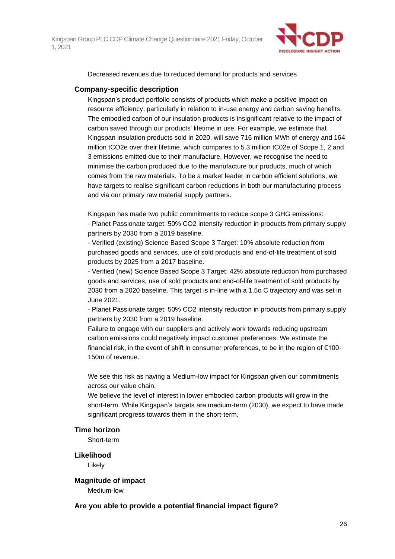

Decreased revenues due to reduced demand for products and services

### **Company-specific description**

Kingspan's product portfolio consists of products which make a positive impact on resource efficiency, particularly in relation to in-use energy and carbon saving benefits. The embodied carbon of our insulation products is insignificant relative to the impact of carbon saved through our products' lifetime in use. For example, we estimate that Kingspan insulation products sold in 2020, will save 716 million MWh of energy and 164 million tCO2e over their lifetime, which compares to 5.3 million tC02e of Scope 1, 2 and 3 emissions emitted due to their manufacture. However, we recognise the need to minimise the carbon produced due to the manufacture our products, much of which comes from the raw materials. To be a market leader in carbon efficient solutions, we have targets to realise significant carbon reductions in both our manufacturing process and via our primary raw material supply partners.

Kingspan has made two public commitments to reduce scope 3 GHG emissions: - Planet Passionate target: 50% CO2 intensity reduction in products from primary supply partners by 2030 from a 2019 baseline.

- Verified (existing) Science Based Scope 3 Target: 10% absolute reduction from purchased goods and services, use of sold products and end-of-life treatment of sold products by 2025 from a 2017 baseline.

- Verified (new) Science Based Scope 3 Target: 42% absolute reduction from purchased goods and services, use of sold products and end-of-life treatment of sold products by 2030 from a 2020 baseline. This target is in-line with a 1.5o C trajectory and was set in June 2021.

- Planet Passionate target: 50% CO2 intensity reduction in products from primary supply partners by 2030 from a 2019 baseline.

Failure to engage with our suppliers and actively work towards reducing upstream carbon emissions could negatively impact customer preferences. We estimate the financial risk, in the event of shift in consumer preferences, to be in the region of  $€100$ -150m of revenue.

We see this risk as having a Medium-low impact for Kingspan given our commitments across our value chain.

We believe the level of interest in lower embodied carbon products will grow in the short-term. While Kingspan's targets are medium-term (2030), we expect to have made significant progress towards them in the short-term.

#### **Time horizon**

Short-term

#### **Likelihood**

Likely

**Magnitude of impact** Medium-low

**Are you able to provide a potential financial impact figure?**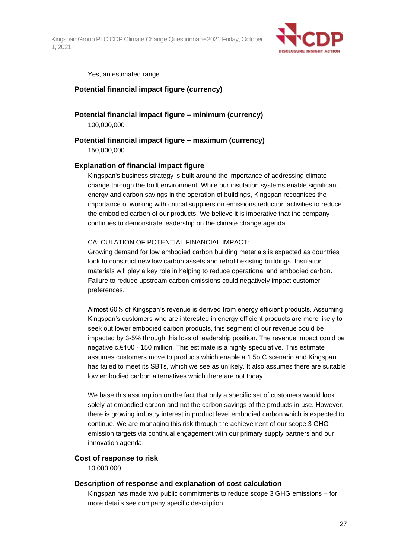

Yes, an estimated range

### **Potential financial impact figure (currency)**

**Potential financial impact figure – minimum (currency)** 100,000,000

#### **Potential financial impact figure – maximum (currency)**

150,000,000

#### **Explanation of financial impact figure**

Kingspan's business strategy is built around the importance of addressing climate change through the built environment. While our insulation systems enable significant energy and carbon savings in the operation of buildings, Kingspan recognises the importance of working with critical suppliers on emissions reduction activities to reduce the embodied carbon of our products. We believe it is imperative that the company continues to demonstrate leadership on the climate change agenda.

#### CALCULATION OF POTENTIAL FINANCIAL IMPACT:

Growing demand for low embodied carbon building materials is expected as countries look to construct new low carbon assets and retrofit existing buildings. Insulation materials will play a key role in helping to reduce operational and embodied carbon. Failure to reduce upstream carbon emissions could negatively impact customer preferences.

Almost 60% of Kingspan's revenue is derived from energy efficient products. Assuming Kingspan's customers who are interested in energy efficient products are more likely to seek out lower embodied carbon products, this segment of our revenue could be impacted by 3-5% through this loss of leadership position. The revenue impact could be negative c.€100 - 150 million. This estimate is a highly speculative. This estimate assumes customers move to products which enable a 1.5o C scenario and Kingspan has failed to meet its SBTs, which we see as unlikely. It also assumes there are suitable low embodied carbon alternatives which there are not today.

We base this assumption on the fact that only a specific set of customers would look solely at embodied carbon and not the carbon savings of the products in use. However, there is growing industry interest in product level embodied carbon which is expected to continue. We are managing this risk through the achievement of our scope 3 GHG emission targets via continual engagement with our primary supply partners and our innovation agenda.

#### **Cost of response to risk**

10,000,000

#### **Description of response and explanation of cost calculation**

Kingspan has made two public commitments to reduce scope 3 GHG emissions – for more details see company specific description.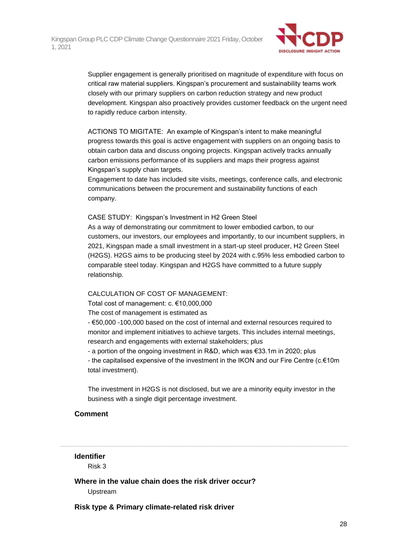

Supplier engagement is generally prioritised on magnitude of expenditure with focus on critical raw material suppliers. Kingspan's procurement and sustainability teams work closely with our primary suppliers on carbon reduction strategy and new product development. Kingspan also proactively provides customer feedback on the urgent need to rapidly reduce carbon intensity.

ACTIONS TO MIGITATE: An example of Kingspan's intent to make meaningful progress towards this goal is active engagement with suppliers on an ongoing basis to obtain carbon data and discuss ongoing projects. Kingspan actively tracks annually carbon emissions performance of its suppliers and maps their progress against Kingspan's supply chain targets.

Engagement to date has included site visits, meetings, conference calls, and electronic communications between the procurement and sustainability functions of each company.

#### CASE STUDY: Kingspan's Investment in H2 Green Steel

As a way of demonstrating our commitment to lower embodied carbon, to our customers, our investors, our employees and importantly, to our incumbent suppliers, in 2021, Kingspan made a small investment in a start-up steel producer, H2 Green Steel (H2GS). H2GS aims to be producing steel by 2024 with c.95% less embodied carbon to comparable steel today. Kingspan and H2GS have committed to a future supply relationship.

#### CALCULATION OF COST OF MANAGEMENT:

Total cost of management: c. €10,000,000

The cost of management is estimated as

- €50,000 -100,000 based on the cost of internal and external resources required to monitor and implement initiatives to achieve targets. This includes internal meetings, research and engagements with external stakeholders; plus

- a portion of the ongoing investment in R&D, which was €33.1m in 2020; plus

- the capitalised expensive of the investment in the IKON and our Fire Centre (c.€10m total investment).

The investment in H2GS is not disclosed, but we are a minority equity investor in the business with a single digit percentage investment.

### **Comment**

## **Identifier**

Risk 3

**Where in the value chain does the risk driver occur?** Upstream

**Risk type & Primary climate-related risk driver**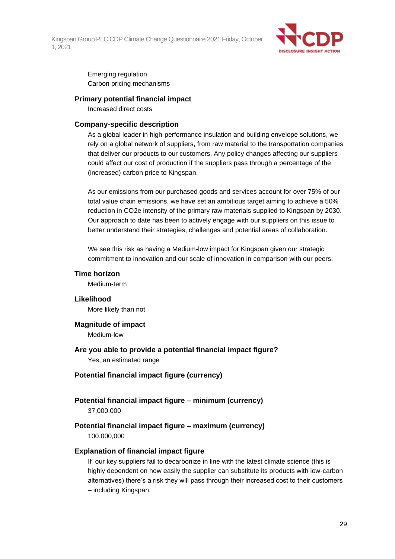

Emerging regulation Carbon pricing mechanisms

#### **Primary potential financial impact**

Increased direct costs

#### **Company-specific description**

As a global leader in high-performance insulation and building envelope solutions, we rely on a global network of suppliers, from raw material to the transportation companies that deliver our products to our customers. Any policy changes affecting our suppliers could affect our cost of production if the suppliers pass through a percentage of the (increased) carbon price to Kingspan.

As our emissions from our purchased goods and services account for over 75% of our total value chain emissions, we have set an ambitious target aiming to achieve a 50% reduction in CO2e intensity of the primary raw materials supplied to Kingspan by 2030. Our approach to date has been to actively engage with our suppliers on this issue to better understand their strategies, challenges and potential areas of collaboration.

We see this risk as having a Medium-low impact for Kingspan given our strategic commitment to innovation and our scale of innovation in comparison with our peers.

#### **Time horizon**

Medium-term

#### **Likelihood**

More likely than not

**Magnitude of impact** Medium-low

**Are you able to provide a potential financial impact figure?** Yes, an estimated range

### **Potential financial impact figure (currency)**

# **Potential financial impact figure – minimum (currency)**

37,000,000

### **Potential financial impact figure – maximum (currency)** 100,000,000

#### **Explanation of financial impact figure**

If our key suppliers fail to decarbonize in line with the latest climate science (this is highly dependent on how easily the supplier can substitute its products with low-carbon alternatives) there's a risk they will pass through their increased cost to their customers – including Kingspan.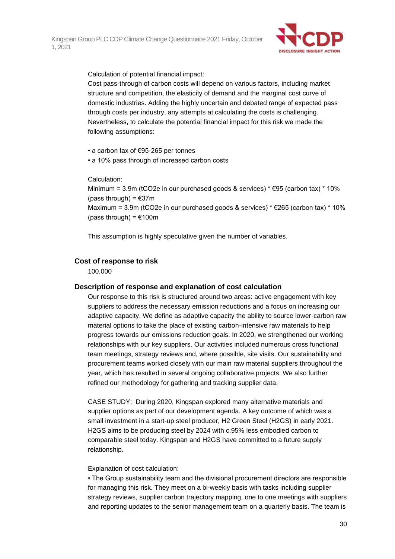

Calculation of potential financial impact:

Cost pass-through of carbon costs will depend on various factors, including market structure and competition, the elasticity of demand and the marginal cost curve of domestic industries. Adding the highly uncertain and debated range of expected pass through costs per industry, any attempts at calculating the costs is challenging. Nevertheless, to calculate the potential financial impact for this risk we made the following assumptions:

• a carbon tax of €95-265 per tonnes

• a 10% pass through of increased carbon costs

Calculation:

Minimum = 3.9m (tCO2e in our purchased goods & services)  $* \text{E95}$  (carbon tax)  $* 10\%$ (pass through) =  $€37m$ Maximum = 3.9m (tCO2e in our purchased goods & services)  $* \epsilon$ 265 (carbon tax)  $*$  10% (pass through) =  $€100m$ 

This assumption is highly speculative given the number of variables.

### **Cost of response to risk**

100,000

#### **Description of response and explanation of cost calculation**

Our response to this risk is structured around two areas: active engagement with key suppliers to address the necessary emission reductions and a focus on increasing our adaptive capacity. We define as adaptive capacity the ability to source lower-carbon raw material options to take the place of existing carbon-intensive raw materials to help progress towards our emissions reduction goals. In 2020, we strengthened our working relationships with our key suppliers. Our activities included numerous cross functional team meetings, strategy reviews and, where possible, site visits. Our sustainability and procurement teams worked closely with our main raw material suppliers throughout the year, which has resulted in several ongoing collaborative projects. We also further refined our methodology for gathering and tracking supplier data.

CASE STUDY: During 2020, Kingspan explored many alternative materials and supplier options as part of our development agenda. A key outcome of which was a small investment in a start-up steel producer, H2 Green Steel (H2GS) in early 2021. H2GS aims to be producing steel by 2024 with c.95% less embodied carbon to comparable steel today. Kingspan and H2GS have committed to a future supply relationship.

#### Explanation of cost calculation:

• The Group sustainability team and the divisional procurement directors are responsible for managing this risk. They meet on a bi-weekly basis with tasks including supplier strategy reviews, supplier carbon trajectory mapping, one to one meetings with suppliers and reporting updates to the senior management team on a quarterly basis. The team is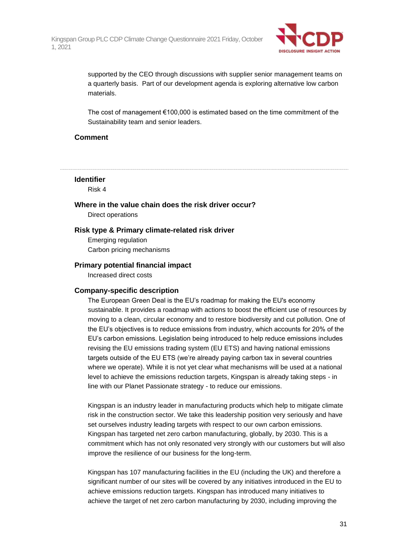

supported by the CEO through discussions with supplier senior management teams on a quarterly basis. Part of our development agenda is exploring alternative low carbon materials.

The cost of management €100,000 is estimated based on the time commitment of the Sustainability team and senior leaders.

#### **Comment**

**Identifier**

Risk 4

# **Where in the value chain does the risk driver occur?**

Direct operations

#### **Risk type & Primary climate-related risk driver**

Emerging regulation Carbon pricing mechanisms

#### **Primary potential financial impact**

Increased direct costs

#### **Company-specific description**

The European Green Deal is the EU's roadmap for making the EU's economy sustainable. It provides a roadmap with actions to boost the efficient use of resources by moving to a clean, circular economy and to restore biodiversity and cut pollution. One of the EU's objectives is to reduce emissions from industry, which accounts for 20% of the EU's carbon emissions. Legislation being introduced to help reduce emissions includes revising the EU emissions trading system (EU ETS) and having national emissions targets outside of the EU ETS (we're already paying carbon tax in several countries where we operate). While it is not yet clear what mechanisms will be used at a national level to achieve the emissions reduction targets, Kingspan is already taking steps - in line with our Planet Passionate strategy - to reduce our emissions.

Kingspan is an industry leader in manufacturing products which help to mitigate climate risk in the construction sector. We take this leadership position very seriously and have set ourselves industry leading targets with respect to our own carbon emissions. Kingspan has targeted net zero carbon manufacturing, globally, by 2030. This is a commitment which has not only resonated very strongly with our customers but will also improve the resilience of our business for the long-term.

Kingspan has 107 manufacturing facilities in the EU (including the UK) and therefore a significant number of our sites will be covered by any initiatives introduced in the EU to achieve emissions reduction targets. Kingspan has introduced many initiatives to achieve the target of net zero carbon manufacturing by 2030, including improving the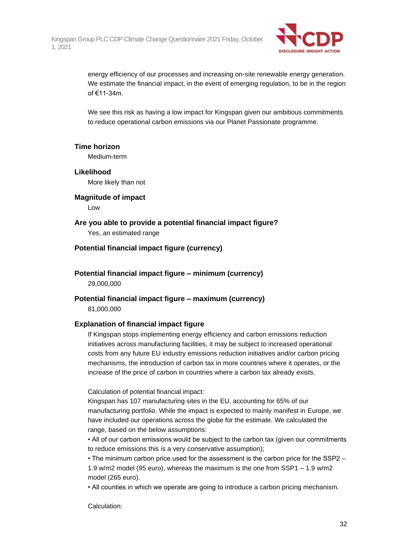

energy efficiency of our processes and increasing on-site renewable energy generation. We estimate the financial impact, in the event of emerging regulation, to be in the region of €11-34m.

We see this risk as having a low impact for Kingspan given our ambitious commitments to reduce operational carbon emissions via our Planet Passionate programme.

#### **Time horizon**

Medium-term

### **Likelihood**

More likely than not

#### **Magnitude of impact**

Low

# **Are you able to provide a potential financial impact figure?**

Yes, an estimated range

## **Potential financial impact figure (currency)**

**Potential financial impact figure – minimum (currency)** 29,000,000

## **Potential financial impact figure – maximum (currency)** 81,000,000

## **Explanation of financial impact figure**

If Kingspan stops implementing energy efficiency and carbon emissions reduction initiatives across manufacturing facilities, it may be subject to increased operational costs from any future EU industry emissions reduction initiatives and/or carbon pricing mechanisms, the introduction of carbon tax in more countries where it operates, or the increase of the price of carbon in countries where a carbon tax already exists.

Calculation of potential financial impact:

Kingspan has 107 manufacturing sites in the EU, accounting for 65% of our manufacturing portfolio. While the impact is expected to mainly manifest in Europe, we have included our operations across the globe for the estimate. We calculated the range, based on the below assumptions:

• All of our carbon emissions would be subject to the carbon tax (given our commitments to reduce emissions this is a very conservative assumption);

• The minimum carbon price used for the assessment is the carbon price for the SSP2 – 1.9 w/m2 model (95 euro), whereas the maximum is the one from SSP1 – 1.9 w/m2 model (265 euro).

• All counties in which we operate are going to introduce a carbon pricing mechanism.

Calculation: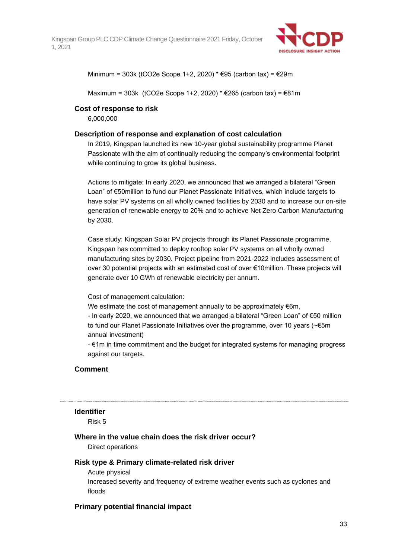

Minimum = 303k (tCO2e Scope 1+2, 2020) \* €95 (carbon tax) = €29m

Maximum = 303k (tCO2e Scope 1+2, 2020) \* €265 (carbon tax) = €81m

### **Cost of response to risk**

6,000,000

#### **Description of response and explanation of cost calculation**

In 2019, Kingspan launched its new 10-year global sustainability programme Planet Passionate with the aim of continually reducing the company's environmental footprint while continuing to grow its global business.

Actions to mitigate: In early 2020, we announced that we arranged a bilateral "Green Loan" of €50million to fund our Planet Passionate Initiatives, which include targets to have solar PV systems on all wholly owned facilities by 2030 and to increase our on-site generation of renewable energy to 20% and to achieve Net Zero Carbon Manufacturing by 2030.

Case study: Kingspan Solar PV projects through its Planet Passionate programme, Kingspan has committed to deploy rooftop solar PV systems on all wholly owned manufacturing sites by 2030. Project pipeline from 2021-2022 includes assessment of over 30 potential projects with an estimated cost of over €10million. These projects will generate over 10 GWh of renewable electricity per annum.

Cost of management calculation:

We estimate the cost of management annually to be approximately €6m. - In early 2020, we announced that we arranged a bilateral "Green Loan" of €50 million to fund our Planet Passionate Initiatives over the programme, over 10 years (~€5m annual investment)

- €1m in time commitment and the budget for integrated systems for managing progress against our targets.

#### **Comment**

#### **Identifier**

Risk 5

#### **Where in the value chain does the risk driver occur?**

Direct operations

## **Risk type & Primary climate-related risk driver**

Acute physical

Increased severity and frequency of extreme weather events such as cyclones and floods

#### **Primary potential financial impact**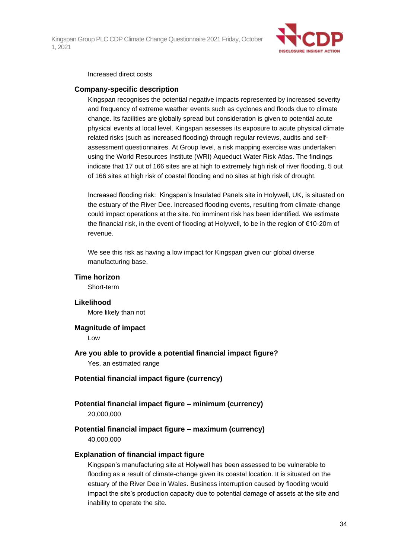

#### Increased direct costs

#### **Company-specific description**

Kingspan recognises the potential negative impacts represented by increased severity and frequency of extreme weather events such as cyclones and floods due to climate change. Its facilities are globally spread but consideration is given to potential acute physical events at local level. Kingspan assesses its exposure to acute physical climate related risks (such as increased flooding) through regular reviews, audits and selfassessment questionnaires. At Group level, a risk mapping exercise was undertaken using the World Resources Institute (WRI) Aqueduct Water Risk Atlas. The findings indicate that 17 out of 166 sites are at high to extremely high risk of river flooding, 5 out of 166 sites at high risk of coastal flooding and no sites at high risk of drought.

Increased flooding risk: Kingspan's Insulated Panels site in Holywell, UK, is situated on the estuary of the River Dee. Increased flooding events, resulting from climate-change could impact operations at the site. No imminent risk has been identified. We estimate the financial risk, in the event of flooding at Holywell, to be in the region of €10-20m of revenue.

We see this risk as having a low impact for Kingspan given our global diverse manufacturing base.

#### **Time horizon**

Short-term

#### **Likelihood**

More likely than not

#### **Magnitude of impact**

Low

## **Are you able to provide a potential financial impact figure?** Yes, an estimated range

#### **Potential financial impact figure (currency)**

#### **Potential financial impact figure – minimum (currency)** 20,000,000

## **Potential financial impact figure – maximum (currency)** 40,000,000

### **Explanation of financial impact figure**

Kingspan's manufacturing site at Holywell has been assessed to be vulnerable to flooding as a result of climate-change given its coastal location. It is situated on the estuary of the River Dee in Wales. Business interruption caused by flooding would impact the site's production capacity due to potential damage of assets at the site and inability to operate the site.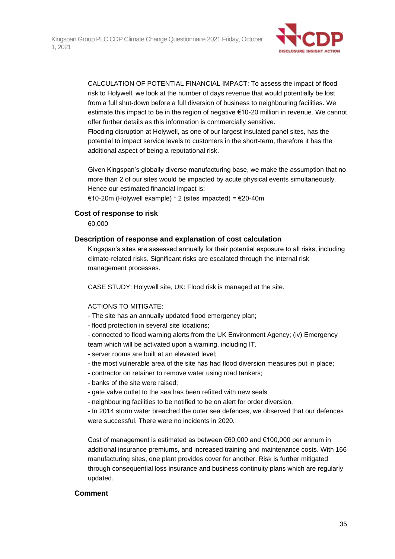

CALCULATION OF POTENTIAL FINANCIAL IMPACT: To assess the impact of flood risk to Holywell, we look at the number of days revenue that would potentially be lost from a full shut-down before a full diversion of business to neighbouring facilities. We estimate this impact to be in the region of negative €10-20 million in revenue. We cannot offer further details as this information is commercially sensitive.

Flooding disruption at Holywell, as one of our largest insulated panel sites, has the potential to impact service levels to customers in the short-term, therefore it has the additional aspect of being a reputational risk.

Given Kingspan's globally diverse manufacturing base, we make the assumption that no more than 2 of our sites would be impacted by acute physical events simultaneously. Hence our estimated financial impact is:

€10-20m (Holywell example) \* 2 (sites impacted) = €20-40m

### **Cost of response to risk**

60,000

### **Description of response and explanation of cost calculation**

Kingspan's sites are assessed annually for their potential exposure to all risks, including climate-related risks. Significant risks are escalated through the internal risk management processes.

CASE STUDY: Holywell site, UK: Flood risk is managed at the site.

#### ACTIONS TO MITIGATE:

- The site has an annually updated flood emergency plan;
- flood protection in several site locations;
- connected to flood warning alerts from the UK Environment Agency; (iv) Emergency team which will be activated upon a warning, including IT.
- server rooms are built at an elevated level;
- the most vulnerable area of the site has had flood diversion measures put in place;
- contractor on retainer to remove water using road tankers;
- banks of the site were raised;
- gate valve outlet to the sea has been refitted with new seals
- neighbouring facilities to be notified to be on alert for order diversion.
- In 2014 storm water breached the outer sea defences, we observed that our defences were successful. There were no incidents in 2020.

Cost of management is estimated as between €60,000 and €100,000 per annum in additional insurance premiums, and increased training and maintenance costs. With 166 manufacturing sites, one plant provides cover for another. Risk is further mitigated through consequential loss insurance and business continuity plans which are regularly updated.

#### **Comment**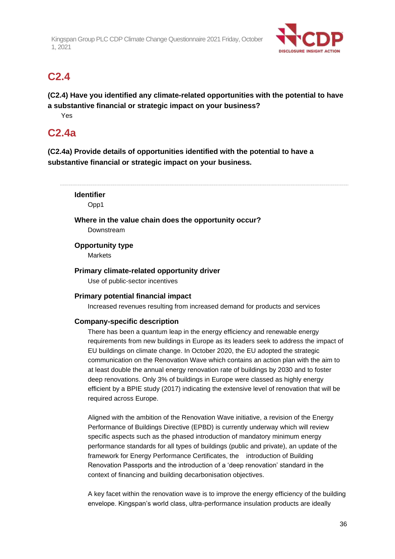

# **C2.4**

**(C2.4) Have you identified any climate-related opportunities with the potential to have a substantive financial or strategic impact on your business?**

Yes

# **C2.4a**

**(C2.4a) Provide details of opportunities identified with the potential to have a substantive financial or strategic impact on your business.**

**Identifier** Opp1 **Where in the value chain does the opportunity occur?** Downstream **Opportunity type Markets Primary climate-related opportunity driver** Use of public-sector incentives **Primary potential financial impact** Increased revenues resulting from increased demand for products and services **Company-specific description** There has been a quantum leap in the energy efficiency and renewable energy

requirements from new buildings in Europe as its leaders seek to address the impact of EU buildings on climate change. In October 2020, the EU adopted the strategic communication on the Renovation Wave which contains an action plan with the aim to at least double the annual energy renovation rate of buildings by 2030 and to foster deep renovations. Only 3% of buildings in Europe were classed as highly energy efficient by a BPIE study (2017) indicating the extensive level of renovation that will be required across Europe.

Aligned with the ambition of the Renovation Wave initiative, a revision of the Energy Performance of Buildings Directive (EPBD) is currently underway which will review specific aspects such as the phased introduction of mandatory minimum energy performance standards for all types of buildings (public and private), an update of the framework for Energy Performance Certificates, the introduction of Building Renovation Passports and the introduction of a 'deep renovation' standard in the context of financing and building decarbonisation objectives.

A key facet within the renovation wave is to improve the energy efficiency of the building envelope. Kingspan's world class, ultra-performance insulation products are ideally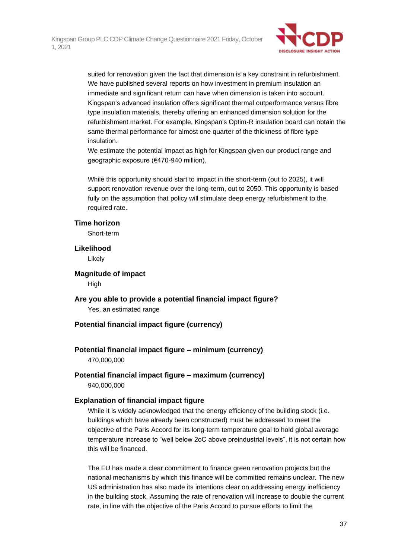

suited for renovation given the fact that dimension is a key constraint in refurbishment. We have published several reports on how investment in premium insulation an immediate and significant return can have when dimension is taken into account. Kingspan's advanced insulation offers significant thermal outperformance versus fibre type insulation materials, thereby offering an enhanced dimension solution for the refurbishment market. For example, Kingspan's Optim-R insulation board can obtain the same thermal performance for almost one quarter of the thickness of fibre type insulation.

We estimate the potential impact as high for Kingspan given our product range and geographic exposure (€470-940 million).

While this opportunity should start to impact in the short-term (out to 2025), it will support renovation revenue over the long-term, out to 2050. This opportunity is based fully on the assumption that policy will stimulate deep energy refurbishment to the required rate.

### **Time horizon**

Short-term

### **Likelihood**

Likely

**Magnitude of impact** High

**Are you able to provide a potential financial impact figure?** Yes, an estimated range

### **Potential financial impact figure (currency)**

### **Potential financial impact figure – minimum (currency)**

470,000,000

### **Potential financial impact figure – maximum (currency)** 940,000,000

### **Explanation of financial impact figure**

While it is widely acknowledged that the energy efficiency of the building stock (i.e. buildings which have already been constructed) must be addressed to meet the objective of the Paris Accord for its long-term temperature goal to hold global average temperature increase to "well below 2oC above preindustrial levels", it is not certain how this will be financed.

The EU has made a clear commitment to finance green renovation projects but the national mechanisms by which this finance will be committed remains unclear. The new US administration has also made its intentions clear on addressing energy inefficiency in the building stock. Assuming the rate of renovation will increase to double the current rate, in line with the objective of the Paris Accord to pursue efforts to limit the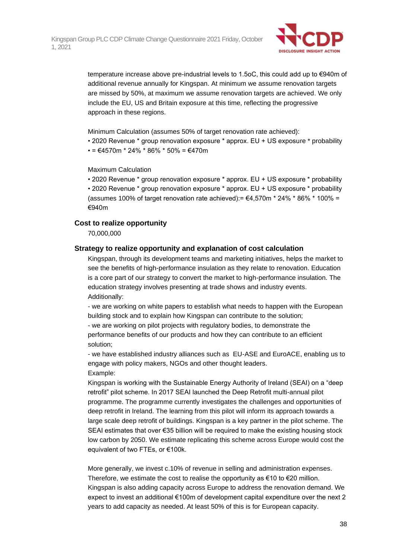

temperature increase above pre-industrial levels to 1.5oC, this could add up to €940m of additional revenue annually for Kingspan. At minimum we assume renovation targets are missed by 50%, at maximum we assume renovation targets are achieved. We only include the EU, US and Britain exposure at this time, reflecting the progressive approach in these regions.

Minimum Calculation (assumes 50% of target renovation rate achieved):

• 2020 Revenue \* group renovation exposure \* approx. EU + US exposure \* probability

 $\cdot$  = €4570m \* 24% \* 86% \* 50% = €470m

Maximum Calculation

• 2020 Revenue \* group renovation exposure \* approx. EU + US exposure \* probability • 2020 Revenue \* group renovation exposure \* approx. EU + US exposure \* probability (assumes 100% of target renovation rate achieved):=  $\epsilon$ 4,570m \* 24% \* 86% \* 100% = €940m

### **Cost to realize opportunity**

70,000,000

### **Strategy to realize opportunity and explanation of cost calculation**

Kingspan, through its development teams and marketing initiatives, helps the market to see the benefits of high-performance insulation as they relate to renovation. Education is a core part of our strategy to convert the market to high-performance insulation. The education strategy involves presenting at trade shows and industry events. Additionally:

- we are working on white papers to establish what needs to happen with the European building stock and to explain how Kingspan can contribute to the solution;

- we are working on pilot projects with regulatory bodies, to demonstrate the performance benefits of our products and how they can contribute to an efficient solution;

- we have established industry alliances such as EU-ASE and EuroACE, enabling us to engage with policy makers, NGOs and other thought leaders. Example:

Kingspan is working with the Sustainable Energy Authority of Ireland (SEAI) on a "deep retrofit" pilot scheme. In 2017 SEAI launched the Deep Retrofit multi-annual pilot programme. The programme currently investigates the challenges and opportunities of deep retrofit in Ireland. The learning from this pilot will inform its approach towards a large scale deep retrofit of buildings. Kingspan is a key partner in the pilot scheme. The SEAI estimates that over €35 billion will be required to make the existing housing stock low carbon by 2050. We estimate replicating this scheme across Europe would cost the equivalent of two FTEs, or €100k.

More generally, we invest c.10% of revenue in selling and administration expenses. Therefore, we estimate the cost to realise the opportunity as  $\epsilon$ 10 to  $\epsilon$ 20 million. Kingspan is also adding capacity across Europe to address the renovation demand. We expect to invest an additional €100m of development capital expenditure over the next 2 years to add capacity as needed. At least 50% of this is for European capacity.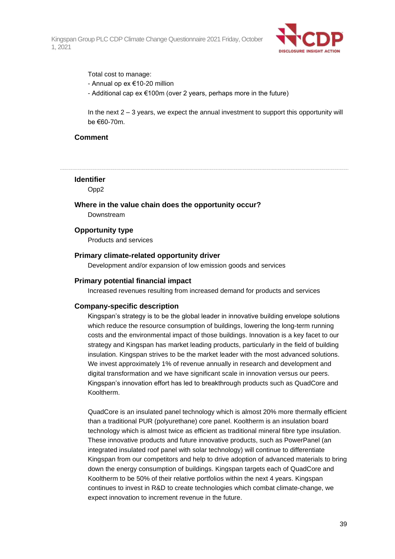

Total cost to manage: - Annual op ex €10-20 million - Additional cap ex €100m (over 2 years, perhaps more in the future)

In the next 2 – 3 years, we expect the annual investment to support this opportunity will be €60-70m.

### **Comment**

**Identifier**

Opp2

**Where in the value chain does the opportunity occur?** Downstream

**Opportunity type**

Products and services

#### **Primary climate-related opportunity driver**

Development and/or expansion of low emission goods and services

#### **Primary potential financial impact**

Increased revenues resulting from increased demand for products and services

#### **Company-specific description**

Kingspan's strategy is to be the global leader in innovative building envelope solutions which reduce the resource consumption of buildings, lowering the long-term running costs and the environmental impact of those buildings. Innovation is a key facet to our strategy and Kingspan has market leading products, particularly in the field of building insulation. Kingspan strives to be the market leader with the most advanced solutions. We invest approximately 1% of revenue annually in research and development and digital transformation and we have significant scale in innovation versus our peers. Kingspan's innovation effort has led to breakthrough products such as QuadCore and Kooltherm.

QuadCore is an insulated panel technology which is almost 20% more thermally efficient than a traditional PUR (polyurethane) core panel. Kooltherm is an insulation board technology which is almost twice as efficient as traditional mineral fibre type insulation. These innovative products and future innovative products, such as PowerPanel (an integrated insulated roof panel with solar technology) will continue to differentiate Kingspan from our competitors and help to drive adoption of advanced materials to bring down the energy consumption of buildings. Kingspan targets each of QuadCore and Kooltherm to be 50% of their relative portfolios within the next 4 years. Kingspan continues to invest in R&D to create technologies which combat climate-change, we expect innovation to increment revenue in the future.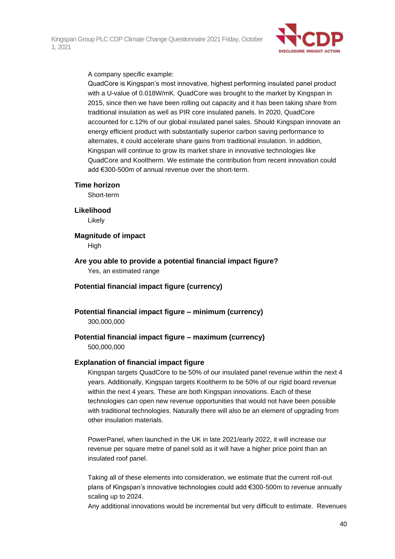

A company specific example:

QuadCore is Kingspan's most innovative, highest performing insulated panel product with a U-value of 0.018W/mK. QuadCore was brought to the market by Kingspan in 2015, since then we have been rolling out capacity and it has been taking share from traditional insulation as well as PIR core insulated panels. In 2020, QuadCore accounted for c.12% of our global insulated panel sales. Should Kingspan innovate an energy efficient product with substantially superior carbon saving performance to alternates, it could accelerate share gains from traditional insulation. In addition, Kingspan will continue to grow its market share in innovative technologies like QuadCore and Kooltherm. We estimate the contribution from recent innovation could add €300-500m of annual revenue over the short-term.

**Time horizon**

Short-term

**Likelihood**

Likely

**Magnitude of impact**

**High** 

**Are you able to provide a potential financial impact figure?** Yes, an estimated range

- **Potential financial impact figure (currency)**
- **Potential financial impact figure – minimum (currency)** 300,000,000

# **Potential financial impact figure – maximum (currency)**

500,000,000

### **Explanation of financial impact figure**

Kingspan targets QuadCore to be 50% of our insulated panel revenue within the next 4 years. Additionally, Kingspan targets Kooltherm to be 50% of our rigid board revenue within the next 4 years. These are both Kingspan innovations. Each of these technologies can open new revenue opportunities that would not have been possible with traditional technologies. Naturally there will also be an element of upgrading from other insulation materials.

PowerPanel, when launched in the UK in late 2021/early 2022, it will increase our revenue per square metre of panel sold as it will have a higher price point than an insulated roof panel.

Taking all of these elements into consideration, we estimate that the current roll-out plans of Kingspan's innovative technologies could add €300-500m to revenue annually scaling up to 2024.

Any additional innovations would be incremental but very difficult to estimate. Revenues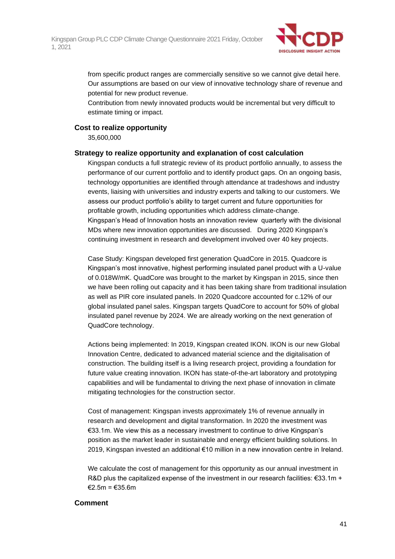

from specific product ranges are commercially sensitive so we cannot give detail here. Our assumptions are based on our view of innovative technology share of revenue and potential for new product revenue.

Contribution from newly innovated products would be incremental but very difficult to estimate timing or impact.

### **Cost to realize opportunity**

35,600,000

### **Strategy to realize opportunity and explanation of cost calculation**

Kingspan conducts a full strategic review of its product portfolio annually, to assess the performance of our current portfolio and to identify product gaps. On an ongoing basis, technology opportunities are identified through attendance at tradeshows and industry events, liaising with universities and industry experts and talking to our customers. We assess our product portfolio's ability to target current and future opportunities for profitable growth, including opportunities which address climate-change. Kingspan's Head of Innovation hosts an innovation review quarterly with the divisional MDs where new innovation opportunities are discussed. During 2020 Kingspan's continuing investment in research and development involved over 40 key projects.

Case Study: Kingspan developed first generation QuadCore in 2015. Quadcore is Kingspan's most innovative, highest performing insulated panel product with a U-value of 0.018W/mK. QuadCore was brought to the market by Kingspan in 2015, since then we have been rolling out capacity and it has been taking share from traditional insulation as well as PIR core insulated panels. In 2020 Quadcore accounted for c.12% of our global insulated panel sales. Kingspan targets QuadCore to account for 50% of global insulated panel revenue by 2024. We are already working on the next generation of QuadCore technology.

Actions being implemented: In 2019, Kingspan created IKON. IKON is our new Global Innovation Centre, dedicated to advanced material science and the digitalisation of construction. The building itself is a living research project, providing a foundation for future value creating innovation. IKON has state-of-the-art laboratory and prototyping capabilities and will be fundamental to driving the next phase of innovation in climate mitigating technologies for the construction sector.

Cost of management: Kingspan invests approximately 1% of revenue annually in research and development and digital transformation. In 2020 the investment was €33.1m. We view this as a necessary investment to continue to drive Kingspan's position as the market leader in sustainable and energy efficient building solutions. In 2019, Kingspan invested an additional €10 million in a new innovation centre in Ireland.

We calculate the cost of management for this opportunity as our annual investment in R&D plus the capitalized expense of the investment in our research facilities:  $\epsilon$ 33.1m + €2.5m = €35.6m

### **Comment**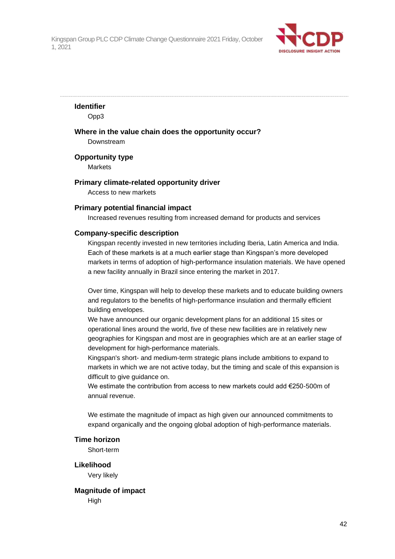

### **Identifier**

Opp3

### **Where in the value chain does the opportunity occur?** Downstream

**Opportunity type**

**Markets** 

# **Primary climate-related opportunity driver**

Access to new markets

### **Primary potential financial impact**

Increased revenues resulting from increased demand for products and services

### **Company-specific description**

Kingspan recently invested in new territories including Iberia, Latin America and India. Each of these markets is at a much earlier stage than Kingspan's more developed markets in terms of adoption of high-performance insulation materials. We have opened a new facility annually in Brazil since entering the market in 2017.

Over time, Kingspan will help to develop these markets and to educate building owners and regulators to the benefits of high-performance insulation and thermally efficient building envelopes.

We have announced our organic development plans for an additional 15 sites or operational lines around the world, five of these new facilities are in relatively new geographies for Kingspan and most are in geographies which are at an earlier stage of development for high-performance materials.

Kingspan's short- and medium-term strategic plans include ambitions to expand to markets in which we are not active today, but the timing and scale of this expansion is difficult to give guidance on.

We estimate the contribution from access to new markets could add €250-500m of annual revenue.

We estimate the magnitude of impact as high given our announced commitments to expand organically and the ongoing global adoption of high-performance materials.

### **Time horizon**

Short-term

**Likelihood** Very likely

**Magnitude of impact High**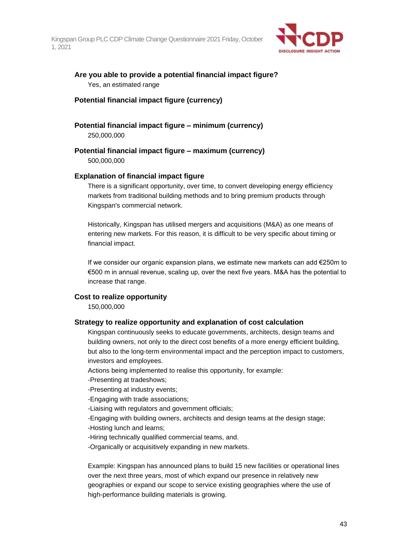

**Are you able to provide a potential financial impact figure?** Yes, an estimated range

### **Potential financial impact figure (currency)**

**Potential financial impact figure – minimum (currency)** 250,000,000

**Potential financial impact figure – maximum (currency)**

500,000,000

### **Explanation of financial impact figure**

There is a significant opportunity, over time, to convert developing energy efficiency markets from traditional building methods and to bring premium products through Kingspan's commercial network.

Historically, Kingspan has utilised mergers and acquisitions (M&A) as one means of entering new markets. For this reason, it is difficult to be very specific about timing or financial impact.

If we consider our organic expansion plans, we estimate new markets can add €250m to €500 m in annual revenue, scaling up, over the next five years. M&A has the potential to increase that range.

### **Cost to realize opportunity**

150,000,000

### **Strategy to realize opportunity and explanation of cost calculation**

Kingspan continuously seeks to educate governments, architects, design teams and building owners, not only to the direct cost benefits of a more energy efficient building, but also to the long-term environmental impact and the perception impact to customers, investors and employees.

Actions being implemented to realise this opportunity, for example:

-Presenting at tradeshows;

-Presenting at industry events;

-Engaging with trade associations;

-Liaising with regulators and government officials;

-Engaging with building owners, architects and design teams at the design stage;

-Hosting lunch and learns;

-Hiring technically qualified commercial teams, and.

-Organically or acquisitively expanding in new markets.

Example: Kingspan has announced plans to build 15 new facilities or operational lines over the next three years, most of which expand our presence in relatively new geographies or expand our scope to service existing geographies where the use of high-performance building materials is growing.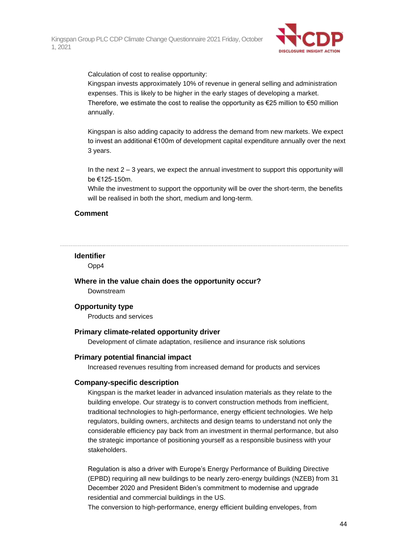

Calculation of cost to realise opportunity:

Kingspan invests approximately 10% of revenue in general selling and administration expenses. This is likely to be higher in the early stages of developing a market. Therefore, we estimate the cost to realise the opportunity as  $\epsilon$ 25 million to  $\epsilon$ 50 million annually.

Kingspan is also adding capacity to address the demand from new markets. We expect to invest an additional €100m of development capital expenditure annually over the next 3 years.

In the next  $2 - 3$  years, we expect the annual investment to support this opportunity will be €125-150m.

While the investment to support the opportunity will be over the short-term, the benefits will be realised in both the short, medium and long-term.

### **Comment**

#### **Identifier**

Opp4

**Where in the value chain does the opportunity occur?**

Downstream

### **Opportunity type**

Products and services

#### **Primary climate-related opportunity driver**

Development of climate adaptation, resilience and insurance risk solutions

#### **Primary potential financial impact**

Increased revenues resulting from increased demand for products and services

#### **Company-specific description**

Kingspan is the market leader in advanced insulation materials as they relate to the building envelope. Our strategy is to convert construction methods from inefficient, traditional technologies to high-performance, energy efficient technologies. We help regulators, building owners, architects and design teams to understand not only the considerable efficiency pay back from an investment in thermal performance, but also the strategic importance of positioning yourself as a responsible business with your stakeholders.

Regulation is also a driver with Europe's Energy Performance of Building Directive (EPBD) requiring all new buildings to be nearly zero-energy buildings (NZEB) from 31 December 2020 and President Biden's commitment to modernise and upgrade residential and commercial buildings in the US.

The conversion to high-performance, energy efficient building envelopes, from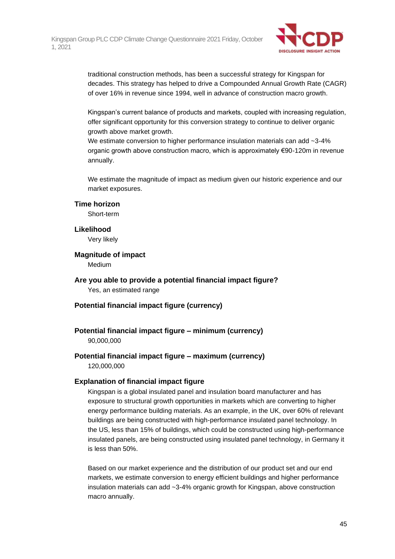

traditional construction methods, has been a successful strategy for Kingspan for decades. This strategy has helped to drive a Compounded Annual Growth Rate (CAGR) of over 16% in revenue since 1994, well in advance of construction macro growth.

Kingspan's current balance of products and markets, coupled with increasing regulation, offer significant opportunity for this conversion strategy to continue to deliver organic growth above market growth.

We estimate conversion to higher performance insulation materials can add ~3-4% organic growth above construction macro, which is approximately €90-120m in revenue annually.

We estimate the magnitude of impact as medium given our historic experience and our market exposures.

### **Time horizon**

Short-term

#### **Likelihood**

Very likely

### **Magnitude of impact**

Medium

- **Are you able to provide a potential financial impact figure?** Yes, an estimated range
- **Potential financial impact figure (currency)**

### **Potential financial impact figure – minimum (currency)**

90,000,000

### **Potential financial impact figure – maximum (currency)** 120,000,000

### **Explanation of financial impact figure**

Kingspan is a global insulated panel and insulation board manufacturer and has exposure to structural growth opportunities in markets which are converting to higher energy performance building materials. As an example, in the UK, over 60% of relevant buildings are being constructed with high-performance insulated panel technology. In the US, less than 15% of buildings, which could be constructed using high-performance insulated panels, are being constructed using insulated panel technology, in Germany it is less than 50%.

Based on our market experience and the distribution of our product set and our end markets, we estimate conversion to energy efficient buildings and higher performance insulation materials can add ~3-4% organic growth for Kingspan, above construction macro annually.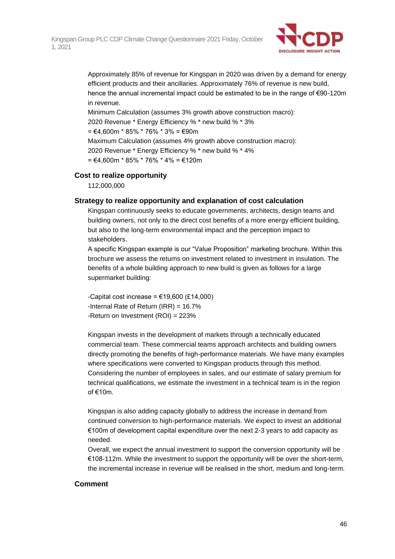

Approximately 85% of revenue for Kingspan in 2020 was driven by a demand for energy efficient products and their ancillaries. Approximately 76% of revenue is new build, hence the annual incremental impact could be estimated to be in the range of €90-120m in revenue.

Minimum Calculation (assumes 3% growth above construction macro): 2020 Revenue \* Energy Efficiency % \* new build % \* 3% = €4,600m \* 85% \* 76% \* 3% = €90m Maximum Calculation (assumes 4% growth above construction macro): 2020 Revenue \* Energy Efficiency % \* new build % \* 4%  $=$  €4.600m  $*$  85%  $*$  76%  $*$  4% = €120m

### **Cost to realize opportunity**

112,000,000

### **Strategy to realize opportunity and explanation of cost calculation**

Kingspan continuously seeks to educate governments, architects, design teams and building owners, not only to the direct cost benefits of a more energy efficient building, but also to the long-term environmental impact and the perception impact to stakeholders.

A specific Kingspan example is our "Value Proposition" marketing brochure. Within this brochure we assess the returns on investment related to investment in insulation. The benefits of a whole building approach to new build is given as follows for a large supermarket building:

-Capital cost increase =  $€19,600$  (£14,000) -Internal Rate of Return (IRR) = 16.7% -Return on Investment (ROI) = 223%

Kingspan invests in the development of markets through a technically educated commercial team. These commercial teams approach architects and building owners directly promoting the benefits of high-performance materials. We have many examples where specifications were converted to Kingspan products through this method. Considering the number of employees in sales, and our estimate of salary premium for technical qualifications, we estimate the investment in a technical team is in the region of €10m.

Kingspan is also adding capacity globally to address the increase in demand from continued conversion to high-performance materials. We expect to invest an additional €100m of development capital expenditure over the next 2-3 years to add capacity as needed.

Overall, we expect the annual investment to support the conversion opportunity will be €108-112m. While the investment to support the opportunity will be over the short-term, the incremental increase in revenue will be realised in the short, medium and long-term.

### **Comment**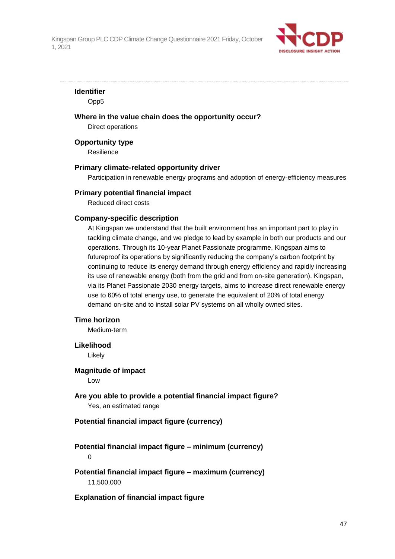

### **Identifier**

Opp5

**Where in the value chain does the opportunity occur?**

Direct operations

#### **Opportunity type**

**Resilience** 

#### **Primary climate-related opportunity driver**

Participation in renewable energy programs and adoption of energy-efficiency measures

#### **Primary potential financial impact**

Reduced direct costs

### **Company-specific description**

At Kingspan we understand that the built environment has an important part to play in tackling climate change, and we pledge to lead by example in both our products and our operations. Through its 10-year Planet Passionate programme, Kingspan aims to futureproof its operations by significantly reducing the company's carbon footprint by continuing to reduce its energy demand through energy efficiency and rapidly increasing its use of renewable energy (both from the grid and from on-site generation). Kingspan, via its Planet Passionate 2030 energy targets, aims to increase direct renewable energy use to 60% of total energy use, to generate the equivalent of 20% of total energy demand on-site and to install solar PV systems on all wholly owned sites.

### **Time horizon**

Medium-term

### **Likelihood**

Likely

### **Magnitude of impact**

Low

**Are you able to provide a potential financial impact figure?** Yes, an estimated range

### **Potential financial impact figure (currency)**

# **Potential financial impact figure – minimum (currency)**

0

### **Potential financial impact figure – maximum (currency)** 11,500,000

### **Explanation of financial impact figure**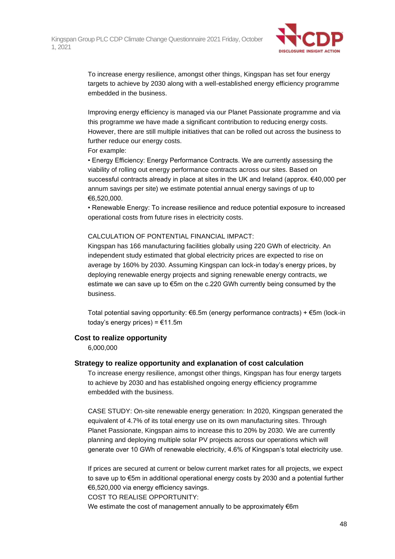

To increase energy resilience, amongst other things, Kingspan has set four energy targets to achieve by 2030 along with a well-established energy efficiency programme embedded in the business.

Improving energy efficiency is managed via our Planet Passionate programme and via this programme we have made a significant contribution to reducing energy costs. However, there are still multiple initiatives that can be rolled out across the business to further reduce our energy costs.

For example:

• Energy Efficiency: Energy Performance Contracts. We are currently assessing the viability of rolling out energy performance contracts across our sites. Based on successful contracts already in place at sites in the UK and Ireland (approx. €40,000 per annum savings per site) we estimate potential annual energy savings of up to €6,520,000.

• Renewable Energy: To increase resilience and reduce potential exposure to increased operational costs from future rises in electricity costs.

### CALCULATION OF PONTENTIAL FINANCIAL IMPACT:

Kingspan has 166 manufacturing facilities globally using 220 GWh of electricity. An independent study estimated that global electricity prices are expected to rise on average by 160% by 2030. Assuming Kingspan can lock-in today's energy prices, by deploying renewable energy projects and signing renewable energy contracts, we estimate we can save up to €5m on the c.220 GWh currently being consumed by the business.

Total potential saving opportunity: €6.5m (energy performance contracts) + €5m (lock-in today's energy prices) =  $€11.5m$ 

### **Cost to realize opportunity**

6,000,000

### **Strategy to realize opportunity and explanation of cost calculation**

To increase energy resilience, amongst other things, Kingspan has four energy targets to achieve by 2030 and has established ongoing energy efficiency programme embedded with the business.

CASE STUDY: On-site renewable energy generation: In 2020, Kingspan generated the equivalent of 4.7% of its total energy use on its own manufacturing sites. Through Planet Passionate, Kingspan aims to increase this to 20% by 2030. We are currently planning and deploying multiple solar PV projects across our operations which will generate over 10 GWh of renewable electricity, 4.6% of Kingspan's total electricity use.

If prices are secured at current or below current market rates for all projects, we expect to save up to €5m in additional operational energy costs by 2030 and a potential further €6,520,000 via energy efficiency savings.

COST TO REALISE OPPORTUNITY:

We estimate the cost of management annually to be approximately €6m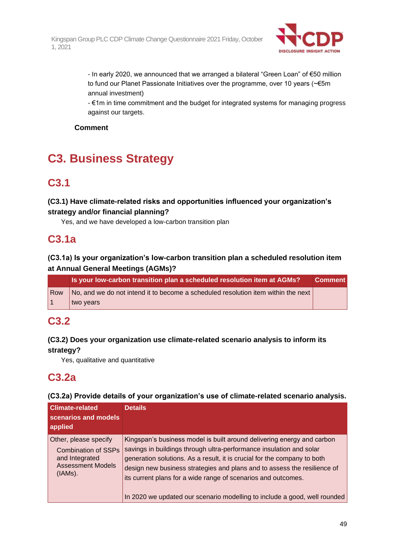

- In early 2020, we announced that we arranged a bilateral "Green Loan" of €50 million to fund our Planet Passionate Initiatives over the programme, over 10 years (~€5m annual investment)

- €1m in time commitment and the budget for integrated systems for managing progress against our targets.

### **Comment**

# **C3. Business Strategy**

# **C3.1**

### **(C3.1) Have climate-related risks and opportunities influenced your organization's strategy and/or financial planning?**

Yes, and we have developed a low-carbon transition plan

# **C3.1a**

### **(C3.1a) Is your organization's low-carbon transition plan a scheduled resolution item at Annual General Meetings (AGMs)?**

|     | <b>Is your low-carbon transition plan a scheduled resoluti<u>on item at AGMs?</u></b> | <b>Comment</b> |
|-----|---------------------------------------------------------------------------------------|----------------|
| Row | No, and we do not intend it to become a scheduled resolution item within the next     |                |
|     | two years                                                                             |                |

# **C3.2**

### **(C3.2) Does your organization use climate-related scenario analysis to inform its strategy?**

Yes, qualitative and quantitative

# **C3.2a**

### **(C3.2a) Provide details of your organization's use of climate-related scenario analysis.**

| <b>Climate-related</b><br>scenarios and models<br>applied                                                    | <b>Details</b>                                                                                                                                                                                                                                                                                                                                                                                                                                      |
|--------------------------------------------------------------------------------------------------------------|-----------------------------------------------------------------------------------------------------------------------------------------------------------------------------------------------------------------------------------------------------------------------------------------------------------------------------------------------------------------------------------------------------------------------------------------------------|
| Other, please specify<br><b>Combination of SSPs</b><br>and Integrated<br><b>Assessment Models</b><br>(IAMs). | Kingspan's business model is built around delivering energy and carbon<br>savings in buildings through ultra-performance insulation and solar<br>generation solutions. As a result, it is crucial for the company to both<br>design new business strategies and plans and to assess the resilience of<br>its current plans for a wide range of scenarios and outcomes.<br>In 2020 we updated our scenario modelling to include a good, well rounded |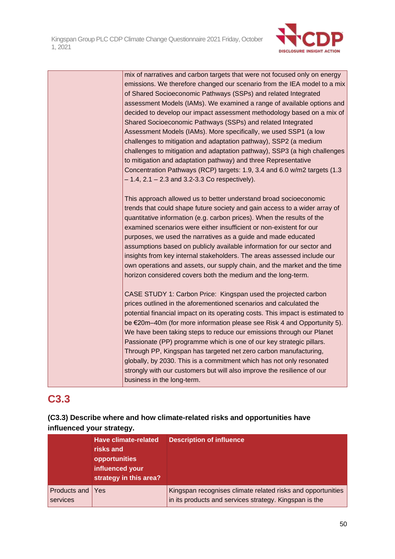

mix of narratives and carbon targets that were not focused only on energy emissions. We therefore changed our scenario from the IEA model to a mix of Shared Socioeconomic Pathways (SSPs) and related Integrated assessment Models (IAMs). We examined a range of available options and decided to develop our impact assessment methodology based on a mix of Shared Socioeconomic Pathways (SSPs) and related Integrated Assessment Models (IAMs). More specifically, we used SSP1 (a low challenges to mitigation and adaptation pathway), SSP2 (a medium challenges to mitigation and adaptation pathway), SSP3 (a high challenges to mitigation and adaptation pathway) and three Representative Concentration Pathways (RCP) targets: 1.9, 3.4 and 6.0 w/m2 targets (1.3  $-1.4$ ,  $2.1 - 2.3$  and  $3.2 - 3.3$  Co respectively).

This approach allowed us to better understand broad socioeconomic trends that could shape future society and gain access to a wider array of quantitative information (e.g. carbon prices). When the results of the examined scenarios were either insufficient or non-existent for our purposes, we used the narratives as a guide and made educated assumptions based on publicly available information for our sector and insights from key internal stakeholders. The areas assessed include our own operations and assets, our supply chain, and the market and the time horizon considered covers both the medium and the long-term.

CASE STUDY 1: Carbon Price: Kingspan used the projected carbon prices outlined in the aforementioned scenarios and calculated the potential financial impact on its operating costs. This impact is estimated to be €20m–40m (for more information please see Risk 4 and Opportunity 5). We have been taking steps to reduce our emissions through our Planet Passionate (PP) programme which is one of our key strategic pillars. Through PP, Kingspan has targeted net zero carbon manufacturing, globally, by 2030. This is a commitment which has not only resonated strongly with our customers but will also improve the resilience of our business in the long-term.

# **C3.3**

### **(C3.3) Describe where and how climate-related risks and opportunities have influenced your strategy.**

|                              | <b>Have climate-related</b><br>risks and<br>opportunities<br>influenced your<br>strategy in this area? | <b>Description of influence</b>                                                                                       |
|------------------------------|--------------------------------------------------------------------------------------------------------|-----------------------------------------------------------------------------------------------------------------------|
| Products and Yes<br>services |                                                                                                        | Kingspan recognises climate related risks and opportunities<br>in its products and services strategy. Kingspan is the |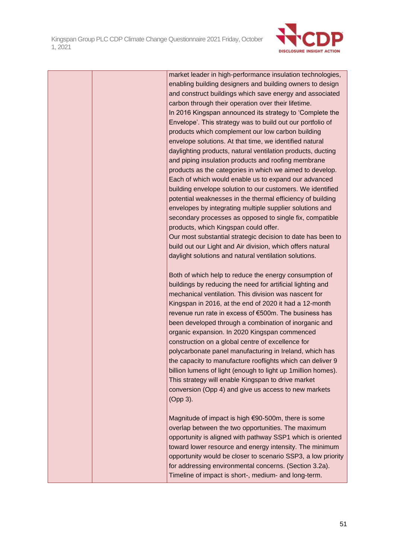

|  | market leader in high-performance insulation technologies,<br>enabling building designers and building owners to design<br>and construct buildings which save energy and associated<br>carbon through their operation over their lifetime.<br>In 2016 Kingspan announced its strategy to 'Complete the<br>Envelope'. This strategy was to build out our portfolio of<br>products which complement our low carbon building<br>envelope solutions. At that time, we identified natural<br>daylighting products, natural ventilation products, ducting<br>and piping insulation products and roofing membrane<br>products as the categories in which we aimed to develop.<br>Each of which would enable us to expand our advanced<br>building envelope solution to our customers. We identified<br>potential weaknesses in the thermal efficiency of building<br>envelopes by integrating multiple supplier solutions and<br>secondary processes as opposed to single fix, compatible<br>products, which Kingspan could offer.<br>Our most substantial strategic decision to date has been to<br>build out our Light and Air division, which offers natural<br>daylight solutions and natural ventilation solutions.<br>Both of which help to reduce the energy consumption of<br>buildings by reducing the need for artificial lighting and<br>mechanical ventilation. This division was nascent for |
|--|----------------------------------------------------------------------------------------------------------------------------------------------------------------------------------------------------------------------------------------------------------------------------------------------------------------------------------------------------------------------------------------------------------------------------------------------------------------------------------------------------------------------------------------------------------------------------------------------------------------------------------------------------------------------------------------------------------------------------------------------------------------------------------------------------------------------------------------------------------------------------------------------------------------------------------------------------------------------------------------------------------------------------------------------------------------------------------------------------------------------------------------------------------------------------------------------------------------------------------------------------------------------------------------------------------------------------------------------------------------------------------------------------|
|  | Kingspan in 2016, at the end of 2020 it had a 12-month<br>revenue run rate in excess of €500m. The business has<br>been developed through a combination of inorganic and<br>organic expansion. In 2020 Kingspan commenced<br>construction on a global centre of excellence for<br>polycarbonate panel manufacturing in Ireland, which has<br>the capacity to manufacture rooflights which can deliver 9<br>billion lumens of light (enough to light up 1 million homes).<br>This strategy will enable Kingspan to drive market<br>conversion (Opp 4) and give us access to new markets<br>(Opp 3).                                                                                                                                                                                                                                                                                                                                                                                                                                                                                                                                                                                                                                                                                                                                                                                                 |
|  | Magnitude of impact is high €90-500m, there is some<br>overlap between the two opportunities. The maximum<br>opportunity is aligned with pathway SSP1 which is oriented<br>toward lower resource and energy intensity. The minimum<br>opportunity would be closer to scenario SSP3, a low priority<br>for addressing environmental concerns. (Section 3.2a).<br>Timeline of impact is short-, medium- and long-term.                                                                                                                                                                                                                                                                                                                                                                                                                                                                                                                                                                                                                                                                                                                                                                                                                                                                                                                                                                               |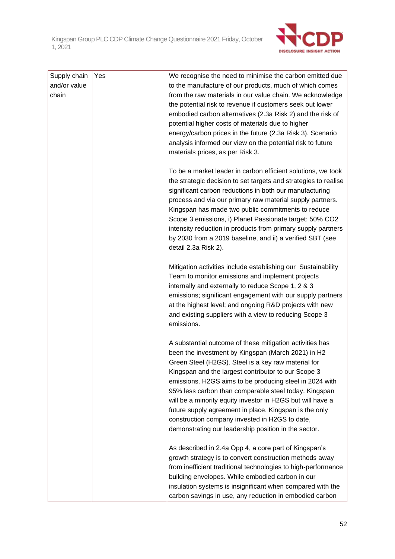

| Supply chain | Yes | We recognise the need to minimise the carbon emitted due        |
|--------------|-----|-----------------------------------------------------------------|
| and/or value |     | to the manufacture of our products, much of which comes         |
| chain        |     | from the raw materials in our value chain. We acknowledge       |
|              |     | the potential risk to revenue if customers seek out lower       |
|              |     | embodied carbon alternatives (2.3a Risk 2) and the risk of      |
|              |     | potential higher costs of materials due to higher               |
|              |     | energy/carbon prices in the future (2.3a Risk 3). Scenario      |
|              |     | analysis informed our view on the potential risk to future      |
|              |     | materials prices, as per Risk 3.                                |
|              |     |                                                                 |
|              |     | To be a market leader in carbon efficient solutions, we took    |
|              |     | the strategic decision to set targets and strategies to realise |
|              |     | significant carbon reductions in both our manufacturing         |
|              |     | process and via our primary raw material supply partners.       |
|              |     | Kingspan has made two public commitments to reduce              |
|              |     | Scope 3 emissions, i) Planet Passionate target: 50% CO2         |
|              |     | intensity reduction in products from primary supply partners    |
|              |     | by 2030 from a 2019 baseline, and ii) a verified SBT (see       |
|              |     | detail 2.3a Risk 2).                                            |
|              |     | Mitigation activities include establishing our Sustainability   |
|              |     | Team to monitor emissions and implement projects                |
|              |     | internally and externally to reduce Scope 1, 2 & 3              |
|              |     | emissions; significant engagement with our supply partners      |
|              |     | at the highest level; and ongoing R&D projects with new         |
|              |     | and existing suppliers with a view to reducing Scope 3          |
|              |     | emissions.                                                      |
|              |     |                                                                 |
|              |     | A substantial outcome of these mitigation activities has        |
|              |     | been the investment by Kingspan (March 2021) in H2              |
|              |     | Green Steel (H2GS). Steel is a key raw material for             |
|              |     | Kingspan and the largest contributor to our Scope 3             |
|              |     | emissions. H2GS aims to be producing steel in 2024 with         |
|              |     | 95% less carbon than comparable steel today. Kingspan           |
|              |     | will be a minority equity investor in H2GS but will have a      |
|              |     | future supply agreement in place. Kingspan is the only          |
|              |     | construction company invested in H2GS to date,                  |
|              |     | demonstrating our leadership position in the sector.            |
|              |     | As described in 2.4a Opp 4, a core part of Kingspan's           |
|              |     | growth strategy is to convert construction methods away         |
|              |     | from inefficient traditional technologies to high-performance   |
|              |     | building envelopes. While embodied carbon in our                |
|              |     | insulation systems is insignificant when compared with the      |
|              |     | carbon savings in use, any reduction in embodied carbon         |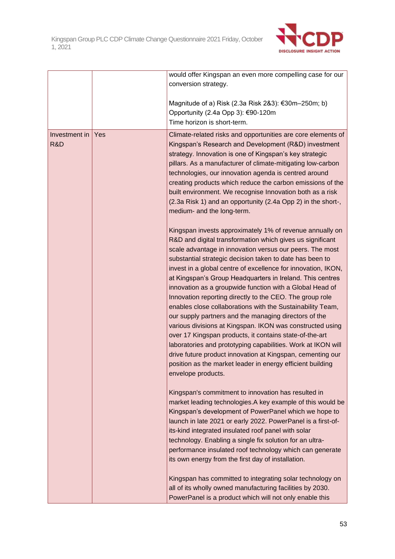

|                      |     | would offer Kingspan an even more compelling case for our<br>conversion strategy.                                                                                                                                                                                                                                                                                                                                                                                                                                                                                                                                                                                                                                                                                                                                                                                                                                                                                    |
|----------------------|-----|----------------------------------------------------------------------------------------------------------------------------------------------------------------------------------------------------------------------------------------------------------------------------------------------------------------------------------------------------------------------------------------------------------------------------------------------------------------------------------------------------------------------------------------------------------------------------------------------------------------------------------------------------------------------------------------------------------------------------------------------------------------------------------------------------------------------------------------------------------------------------------------------------------------------------------------------------------------------|
|                      |     | Magnitude of a) Risk (2.3a Risk 2&3): €30m–250m; b)<br>Opportunity (2.4a Opp 3): €90-120m<br>Time horizon is short-term.                                                                                                                                                                                                                                                                                                                                                                                                                                                                                                                                                                                                                                                                                                                                                                                                                                             |
| Investment in<br>R&D | Yes | Climate-related risks and opportunities are core elements of<br>Kingspan's Research and Development (R&D) investment<br>strategy. Innovation is one of Kingspan's key strategic<br>pillars. As a manufacturer of climate-mitigating low-carbon<br>technologies, our innovation agenda is centred around<br>creating products which reduce the carbon emissions of the<br>built environment. We recognise Innovation both as a risk<br>(2.3a Risk 1) and an opportunity (2.4a Opp 2) in the short-,<br>medium- and the long-term.                                                                                                                                                                                                                                                                                                                                                                                                                                     |
|                      |     | Kingspan invests approximately 1% of revenue annually on<br>R&D and digital transformation which gives us significant<br>scale advantage in innovation versus our peers. The most<br>substantial strategic decision taken to date has been to<br>invest in a global centre of excellence for innovation, IKON,<br>at Kingspan's Group Headquarters in Ireland. This centres<br>innovation as a groupwide function with a Global Head of<br>Innovation reporting directly to the CEO. The group role<br>enables close collaborations with the Sustainability Team,<br>our supply partners and the managing directors of the<br>various divisions at Kingspan. IKON was constructed using<br>over 17 Kingspan products, it contains state-of-the-art<br>laboratories and prototyping capabilities. Work at IKON will<br>drive future product innovation at Kingspan, cementing our<br>position as the market leader in energy efficient building<br>envelope products. |
|                      |     | Kingspan's commitment to innovation has resulted in<br>market leading technologies. A key example of this would be<br>Kingspan's development of PowerPanel which we hope to<br>launch in late 2021 or early 2022. PowerPanel is a first-of-<br>its-kind integrated insulated roof panel with solar<br>technology. Enabling a single fix solution for an ultra-<br>performance insulated roof technology which can generate<br>its own energy from the first day of installation.                                                                                                                                                                                                                                                                                                                                                                                                                                                                                     |
|                      |     | Kingspan has committed to integrating solar technology on<br>all of its wholly owned manufacturing facilities by 2030.<br>PowerPanel is a product which will not only enable this                                                                                                                                                                                                                                                                                                                                                                                                                                                                                                                                                                                                                                                                                                                                                                                    |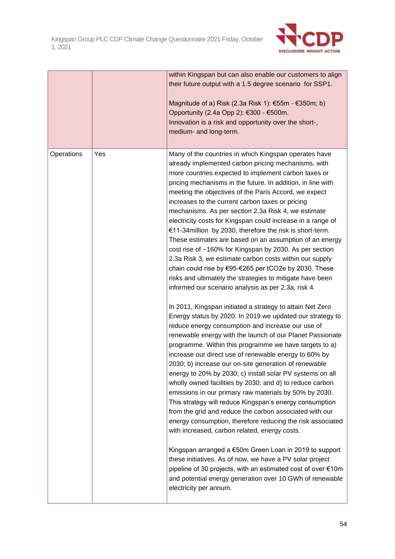

|            |     | within Kingspan but can also enable our customers to align<br>their future output with a 1.5 degree scenario for SSP1.<br>Magnitude of a) Risk (2.3a Risk 1): €55m - €350m; b)<br>Opportunity (2.4a Opp 2): €300 - €500m.<br>Innovation is a risk and opportunity over the short-,<br>medium- and long-term.                                                                                                                                                                                                                                                                                                                                                                                                                                                                                                                                                                                                                                                                                                                                                                                                                                                                                                                                                                                                                                                                                                                                                                                                                                                                                                                                                                                                                                                                                                                                                                                                                                                                                                                  |
|------------|-----|-------------------------------------------------------------------------------------------------------------------------------------------------------------------------------------------------------------------------------------------------------------------------------------------------------------------------------------------------------------------------------------------------------------------------------------------------------------------------------------------------------------------------------------------------------------------------------------------------------------------------------------------------------------------------------------------------------------------------------------------------------------------------------------------------------------------------------------------------------------------------------------------------------------------------------------------------------------------------------------------------------------------------------------------------------------------------------------------------------------------------------------------------------------------------------------------------------------------------------------------------------------------------------------------------------------------------------------------------------------------------------------------------------------------------------------------------------------------------------------------------------------------------------------------------------------------------------------------------------------------------------------------------------------------------------------------------------------------------------------------------------------------------------------------------------------------------------------------------------------------------------------------------------------------------------------------------------------------------------------------------------------------------------|
| Operations | Yes | Many of the countries in which Kingspan operates have<br>already implemented carbon pricing mechanisms, with<br>more countries expected to implement carbon taxes or<br>pricing mechanisms in the future. In addition, in line with<br>meeting the objectives of the Paris Accord, we expect<br>increases to the current carbon taxes or pricing<br>mechanisms. As per section 2.3a Risk 4, we estimate<br>electricity costs for Kingspan could increase in a range of<br>€11-34 million by 2030, therefore the risk is short-term.<br>These estimates are based on an assumption of an energy<br>cost rise of ~160% for Kingspan by 2030. As per section<br>2.3a Risk 3, we estimate carbon costs within our supply<br>chain could rise by €95-€265 per tCO2e by 2030. These<br>risks and ultimately the strategies to mitigate have been<br>informed our scenario analysis as per 2.3a, risk 4.<br>In 2011, Kingspan initiated a strategy to attain Net Zero<br>Energy status by 2020. In 2019 we updated our strategy to<br>reduce energy consumption and increase our use of<br>renewable energy with the launch of our Planet Passionate<br>programme. Within this programme we have targets to a)<br>increase our direct use of renewable energy to 60% by<br>2030: b) increase our on-site generation of renewable<br>energy to 20% by 2030; c) install solar PV systems on all<br>wholly owned facilities by 2030; and d) to reduce carbon<br>emissions in our primary raw materials by 50% by 2030.<br>This strategy will reduce Kingspan's energy consumption<br>from the grid and reduce the carbon associated with our<br>energy consumption, therefore reducing the risk associated<br>with increased, carbon related, energy costs.<br>Kingspan arranged a €50m Green Loan in 2019 to support<br>these initiatives. As of now, we have a PV solar project<br>pipeline of 30 projects, with an estimated cost of over €10m<br>and potential energy generation over 10 GWh of renewable<br>electricity per annum. |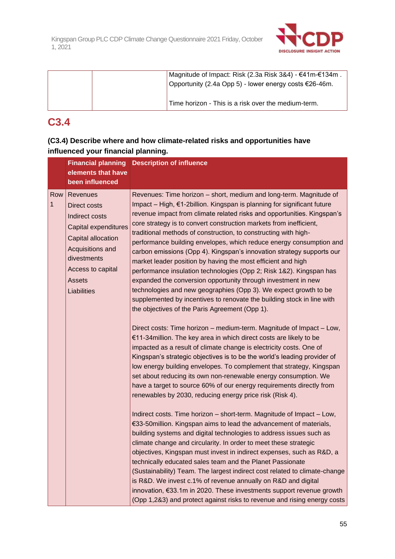

| Magnitude of Impact: Risk (2.3a Risk 3&4) - €41m-€134m.<br>Opportunity (2.4a Opp 5) - lower energy costs €26-46m. |
|-------------------------------------------------------------------------------------------------------------------|
| Time horizon - This is a risk over the medium-term.                                                               |

# **C3.4**

| (C3.4) Describe where and how climate-related risks and opportunities have |
|----------------------------------------------------------------------------|
| influenced your financial planning.                                        |

| elements that have                                                                                                                                                                             | <b>Financial planning Description of influence</b>                                                                                                                                                                                                                                                                                                                                                                                                                                                                                                                                                                                                                                                                                                                                                                                                                                                                                                                                                                                                                                                                                                                                                                                                                                                                                                                                                                                                                                                                                                                                                                                                                                                                                                                                                                                                                                                                                                                                                                                                                                                                                                                                                                                           |
|------------------------------------------------------------------------------------------------------------------------------------------------------------------------------------------------|----------------------------------------------------------------------------------------------------------------------------------------------------------------------------------------------------------------------------------------------------------------------------------------------------------------------------------------------------------------------------------------------------------------------------------------------------------------------------------------------------------------------------------------------------------------------------------------------------------------------------------------------------------------------------------------------------------------------------------------------------------------------------------------------------------------------------------------------------------------------------------------------------------------------------------------------------------------------------------------------------------------------------------------------------------------------------------------------------------------------------------------------------------------------------------------------------------------------------------------------------------------------------------------------------------------------------------------------------------------------------------------------------------------------------------------------------------------------------------------------------------------------------------------------------------------------------------------------------------------------------------------------------------------------------------------------------------------------------------------------------------------------------------------------------------------------------------------------------------------------------------------------------------------------------------------------------------------------------------------------------------------------------------------------------------------------------------------------------------------------------------------------------------------------------------------------------------------------------------------------|
| been influenced                                                                                                                                                                                |                                                                                                                                                                                                                                                                                                                                                                                                                                                                                                                                                                                                                                                                                                                                                                                                                                                                                                                                                                                                                                                                                                                                                                                                                                                                                                                                                                                                                                                                                                                                                                                                                                                                                                                                                                                                                                                                                                                                                                                                                                                                                                                                                                                                                                              |
| <b>Revenues</b><br>Direct costs<br>Indirect costs<br><b>Capital expenditures</b><br>Capital allocation<br>Acquisitions and<br>divestments<br>Access to capital<br><b>Assets</b><br>Liabilities | Revenues: Time horizon - short, medium and long-term. Magnitude of<br>Impact – High, €1-2billion. Kingspan is planning for significant future<br>revenue impact from climate related risks and opportunities. Kingspan's<br>core strategy is to convert construction markets from inefficient,<br>traditional methods of construction, to constructing with high-<br>performance building envelopes, which reduce energy consumption and<br>carbon emissions (Opp 4). Kingspan's innovation strategy supports our<br>market leader position by having the most efficient and high<br>performance insulation technologies (Opp 2; Risk 1&2). Kingspan has<br>expanded the conversion opportunity through investment in new<br>technologies and new geographies (Opp 3). We expect growth to be<br>supplemented by incentives to renovate the building stock in line with<br>the objectives of the Paris Agreement (Opp 1).<br>Direct costs: Time horizon - medium-term. Magnitude of Impact - Low,<br>€11-34million. The key area in which direct costs are likely to be<br>impacted as a result of climate change is electricity costs. One of<br>Kingspan's strategic objectives is to be the world's leading provider of<br>low energy building envelopes. To complement that strategy, Kingspan<br>set about reducing its own non-renewable energy consumption. We<br>have a target to source 60% of our energy requirements directly from<br>renewables by 2030, reducing energy price risk (Risk 4).<br>Indirect costs. Time horizon – short-term. Magnitude of Impact – Low,<br>€33-50million. Kingspan aims to lead the advancement of materials,<br>building systems and digital technologies to address issues such as<br>climate change and circularity. In order to meet these strategic<br>objectives, Kingspan must invest in indirect expenses, such as R&D, a<br>technically educated sales team and the Planet Passionate<br>(Sustainability) Team. The largest indirect cost related to climate-change<br>is R&D. We invest c.1% of revenue annually on R&D and digital<br>innovation, €33.1m in 2020. These investments support revenue growth<br>(Opp 1,2&3) and protect against risks to revenue and rising energy costs |
|                                                                                                                                                                                                |                                                                                                                                                                                                                                                                                                                                                                                                                                                                                                                                                                                                                                                                                                                                                                                                                                                                                                                                                                                                                                                                                                                                                                                                                                                                                                                                                                                                                                                                                                                                                                                                                                                                                                                                                                                                                                                                                                                                                                                                                                                                                                                                                                                                                                              |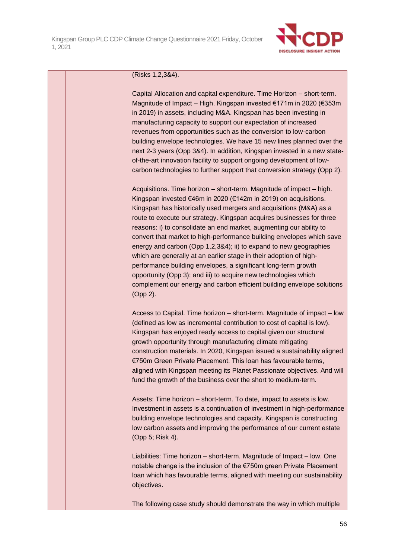

| (Risks 1,2,3&4). |
|------------------|
|                  |

Capital Allocation and capital expenditure. Time Horizon – short-term. Magnitude of Impact – High. Kingspan invested €171m in 2020 (€353m in 2019) in assets, including M&A. Kingspan has been investing in manufacturing capacity to support our expectation of increased revenues from opportunities such as the conversion to low-carbon building envelope technologies. We have 15 new lines planned over the next 2-3 years (Opp 3&4). In addition, Kingspan invested in a new stateof-the-art innovation facility to support ongoing development of lowcarbon technologies to further support that conversion strategy (Opp 2).

Acquisitions. Time horizon – short-term. Magnitude of impact – high. Kingspan invested €46m in 2020 (€142m in 2019) on acquisitions. Kingspan has historically used mergers and acquisitions (M&A) as a route to execute our strategy. Kingspan acquires businesses for three reasons: i) to consolidate an end market, augmenting our ability to convert that market to high-performance building envelopes which save energy and carbon (Opp 1,2,3&4); ii) to expand to new geographies which are generally at an earlier stage in their adoption of highperformance building envelopes, a significant long-term growth opportunity (Opp 3); and iii) to acquire new technologies which complement our energy and carbon efficient building envelope solutions (Opp 2).

Access to Capital. Time horizon – short-term. Magnitude of impact – low (defined as low as incremental contribution to cost of capital is low). Kingspan has enjoyed ready access to capital given our structural growth opportunity through manufacturing climate mitigating construction materials. In 2020, Kingspan issued a sustainability aligned €750m Green Private Placement. This loan has favourable terms, aligned with Kingspan meeting its Planet Passionate objectives. And will fund the growth of the business over the short to medium-term.

Assets: Time horizon – short-term. To date, impact to assets is low. Investment in assets is a continuation of investment in high-performance building envelope technologies and capacity. Kingspan is constructing low carbon assets and improving the performance of our current estate (Opp 5; Risk 4).

Liabilities: Time horizon – short-term. Magnitude of Impact – low. One notable change is the inclusion of the €750m green Private Placement loan which has favourable terms, aligned with meeting our sustainability objectives.

The following case study should demonstrate the way in which multiple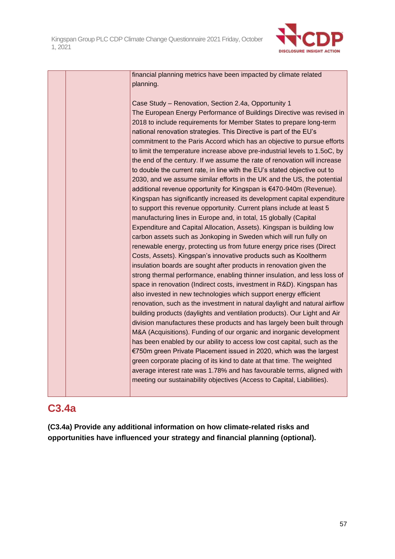

financial planning metrics have been impacted by climate related planning.

Case Study – Renovation, Section 2.4a, Opportunity 1 The European Energy Performance of Buildings Directive was revised in 2018 to include requirements for Member States to prepare long-term national renovation strategies. This Directive is part of the EU's commitment to the Paris Accord which has an objective to pursue efforts to limit the temperature increase above pre-industrial levels to 1.5oC, by the end of the century. If we assume the rate of renovation will increase to double the current rate, in line with the EU's stated objective out to 2030, and we assume similar efforts in the UK and the US, the potential additional revenue opportunity for Kingspan is €470-940m (Revenue). Kingspan has significantly increased its development capital expenditure to support this revenue opportunity. Current plans include at least 5 manufacturing lines in Europe and, in total, 15 globally (Capital Expenditure and Capital Allocation, Assets). Kingspan is building low carbon assets such as Jonkoping in Sweden which will run fully on renewable energy, protecting us from future energy price rises (Direct Costs, Assets). Kingspan's innovative products such as Kooltherm insulation boards are sought after products in renovation given the strong thermal performance, enabling thinner insulation, and less loss of space in renovation (Indirect costs, investment in R&D). Kingspan has also invested in new technologies which support energy efficient renovation, such as the investment in natural daylight and natural airflow building products (daylights and ventilation products). Our Light and Air division manufactures these products and has largely been built through M&A (Acquisitions). Funding of our organic and inorganic development has been enabled by our ability to access low cost capital, such as the €750m green Private Placement issued in 2020, which was the largest green corporate placing of its kind to date at that time. The weighted average interest rate was 1.78% and has favourable terms, aligned with meeting our sustainability objectives (Access to Capital, Liabilities).

# **C3.4a**

**(C3.4a) Provide any additional information on how climate-related risks and opportunities have influenced your strategy and financial planning (optional).**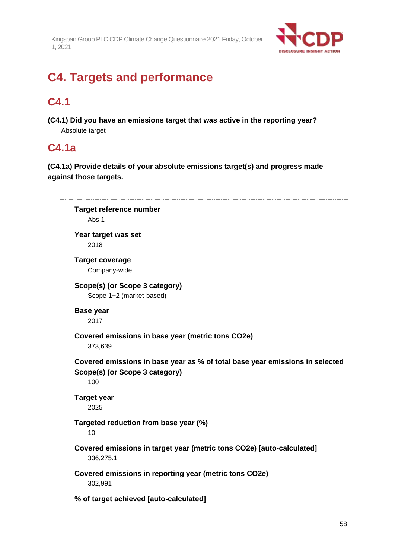

# **C4. Targets and performance**

# **C4.1**

**(C4.1) Did you have an emissions target that was active in the reporting year?** Absolute target

# **C4.1a**

**(C4.1a) Provide details of your absolute emissions target(s) and progress made against those targets.**

| <b>Target reference number</b>                                                     |
|------------------------------------------------------------------------------------|
| Abs 1                                                                              |
| Year target was set                                                                |
| 2018                                                                               |
| <b>Target coverage</b>                                                             |
| Company-wide                                                                       |
| Scope(s) (or Scope 3 category)                                                     |
| Scope 1+2 (market-based)                                                           |
| <b>Base year</b>                                                                   |
| 2017                                                                               |
| Covered emissions in base year (metric tons CO2e)                                  |
| 373,639                                                                            |
| Covered emissions in base year as % of total base year emissions in selected       |
| Scope(s) (or Scope 3 category)                                                     |
| 100                                                                                |
|                                                                                    |
|                                                                                    |
| <b>Target year</b><br>2025                                                         |
|                                                                                    |
| Targeted reduction from base year (%)<br>10                                        |
|                                                                                    |
| Covered emissions in target year (metric tons CO2e) [auto-calculated]<br>336,275.1 |
| Covered emissions in reporting year (metric tons CO2e)                             |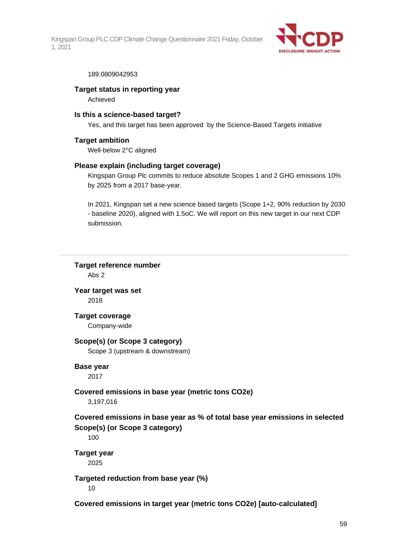

#### 189.0809042953

### **Target status in reporting year**

Achieved

### **Is this a science-based target?**

Yes, and this target has been approved by the Science-Based Targets initiative

### **Target ambition**

Well-below 2°C aligned

### **Please explain (including target coverage)**

Kingspan Group Plc commits to reduce absolute Scopes 1 and 2 GHG emissions 10% by 2025 from a 2017 base-year.

In 2021, Kingspan set a new science based targets (Scope 1+2, 90% reduction by 2030 - baseline 2020), aligned with 1.5oC. We will report on this new target in our next CDP submission.

**Target reference number** Abs 2

**Year target was set** 2018

**Target coverage**

Company-wide

### **Scope(s) (or Scope 3 category)**

Scope 3 (upstream & downstream)

### **Base year**

2017

### **Covered emissions in base year (metric tons CO2e)**

3,197,016

### **Covered emissions in base year as % of total base year emissions in selected Scope(s) (or Scope 3 category)**

100

### **Target year**

2025

### **Targeted reduction from base year (%)**

10

**Covered emissions in target year (metric tons CO2e) [auto-calculated]**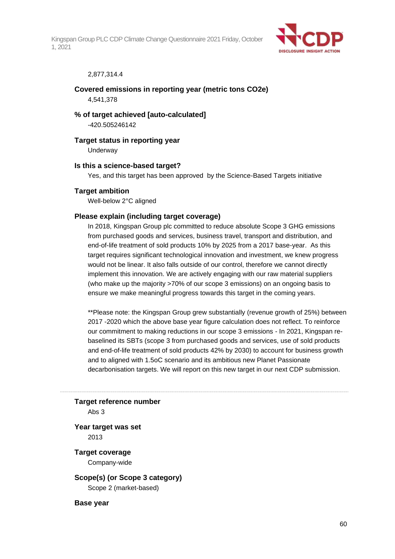

### 2,877,314.4

### **Covered emissions in reporting year (metric tons CO2e)** 4,541,378

**% of target achieved [auto-calculated]** -420.505246142

#### **Target status in reporting year**

Underway

#### **Is this a science-based target?**

Yes, and this target has been approved by the Science-Based Targets initiative

#### **Target ambition**

Well-below 2°C aligned

### **Please explain (including target coverage)**

In 2018, Kingspan Group plc committed to reduce absolute Scope 3 GHG emissions from purchased goods and services, business travel, transport and distribution, and end-of-life treatment of sold products 10% by 2025 from a 2017 base-year. As this target requires significant technological innovation and investment, we knew progress would not be linear. It also falls outside of our control, therefore we cannot directly implement this innovation. We are actively engaging with our raw material suppliers (who make up the majority >70% of our scope 3 emissions) on an ongoing basis to ensure we make meaningful progress towards this target in the coming years.

\*\*Please note: the Kingspan Group grew substantially (revenue growth of 25%) between 2017 -2020 which the above base year figure calculation does not reflect. To reinforce our commitment to making reductions in our scope 3 emissions - In 2021, Kingspan rebaselined its SBTs (scope 3 from purchased goods and services, use of sold products and end-of-life treatment of sold products 42% by 2030) to account for business growth and to aligned with 1.5oC scenario and its ambitious new Planet Passionate decarbonisation targets. We will report on this new target in our next CDP submission.

#### **Target reference number**

Abs 3

### **Year target was set** 2013

**Target coverage** Company-wide

### **Scope(s) (or Scope 3 category)** Scope 2 (market-based)

**Base year**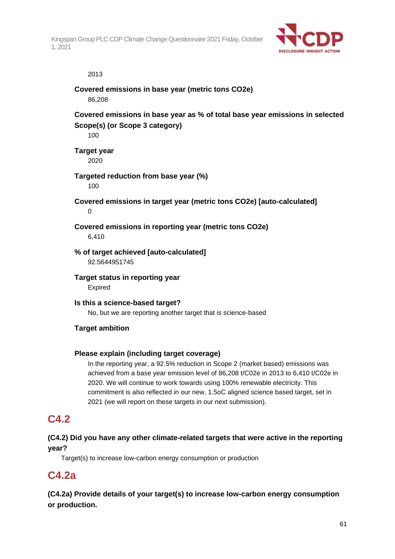

### 2013

### **Covered emissions in base year (metric tons CO2e)** 86,208

**Covered emissions in base year as % of total base year emissions in selected Scope(s) (or Scope 3 category)**

100

**Target year**

2020

### **Targeted reduction from base year (%)**

100

**Covered emissions in target year (metric tons CO2e) [auto-calculated]**  $\Omega$ 

**Covered emissions in reporting year (metric tons CO2e)** 6,410

**% of target achieved [auto-calculated]** 92.5644951745

**Target status in reporting year** Expired

**Is this a science-based target?** No, but we are reporting another target that is science-based

### **Target ambition**

### **Please explain (including target coverage)**

In the reporting year, a 92.5% reduction in Scope 2 (market based) emissions was achieved from a base year emission level of 86,208 t/C02e in 2013 to 6,410 t/C02e in 2020. We will continue to work towards using 100% renewable electricity. This commitment is also reflected in our new, 1.5oC aligned science based target, set in 2021 (we will report on these targets in our next submission).

# **C4.2**

### **(C4.2) Did you have any other climate-related targets that were active in the reporting year?**

Target(s) to increase low-carbon energy consumption or production

# **C4.2a**

**(C4.2a) Provide details of your target(s) to increase low-carbon energy consumption or production.**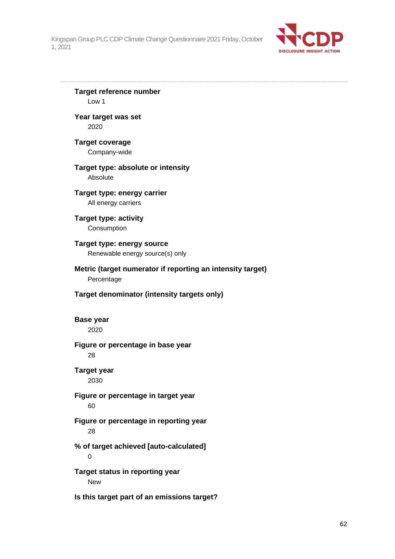

**Target reference number** Low 1 **Year target was set** 2020 **Target coverage** Company-wide **Target type: absolute or intensity** Absolute **Target type: energy carrier** All energy carriers **Target type: activity** Consumption **Target type: energy source** Renewable energy source(s) only **Metric (target numerator if reporting an intensity target)** Percentage **Target denominator (intensity targets only) Base year** 2020 **Figure or percentage in base year** 28 **Target year** 2030 **Figure or percentage in target year** 60 **Figure or percentage in reporting year** 28 **% of target achieved [auto-calculated]**  $\Omega$ **Target status in reporting year** New

**Is this target part of an emissions target?**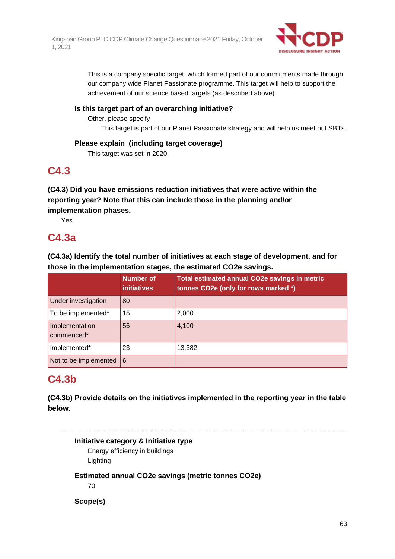

This is a company specific target which formed part of our commitments made through our company wide Planet Passionate programme. This target will help to support the achievement of our science based targets (as described above).

### **Is this target part of an overarching initiative?**

Other, please specify

This target is part of our Planet Passionate strategy and will help us meet out SBTs.

### **Please explain (including target coverage)**

This target was set in 2020.

# **C4.3**

**(C4.3) Did you have emissions reduction initiatives that were active within the reporting year? Note that this can include those in the planning and/or implementation phases.**

Yes

# **C4.3a**

**(C4.3a) Identify the total number of initiatives at each stage of development, and for those in the implementation stages, the estimated CO2e savings.**

|                              | Number of<br><b>initiatives</b> | <b>Total estimated annual CO2e savings in metric</b><br>tonnes CO2e (only for rows marked *) |
|------------------------------|---------------------------------|----------------------------------------------------------------------------------------------|
| Under investigation          | 80                              |                                                                                              |
| To be implemented*           | 15                              | 2,000                                                                                        |
| Implementation<br>commenced* | 56                              | 4,100                                                                                        |
| Implemented*                 | 23                              | 13,382                                                                                       |
| Not to be implemented        | 6                               |                                                                                              |

# **C4.3b**

**(C4.3b) Provide details on the initiatives implemented in the reporting year in the table below.**

**Initiative category & Initiative type** Energy efficiency in buildings Lighting **Estimated annual CO2e savings (metric tonnes CO2e)** 70 **Scope(s)**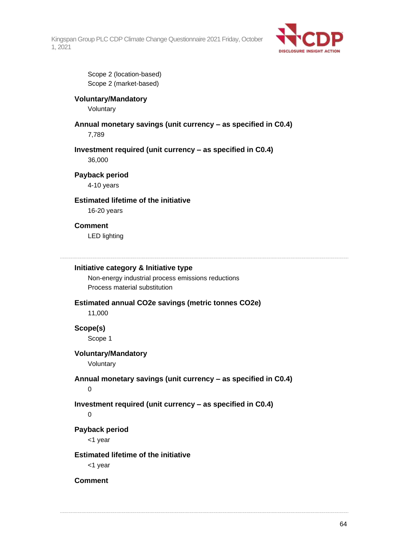

Scope 2 (location-based) Scope 2 (market-based)

### **Voluntary/Mandatory**

Voluntary

# **Annual monetary savings (unit currency – as specified in C0.4)**

7,789

### **Investment required (unit currency – as specified in C0.4)** 36,000

**Payback period**

4-10 years

### **Estimated lifetime of the initiative**

16-20 years

### **Comment**

LED lighting

### **Initiative category & Initiative type**

Non-energy industrial process emissions reductions Process material substitution

### **Estimated annual CO2e savings (metric tonnes CO2e)**

11,000

**Scope(s)**

Scope 1

### **Voluntary/Mandatory**

Voluntary

### **Annual monetary savings (unit currency – as specified in C0.4)**

0

### **Investment required (unit currency – as specified in C0.4)**

 $\Omega$ 

### **Payback period**

<1 year

### **Estimated lifetime of the initiative**

<1 year

### **Comment**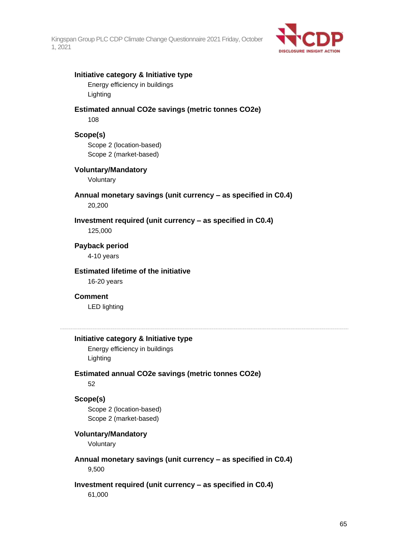

### **Initiative category & Initiative type**

Energy efficiency in buildings Lighting

# **Estimated annual CO2e savings (metric tonnes CO2e)**

108

### **Scope(s)**

Scope 2 (location-based) Scope 2 (market-based)

### **Voluntary/Mandatory**

Voluntary

### **Annual monetary savings (unit currency – as specified in C0.4)** 20,200

# **Investment required (unit currency – as specified in C0.4)**

125,000

# **Payback period**

4-10 years

### **Estimated lifetime of the initiative**

16-20 years

### **Comment**

LED lighting

### **Initiative category & Initiative type**

Energy efficiency in buildings Lighting

### **Estimated annual CO2e savings (metric tonnes CO2e)**

52

### **Scope(s)**

Scope 2 (location-based) Scope 2 (market-based)

### **Voluntary/Mandatory**

Voluntary

**Annual monetary savings (unit currency – as specified in C0.4)** 9,500

## **Investment required (unit currency – as specified in C0.4)**

61,000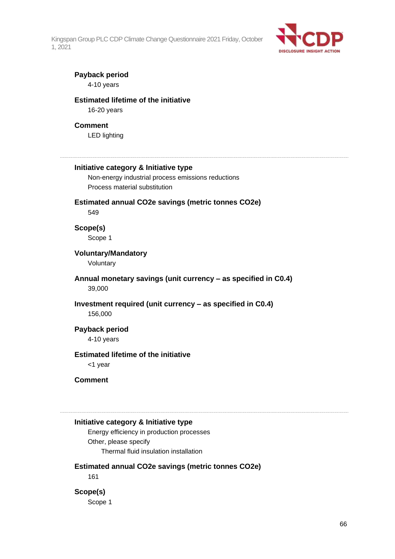

### **Payback period**

4-10 years

### **Estimated lifetime of the initiative**

16-20 years

### **Comment**

LED lighting

#### **Initiative category & Initiative type**

Non-energy industrial process emissions reductions Process material substitution

# **Estimated annual CO2e savings (metric tonnes CO2e)**

549

# **Scope(s)**

Scope 1

### **Voluntary/Mandatory**

Voluntary

### **Annual monetary savings (unit currency – as specified in C0.4)** 39,000

# **Investment required (unit currency – as specified in C0.4)**

156,000

### **Payback period**

4-10 years

### **Estimated lifetime of the initiative**

<1 year

#### **Comment**

### **Initiative category & Initiative type**

Energy efficiency in production processes Other, please specify Thermal fluid insulation installation

### **Estimated annual CO2e savings (metric tonnes CO2e)**

161

### **Scope(s)**

Scope 1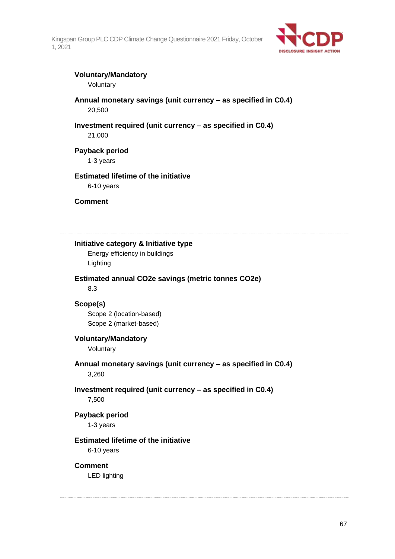

### **Voluntary/Mandatory**

Voluntary

### **Annual monetary savings (unit currency – as specified in C0.4)** 20,500

## **Investment required (unit currency – as specified in C0.4)**

21,000

### **Payback period**

1-3 years

### **Estimated lifetime of the initiative**

6-10 years

**Comment**

**Initiative category & Initiative type**

Energy efficiency in buildings Lighting

### **Estimated annual CO2e savings (metric tonnes CO2e)**

8.3

### **Scope(s)**

Scope 2 (location-based) Scope 2 (market-based)

### **Voluntary/Mandatory**

Voluntary

**Annual monetary savings (unit currency – as specified in C0.4)** 3,260

# **Investment required (unit currency – as specified in C0.4)**

7,500

**Payback period** 1-3 years

### **Estimated lifetime of the initiative**

6-10 years

### **Comment**

LED lighting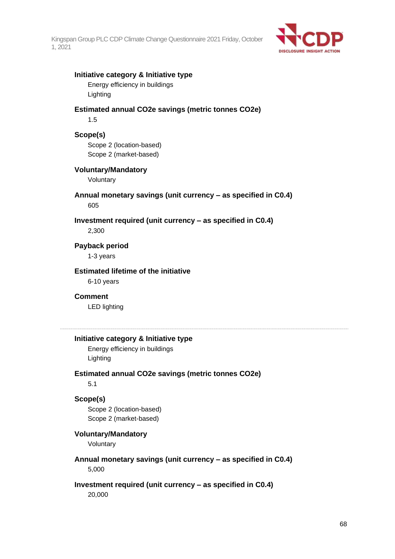

### **Initiative category & Initiative type**

Energy efficiency in buildings Lighting

### **Estimated annual CO2e savings (metric tonnes CO2e)**

1.5

### **Scope(s)**

Scope 2 (location-based) Scope 2 (market-based)

### **Voluntary/Mandatory**

Voluntary

### **Annual monetary savings (unit currency – as specified in C0.4)** 605

### **Investment required (unit currency – as specified in C0.4)**

2,300

### **Payback period**

1-3 years

### **Estimated lifetime of the initiative**

6-10 years

### **Comment**

LED lighting

### **Initiative category & Initiative type**

Energy efficiency in buildings Lighting

### **Estimated annual CO2e savings (metric tonnes CO2e)**

5.1

### **Scope(s)**

Scope 2 (location-based) Scope 2 (market-based)

### **Voluntary/Mandatory**

Voluntary

**Annual monetary savings (unit currency – as specified in C0.4)** 5,000

# **Investment required (unit currency – as specified in C0.4)**

20,000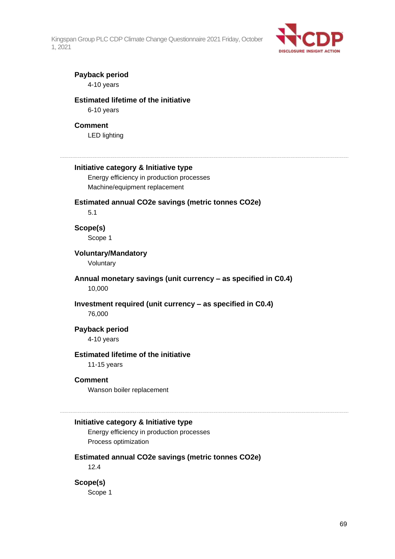

### **Payback period**

4-10 years

### **Estimated lifetime of the initiative**

6-10 years

### **Comment**

LED lighting

#### **Initiative category & Initiative type**

Energy efficiency in production processes Machine/equipment replacement

### **Estimated annual CO2e savings (metric tonnes CO2e)**

5.1

# **Scope(s)**

Scope 1

### **Voluntary/Mandatory**

Voluntary

### **Annual monetary savings (unit currency – as specified in C0.4)** 10,000

## **Investment required (unit currency – as specified in C0.4)**

76,000

### **Payback period**

4-10 years

### **Estimated lifetime of the initiative**

11-15 years

#### **Comment**

Wanson boiler replacement

#### **Initiative category & Initiative type**

Energy efficiency in production processes Process optimization

### **Estimated annual CO2e savings (metric tonnes CO2e)**

12.4

### **Scope(s)**

Scope 1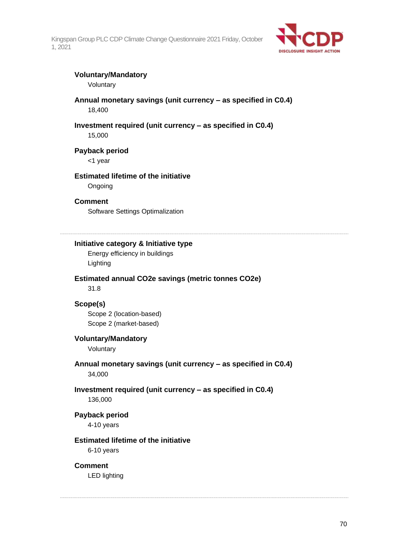

### **Voluntary/Mandatory**

Voluntary

### **Annual monetary savings (unit currency – as specified in C0.4)** 18,400

### **Investment required (unit currency – as specified in C0.4)**

15,000

### **Payback period**

<1 year

### **Estimated lifetime of the initiative**

**Ongoing** 

### **Comment**

Software Settings Optimalization

### **Initiative category & Initiative type**

Energy efficiency in buildings Lighting

### **Estimated annual CO2e savings (metric tonnes CO2e)**

31.8

### **Scope(s)**

Scope 2 (location-based) Scope 2 (market-based)

### **Voluntary/Mandatory**

Voluntary

**Annual monetary savings (unit currency – as specified in C0.4)** 34,000

# **Investment required (unit currency – as specified in C0.4)**

136,000

**Payback period**

4-10 years

### **Estimated lifetime of the initiative**

6-10 years

### **Comment**

LED lighting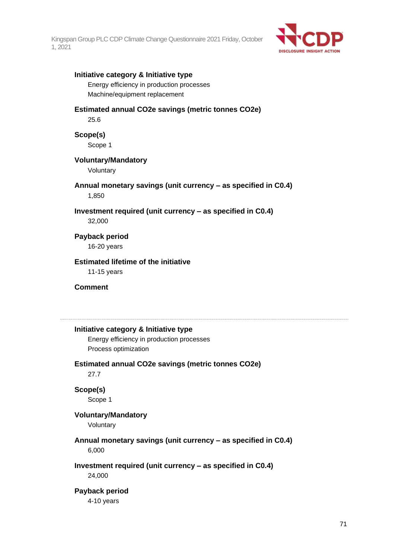

### **Initiative category & Initiative type**

Energy efficiency in production processes Machine/equipment replacement

### **Estimated annual CO2e savings (metric tonnes CO2e)**

25.6

**Scope(s)**

Scope 1

### **Voluntary/Mandatory**

Voluntary

### **Annual monetary savings (unit currency – as specified in C0.4)** 1,850

### **Investment required (unit currency – as specified in C0.4)**

32,000

# **Payback period**

16-20 years

### **Estimated lifetime of the initiative**

11-15 years

### **Comment**

### **Initiative category & Initiative type**

Energy efficiency in production processes Process optimization

# **Estimated annual CO2e savings (metric tonnes CO2e)**

27.7

### **Scope(s)**

Scope 1

### **Voluntary/Mandatory**

Voluntary

# **Annual monetary savings (unit currency – as specified in C0.4)**

6,000

### **Investment required (unit currency – as specified in C0.4)**

24,000

### **Payback period**

4-10 years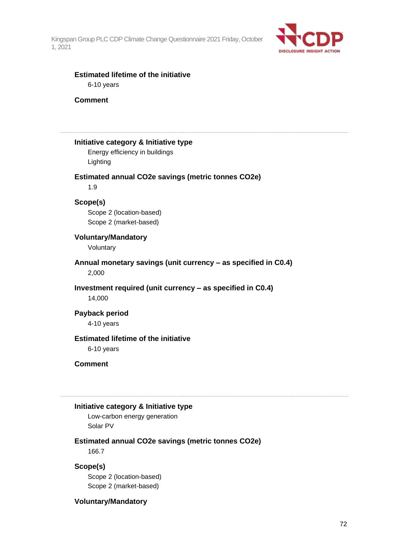

### **Estimated lifetime of the initiative** 6-10 years

**Comment**

**Initiative category & Initiative type** Energy efficiency in buildings

Lighting

### **Estimated annual CO2e savings (metric tonnes CO2e)**

1.9

### **Scope(s)**

Scope 2 (location-based) Scope 2 (market-based)

### **Voluntary/Mandatory**

Voluntary

**Annual monetary savings (unit currency – as specified in C0.4)** 2,000

# **Investment required (unit currency – as specified in C0.4)**

14,000

### **Payback period** 4-10 years

### **Estimated lifetime of the initiative**

6-10 years

### **Comment**

#### **Initiative category & Initiative type**

Low-carbon energy generation Solar PV

### **Estimated annual CO2e savings (metric tonnes CO2e)**

166.7

### **Scope(s)**

Scope 2 (location-based) Scope 2 (market-based)

### **Voluntary/Mandatory**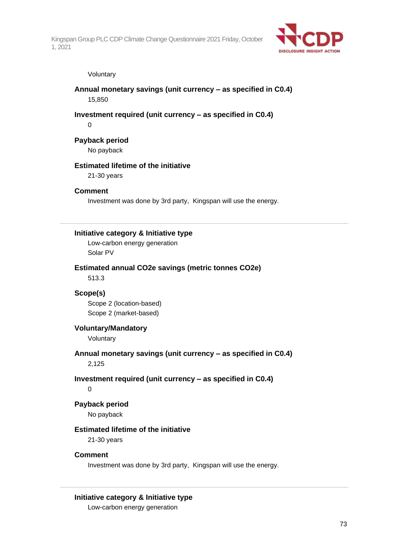

#### Voluntary

**Annual monetary savings (unit currency – as specified in C0.4)** 15,850

### **Investment required (unit currency – as specified in C0.4)**

0

### **Payback period**

No payback

### **Estimated lifetime of the initiative**

21-30 years

#### **Comment**

Investment was done by 3rd party, Kingspan will use the energy.

**Initiative category & Initiative type**

Low-carbon energy generation Solar PV

#### **Estimated annual CO2e savings (metric tonnes CO2e)**

513.3

### **Scope(s)**

Scope 2 (location-based) Scope 2 (market-based)

### **Voluntary/Mandatory**

Voluntary

**Annual monetary savings (unit currency – as specified in C0.4)** 2,125

#### **Investment required (unit currency – as specified in C0.4)**

0

#### **Payback period**

No payback

### **Estimated lifetime of the initiative**

21-30 years

### **Comment**

Investment was done by 3rd party, Kingspan will use the energy.

### **Initiative category & Initiative type**

Low-carbon energy generation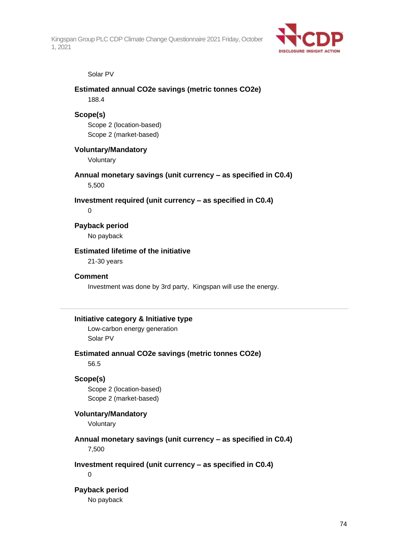

#### Solar PV

### **Estimated annual CO2e savings (metric tonnes CO2e)** 188.4

#### **Scope(s)**

Scope 2 (location-based) Scope 2 (market-based)

### **Voluntary/Mandatory**

Voluntary

### **Annual monetary savings (unit currency – as specified in C0.4)**

5,500

### **Investment required (unit currency – as specified in C0.4)**

 $\Omega$ 

### **Payback period**

No payback

### **Estimated lifetime of the initiative**

21-30 years

### **Comment**

Investment was done by 3rd party, Kingspan will use the energy.

### **Initiative category & Initiative type**

Low-carbon energy generation Solar PV

## **Estimated annual CO2e savings (metric tonnes CO2e)**

56.5

### **Scope(s)**

Scope 2 (location-based) Scope 2 (market-based)

### **Voluntary/Mandatory**

Voluntary

### **Annual monetary savings (unit currency – as specified in C0.4)** 7,500

**Investment required (unit currency – as specified in C0.4)**

 $\Omega$ 

#### **Payback period**

No payback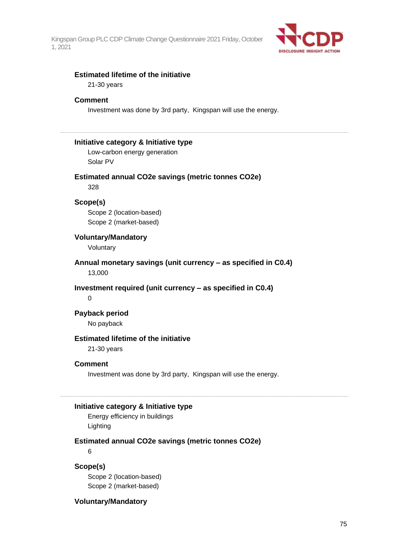

### **Estimated lifetime of the initiative**

21-30 years

#### **Comment**

Investment was done by 3rd party, Kingspan will use the energy.

### **Initiative category & Initiative type**

Low-carbon energy generation Solar PV

#### **Estimated annual CO2e savings (metric tonnes CO2e)**

328

### **Scope(s)**

Scope 2 (location-based) Scope 2 (market-based)

### **Voluntary/Mandatory**

Voluntary

**Annual monetary savings (unit currency – as specified in C0.4)** 13,000

### **Investment required (unit currency – as specified in C0.4)**

0

## **Payback period**

No payback

### **Estimated lifetime of the initiative**

21-30 years

### **Comment**

Investment was done by 3rd party, Kingspan will use the energy.

#### **Initiative category & Initiative type**

Energy efficiency in buildings Lighting

#### **Estimated annual CO2e savings (metric tonnes CO2e)**

6

### **Scope(s)**

Scope 2 (location-based) Scope 2 (market-based)

### **Voluntary/Mandatory**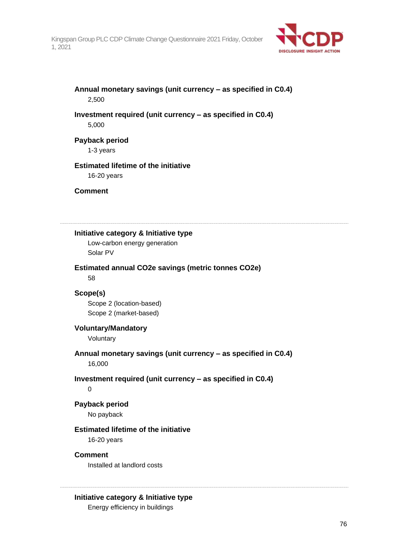

**Annual monetary savings (unit currency – as specified in C0.4)** 2,500

**Investment required (unit currency – as specified in C0.4)** 5,000

**Payback period**

1-3 years

## **Estimated lifetime of the initiative**

16-20 years

**Comment**

**Initiative category & Initiative type**

Low-carbon energy generation Solar PV

**Estimated annual CO2e savings (metric tonnes CO2e)**

58

### **Scope(s)**

Scope 2 (location-based) Scope 2 (market-based)

### **Voluntary/Mandatory**

Voluntary

**Annual monetary savings (unit currency – as specified in C0.4)** 16,000

### **Investment required (unit currency – as specified in C0.4)**

0

#### **Payback period**

No payback

### **Estimated lifetime of the initiative**

16-20 years

### **Comment**

Installed at landlord costs

### **Initiative category & Initiative type**

Energy efficiency in buildings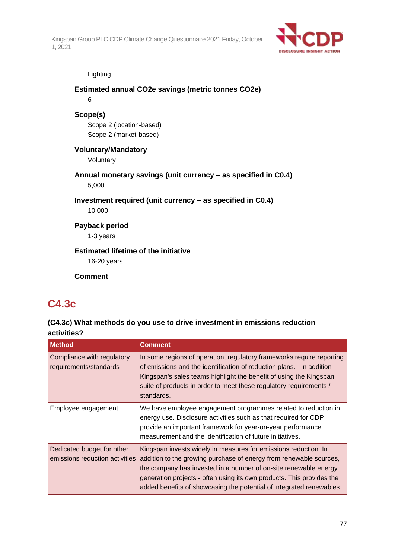

#### Lighting

## **Estimated annual CO2e savings (metric tonnes CO2e)** 6 **Scope(s)** Scope 2 (location-based) Scope 2 (market-based) **Voluntary/Mandatory** Voluntary **Annual monetary savings (unit currency – as specified in C0.4)** 5,000 **Investment required (unit currency – as specified in C0.4)** 10,000 **Payback period** 1-3 years **Estimated lifetime of the initiative** 16-20 years **Comment**

## **C4.3c**

### **(C4.3c) What methods do you use to drive investment in emissions reduction activities?**

| <b>Method</b>                                                | <b>Comment</b>                                                                                                                                                                                                                                                                                                                                             |
|--------------------------------------------------------------|------------------------------------------------------------------------------------------------------------------------------------------------------------------------------------------------------------------------------------------------------------------------------------------------------------------------------------------------------------|
| Compliance with regulatory<br>requirements/standards         | In some regions of operation, regulatory frameworks require reporting<br>of emissions and the identification of reduction plans. In addition<br>Kingspan's sales teams highlight the benefit of using the Kingspan<br>suite of products in order to meet these regulatory requirements /<br>standards.                                                     |
| Employee engagement                                          | We have employee engagement programmes related to reduction in<br>energy use. Disclosure activities such as that required for CDP<br>provide an important framework for year-on-year performance<br>measurement and the identification of future initiatives.                                                                                              |
| Dedicated budget for other<br>emissions reduction activities | Kingspan invests widely in measures for emissions reduction. In<br>addition to the growing purchase of energy from renewable sources,<br>the company has invested in a number of on-site renewable energy<br>generation projects - often using its own products. This provides the<br>added benefits of showcasing the potential of integrated renewables. |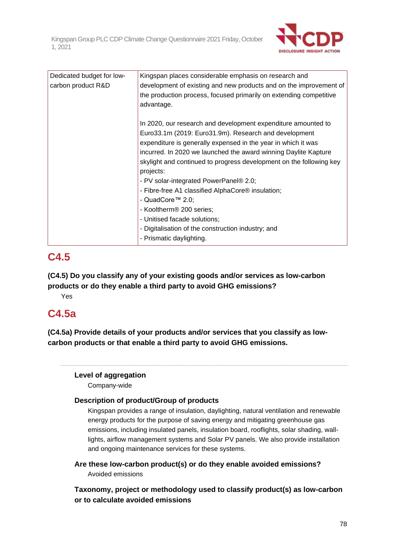

| Dedicated budget for low- | Kingspan places considerable emphasis on research and               |
|---------------------------|---------------------------------------------------------------------|
| carbon product R&D        | development of existing and new products and on the improvement of  |
|                           | the production process, focused primarily on extending competitive  |
|                           | advantage.                                                          |
|                           |                                                                     |
|                           | In 2020, our research and development expenditure amounted to       |
|                           | Euro33.1m (2019: Euro31.9m). Research and development               |
|                           | expenditure is generally expensed in the year in which it was       |
|                           | incurred. In 2020 we launched the award winning Daylite Kapture     |
|                           | skylight and continued to progress development on the following key |
|                           | projects:                                                           |
|                           | - PV solar-integrated PowerPanel® 2.0;                              |
|                           | - Fibre-free A1 classified AlphaCore® insulation;                   |
|                           | - QuadCore™ 2.0;                                                    |
|                           | - Kooltherm <sup>®</sup> 200 series;                                |
|                           | - Unitised facade solutions;                                        |
|                           | - Digitalisation of the construction industry; and                  |
|                           | - Prismatic daylighting.                                            |

## **C4.5**

**(C4.5) Do you classify any of your existing goods and/or services as low-carbon products or do they enable a third party to avoid GHG emissions?**

Yes

## **C4.5a**

**(C4.5a) Provide details of your products and/or services that you classify as lowcarbon products or that enable a third party to avoid GHG emissions.**

### **Level of aggregation**

Company-wide

### **Description of product/Group of products**

Kingspan provides a range of insulation, daylighting, natural ventilation and renewable energy products for the purpose of saving energy and mitigating greenhouse gas emissions, including insulated panels, insulation board, rooflights, solar shading, walllights, airflow management systems and Solar PV panels. We also provide installation and ongoing maintenance services for these systems.

**Are these low-carbon product(s) or do they enable avoided emissions?**

Avoided emissions

**Taxonomy, project or methodology used to classify product(s) as low-carbon or to calculate avoided emissions**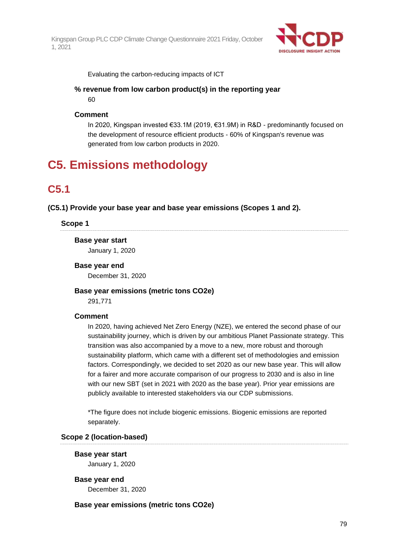

Evaluating the carbon-reducing impacts of ICT

## **% revenue from low carbon product(s) in the reporting year**

60

### **Comment**

In 2020, Kingspan invested €33.1M (2019, €31.9M) in R&D - predominantly focused on the development of resource efficient products - 60% of Kingspan's revenue was generated from low carbon products in 2020.

## **C5. Emissions methodology**

## **C5.1**

**(C5.1) Provide your base year and base year emissions (Scopes 1 and 2).**

### **Scope 1**

**Base year start**

January 1, 2020

### **Base year end**

December 31, 2020

### **Base year emissions (metric tons CO2e)**

291,771

### **Comment**

In 2020, having achieved Net Zero Energy (NZE), we entered the second phase of our sustainability journey, which is driven by our ambitious Planet Passionate strategy. This transition was also accompanied by a move to a new, more robust and thorough sustainability platform, which came with a different set of methodologies and emission factors. Correspondingly, we decided to set 2020 as our new base year. This will allow for a fairer and more accurate comparison of our progress to 2030 and is also in line with our new SBT (set in 2021 with 2020 as the base year). Prior year emissions are publicly available to interested stakeholders via our CDP submissions.

\*The figure does not include biogenic emissions. Biogenic emissions are reported separately.

### **Scope 2 (location-based)**

**Base year start** January 1, 2020

**Base year end**

December 31, 2020

**Base year emissions (metric tons CO2e)**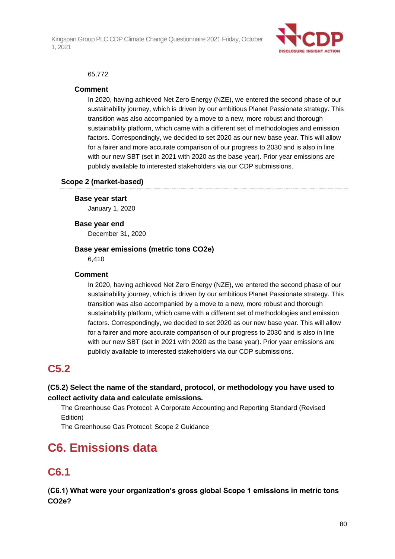

### 65,772

### **Comment**

In 2020, having achieved Net Zero Energy (NZE), we entered the second phase of our sustainability journey, which is driven by our ambitious Planet Passionate strategy. This transition was also accompanied by a move to a new, more robust and thorough sustainability platform, which came with a different set of methodologies and emission factors. Correspondingly, we decided to set 2020 as our new base year. This will allow for a fairer and more accurate comparison of our progress to 2030 and is also in line with our new SBT (set in 2021 with 2020 as the base year). Prior year emissions are publicly available to interested stakeholders via our CDP submissions.

### **Scope 2 (market-based)**

#### **Base year start**

January 1, 2020

#### **Base year end**

December 31, 2020

### **Base year emissions (metric tons CO2e)**

6,410

### **Comment**

In 2020, having achieved Net Zero Energy (NZE), we entered the second phase of our sustainability journey, which is driven by our ambitious Planet Passionate strategy. This transition was also accompanied by a move to a new, more robust and thorough sustainability platform, which came with a different set of methodologies and emission factors. Correspondingly, we decided to set 2020 as our new base year. This will allow for a fairer and more accurate comparison of our progress to 2030 and is also in line with our new SBT (set in 2021 with 2020 as the base year). Prior year emissions are publicly available to interested stakeholders via our CDP submissions.

## **C5.2**

### **(C5.2) Select the name of the standard, protocol, or methodology you have used to collect activity data and calculate emissions.**

The Greenhouse Gas Protocol: A Corporate Accounting and Reporting Standard (Revised Edition)

The Greenhouse Gas Protocol: Scope 2 Guidance

## **C6. Emissions data**

## **C6.1**

**(C6.1) What were your organization's gross global Scope 1 emissions in metric tons CO2e?**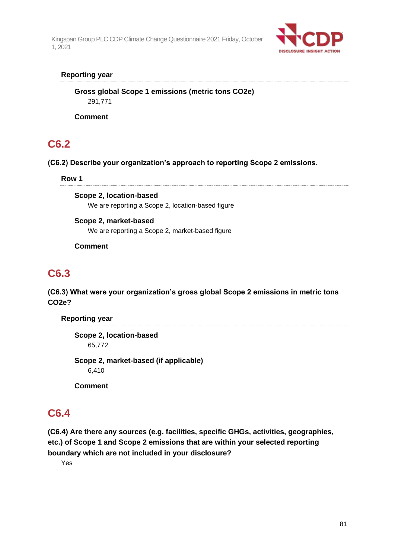

### **Reporting year**

**Gross global Scope 1 emissions (metric tons CO2e)** 291,771

**Comment**

## **C6.2**

**(C6.2) Describe your organization's approach to reporting Scope 2 emissions.**

### **Row 1**

**Scope 2, location-based** We are reporting a Scope 2, location-based figure

**Scope 2, market-based** We are reporting a Scope 2, market-based figure

**Comment**

## **C6.3**

**(C6.3) What were your organization's gross global Scope 2 emissions in metric tons CO2e?**

**Reporting year**

**Scope 2, location-based** 65,772

**Scope 2, market-based (if applicable)** 6,410

**Comment**

## **C6.4**

**(C6.4) Are there any sources (e.g. facilities, specific GHGs, activities, geographies, etc.) of Scope 1 and Scope 2 emissions that are within your selected reporting boundary which are not included in your disclosure?**

Yes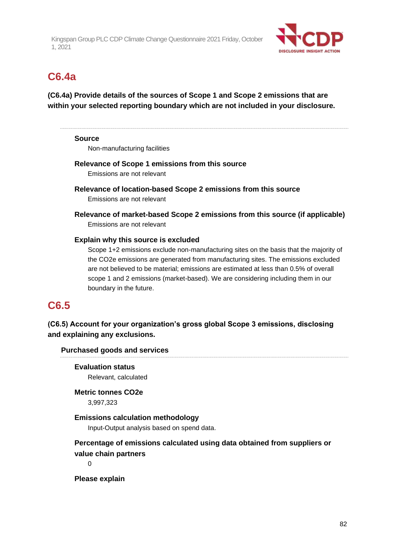

## **C6.4a**

**(C6.4a) Provide details of the sources of Scope 1 and Scope 2 emissions that are within your selected reporting boundary which are not included in your disclosure.**

### **Source**

Non-manufacturing facilities

### **Relevance of Scope 1 emissions from this source**

Emissions are not relevant

**Relevance of location-based Scope 2 emissions from this source** Emissions are not relevant

**Relevance of market-based Scope 2 emissions from this source (if applicable)** Emissions are not relevant

### **Explain why this source is excluded**

Scope 1+2 emissions exclude non-manufacturing sites on the basis that the majority of the CO2e emissions are generated from manufacturing sites. The emissions excluded are not believed to be material; emissions are estimated at less than 0.5% of overall scope 1 and 2 emissions (market-based). We are considering including them in our boundary in the future.

## **C6.5**

**(C6.5) Account for your organization's gross global Scope 3 emissions, disclosing and explaining any exclusions.**

### **Purchased goods and services**

### **Evaluation status** Relevant, calculated

**Metric tonnes CO2e** 3,997,323

### **Emissions calculation methodology**

Input-Output analysis based on spend data.

### **Percentage of emissions calculated using data obtained from suppliers or value chain partners**

 $\Omega$ 

**Please explain**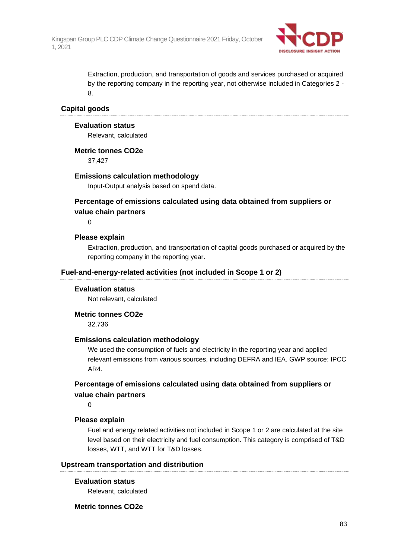

Extraction, production, and transportation of goods and services purchased or acquired by the reporting company in the reporting year, not otherwise included in Categories 2 - 8.

### **Capital goods**

### **Evaluation status**

Relevant, calculated

### **Metric tonnes CO2e**

37,427

### **Emissions calculation methodology**

Input-Output analysis based on spend data.

### **Percentage of emissions calculated using data obtained from suppliers or value chain partners**

 $\Omega$ 

### **Please explain**

Extraction, production, and transportation of capital goods purchased or acquired by the reporting company in the reporting year.

### **Fuel-and-energy-related activities (not included in Scope 1 or 2)**

#### **Evaluation status**

Not relevant, calculated

#### **Metric tonnes CO2e**

32,736

### **Emissions calculation methodology**

We used the consumption of fuels and electricity in the reporting year and applied relevant emissions from various sources, including DEFRA and IEA. GWP source: IPCC AR4.

### **Percentage of emissions calculated using data obtained from suppliers or value chain partners**

 $\Omega$ 

### **Please explain**

Fuel and energy related activities not included in Scope 1 or 2 are calculated at the site level based on their electricity and fuel consumption. This category is comprised of T&D losses, WTT, and WTT for T&D losses.

### **Upstream transportation and distribution**

### **Evaluation status**

Relevant, calculated

### **Metric tonnes CO2e**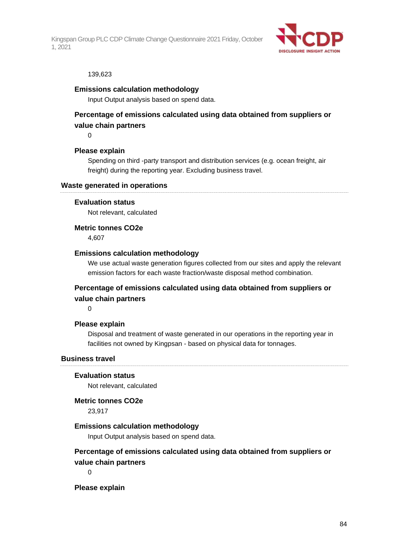

#### 139,623

### **Emissions calculation methodology**

Input Output analysis based on spend data.

### **Percentage of emissions calculated using data obtained from suppliers or value chain partners**

 $\Omega$ 

### **Please explain**

Spending on third -party transport and distribution services (e.g. ocean freight, air freight) during the reporting year. Excluding business travel.

#### **Waste generated in operations**

### **Evaluation status**

Not relevant, calculated

**Metric tonnes CO2e**

4,607

### **Emissions calculation methodology**

We use actual waste generation figures collected from our sites and apply the relevant emission factors for each waste fraction/waste disposal method combination.

### **Percentage of emissions calculated using data obtained from suppliers or value chain partners**

0

### **Please explain**

Disposal and treatment of waste generated in our operations in the reporting year in facilities not owned by Kingpsan - based on physical data for tonnages.

#### **Business travel**

### **Evaluation status**

Not relevant, calculated

### **Metric tonnes CO2e**

23,917

### **Emissions calculation methodology**

Input Output analysis based on spend data.

### **Percentage of emissions calculated using data obtained from suppliers or value chain partners**

 $\Omega$ 

#### **Please explain**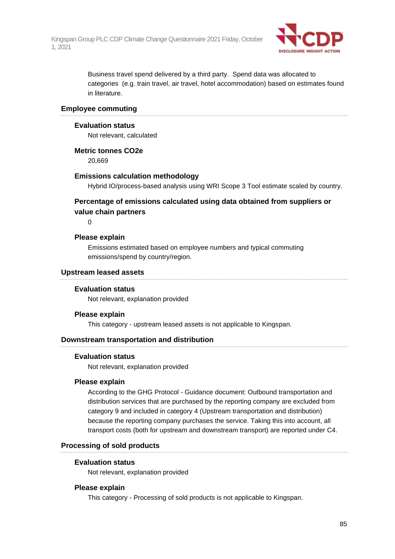

Business travel spend delivered by a third party. Spend data was allocated to categories (e.g. train travel, air travel, hotel accommodation) based on estimates found in literature.

### **Employee commuting**

### **Evaluation status**

Not relevant, calculated

**Metric tonnes CO2e**

20,669

### **Emissions calculation methodology**

Hybrid IO/process-based analysis using WRI Scope 3 Tool estimate scaled by country.

### **Percentage of emissions calculated using data obtained from suppliers or value chain partners**

 $\Omega$ 

### **Please explain**

Emissions estimated based on employee numbers and typical commuting emissions/spend by country/region.

### **Upstream leased assets**

### **Evaluation status**

Not relevant, explanation provided

### **Please explain**

This category - upstream leased assets is not applicable to Kingspan.

### **Downstream transportation and distribution**

### **Evaluation status**

Not relevant, explanation provided

### **Please explain**

According to the GHG Protocol - Guidance document: Outbound transportation and distribution services that are purchased by the reporting company are excluded from category 9 and included in category 4 (Upstream transportation and distribution) because the reporting company purchases the service. Taking this into account, all transport costs (both for upstream and downstream transport) are reported under C4.

### **Processing of sold products**

### **Evaluation status**

Not relevant, explanation provided

### **Please explain**

This category - Processing of sold products is not applicable to Kingspan.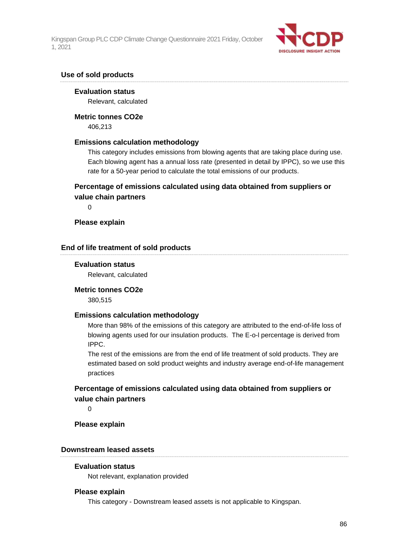

### **Use of sold products**

#### **Evaluation status**

Relevant, calculated

#### **Metric tonnes CO2e**

406,213

### **Emissions calculation methodology**

This category includes emissions from blowing agents that are taking place during use. Each blowing agent has a annual loss rate (presented in detail by IPPC), so we use this rate for a 50-year period to calculate the total emissions of our products.

### **Percentage of emissions calculated using data obtained from suppliers or value chain partners**

 $\Omega$ 

### **Please explain**

### **End of life treatment of sold products**

### **Evaluation status**

Relevant, calculated

#### **Metric tonnes CO2e**

380,515

### **Emissions calculation methodology**

More than 98% of the emissions of this category are attributed to the end-of-life loss of blowing agents used for our insulation products. The E-o-l percentage is derived from IPPC.

The rest of the emissions are from the end of life treatment of sold products. They are estimated based on sold product weights and industry average end-of-life management practices

### **Percentage of emissions calculated using data obtained from suppliers or value chain partners**

 $\Omega$ 

**Please explain**

### **Downstream leased assets**

#### **Evaluation status**

Not relevant, explanation provided

#### **Please explain**

This category - Downstream leased assets is not applicable to Kingspan.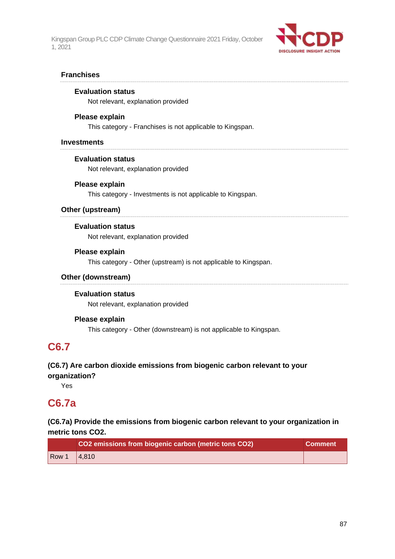

### **Franchises**

### **Evaluation status**

Not relevant, explanation provided

### **Please explain**

This category - Franchises is not applicable to Kingspan.

### **Investments**

### **Evaluation status**

Not relevant, explanation provided

### **Please explain**

This category - Investments is not applicable to Kingspan.

### **Other (upstream)**

### **Evaluation status**

Not relevant, explanation provided

### **Please explain**

This category - Other (upstream) is not applicable to Kingspan.

### **Other (downstream)**

### **Evaluation status**

Not relevant, explanation provided

### **Please explain**

This category - Other (downstream) is not applicable to Kingspan.

## **C6.7**

### **(C6.7) Are carbon dioxide emissions from biogenic carbon relevant to your organization?**

Yes

## **C6.7a**

### **(C6.7a) Provide the emissions from biogenic carbon relevant to your organization in metric tons CO2.**

|                         | CO2 emissions from biogenic carbon (metric tons CO2) | <b>Comment</b> |
|-------------------------|------------------------------------------------------|----------------|
| <b>Row</b> <sup>1</sup> | 4.810                                                |                |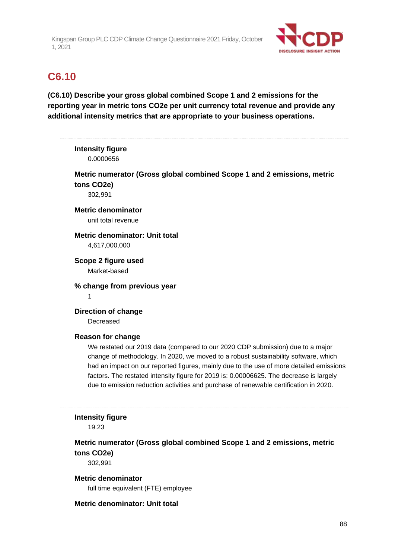

## **C6.10**

**(C6.10) Describe your gross global combined Scope 1 and 2 emissions for the reporting year in metric tons CO2e per unit currency total revenue and provide any additional intensity metrics that are appropriate to your business operations.**

|            | <b>Intensity figure</b><br>0.0000656                                                                                                                                             |
|------------|----------------------------------------------------------------------------------------------------------------------------------------------------------------------------------|
|            | Metric numerator (Gross global combined Scope 1 and 2 emissions, metric                                                                                                          |
| tons CO2e) |                                                                                                                                                                                  |
|            | 302,991                                                                                                                                                                          |
|            | <b>Metric denominator</b>                                                                                                                                                        |
|            | unit total revenue                                                                                                                                                               |
|            | Metric denominator: Unit total                                                                                                                                                   |
|            | 4,617,000,000                                                                                                                                                                    |
|            | Scope 2 figure used                                                                                                                                                              |
|            | Market-based                                                                                                                                                                     |
|            | % change from previous year                                                                                                                                                      |
| 1          |                                                                                                                                                                                  |
|            | <b>Direction of change</b>                                                                                                                                                       |
|            | Decreased                                                                                                                                                                        |
|            | <b>Reason for change</b>                                                                                                                                                         |
|            | We restated our 2019 data (compared to our 2020 CDP submission) due to a major                                                                                                   |
|            | change of methodology. In 2020, we moved to a robust sustainability software, which                                                                                              |
|            | had an impact on our reported figures, mainly due to the use of more detailed emissions                                                                                          |
|            | factors. The restated intensity figure for 2019 is: 0.00006625. The decrease is largely<br>due to emission reduction activities and purchase of renewable certification in 2020. |
|            |                                                                                                                                                                                  |
|            | <b>Intensity figure</b>                                                                                                                                                          |
|            | 19.23                                                                                                                                                                            |
|            | Metric numerator (Gross global combined Scope 1 and 2 emissions, metric                                                                                                          |
| tons CO2e) |                                                                                                                                                                                  |
|            | 302,991                                                                                                                                                                          |
|            | <b>Metric denominator</b>                                                                                                                                                        |
|            | full time equivalent (FTE) employee                                                                                                                                              |

### **Metric denominator: Unit total**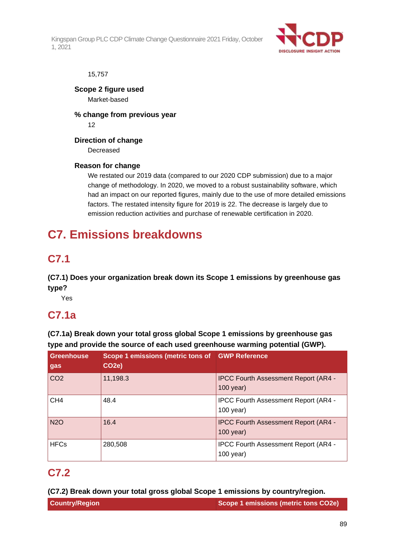

### 15,757

**Scope 2 figure used** Market-based

**% change from previous year** 12

**Direction of change**

Decreased

### **Reason for change**

We restated our 2019 data (compared to our 2020 CDP submission) due to a major change of methodology. In 2020, we moved to a robust sustainability software, which had an impact on our reported figures, mainly due to the use of more detailed emissions factors. The restated intensity figure for 2019 is 22. The decrease is largely due to emission reduction activities and purchase of renewable certification in 2020.

## **C7. Emissions breakdowns**

## **C7.1**

**(C7.1) Does your organization break down its Scope 1 emissions by greenhouse gas type?**

Yes

## **C7.1a**

**(C7.1a) Break down your total gross global Scope 1 emissions by greenhouse gas type and provide the source of each used greenhouse warming potential (GWP).**

| <b>Greenhouse</b><br>gas | Scope 1 emissions (metric tons of GWP Reference<br>CO <sub>2</sub> e) |                                                            |
|--------------------------|-----------------------------------------------------------------------|------------------------------------------------------------|
| CO <sub>2</sub>          | 11,198.3                                                              | <b>IPCC Fourth Assessment Report (AR4 -</b><br>$100$ year) |
| CH <sub>4</sub>          | 48.4                                                                  | <b>IPCC Fourth Assessment Report (AR4 -</b><br>$100$ year) |
| <b>N2O</b>               | 16.4                                                                  | <b>IPCC Fourth Assessment Report (AR4 -</b><br>$100$ year) |
| <b>HFCs</b>              | 280,508                                                               | <b>IPCC Fourth Assessment Report (AR4 -</b><br>$100$ year) |

## **C7.2**

**(C7.2) Break down your total gross global Scope 1 emissions by country/region.**

| <b>Country/Region</b> |  |
|-----------------------|--|
|-----------------------|--|

**Scope 1 emissions (metric tons CO2e)**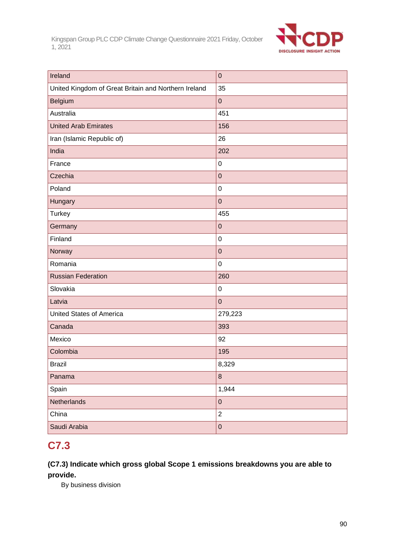

| Ireland                                              | $\pmb{0}$      |
|------------------------------------------------------|----------------|
| United Kingdom of Great Britain and Northern Ireland | 35             |
| Belgium                                              | $\pmb{0}$      |
| Australia                                            | 451            |
| <b>United Arab Emirates</b>                          | 156            |
| Iran (Islamic Republic of)                           | 26             |
| India                                                | 202            |
| France                                               | $\pmb{0}$      |
| Czechia                                              | $\pmb{0}$      |
| Poland                                               | $\pmb{0}$      |
| Hungary                                              | $\mathbf 0$    |
| <b>Turkey</b>                                        | 455            |
| Germany                                              | $\pmb{0}$      |
| Finland                                              | $\pmb{0}$      |
| Norway                                               | $\pmb{0}$      |
| Romania                                              | $\pmb{0}$      |
| <b>Russian Federation</b>                            | 260            |
| Slovakia                                             | $\pmb{0}$      |
| Latvia                                               | $\pmb{0}$      |
| <b>United States of America</b>                      | 279,223        |
| Canada                                               | 393            |
| Mexico                                               | 92             |
| Colombia                                             | 195            |
| <b>Brazil</b>                                        | 8,329          |
| Panama                                               | 8              |
| Spain                                                | 1,944          |
| Netherlands                                          | $\pmb{0}$      |
| China                                                | $\overline{2}$ |
| Saudi Arabia                                         | $\mathbf 0$    |

## **C7.3**

### **(C7.3) Indicate which gross global Scope 1 emissions breakdowns you are able to provide.**

By business division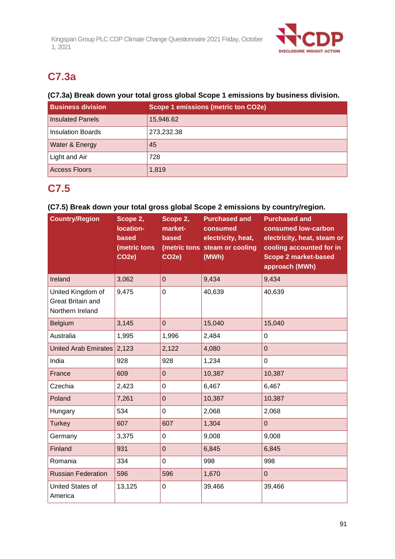

## **C7.3a**

### **(C7.3a) Break down your total gross global Scope 1 emissions by business division.**

| <b>Business division</b> | <b>Scope 1 emissions (metric ton CO2e)</b> |
|--------------------------|--------------------------------------------|
| <b>Insulated Panels</b>  | 15,946.62                                  |
| <b>Insulation Boards</b> | 273,232.38                                 |
| Water & Energy           | 45                                         |
| Light and Air            | 728                                        |
| <b>Access Floors</b>     | 1,819                                      |

## **C7.5**

### **(C7.5) Break down your total gross global Scope 2 emissions by country/region.**

| <b>Country/Region</b>                                             | Scope 2,<br>location-<br>based<br>(metric tons<br>CO <sub>2</sub> e) | Scope 2,<br>market-<br>based<br>CO <sub>2</sub> e) | <b>Purchased and</b><br>consumed<br>electricity, heat,<br>(metric tons steam or cooling<br>(MWh) | <b>Purchased and</b><br>consumed low-carbon<br>electricity, heat, steam or<br>cooling accounted for in<br><b>Scope 2 market-based</b><br>approach (MWh) |
|-------------------------------------------------------------------|----------------------------------------------------------------------|----------------------------------------------------|--------------------------------------------------------------------------------------------------|---------------------------------------------------------------------------------------------------------------------------------------------------------|
| Ireland                                                           | 3,062                                                                | $\overline{0}$                                     | 9,434                                                                                            | 9,434                                                                                                                                                   |
| United Kingdom of<br><b>Great Britain and</b><br>Northern Ireland | 9,475                                                                | $\overline{0}$                                     | 40,639                                                                                           | 40,639                                                                                                                                                  |
| Belgium                                                           | 3,145                                                                | $\mathbf 0$                                        | 15,040                                                                                           | 15,040                                                                                                                                                  |
| Australia                                                         | 1,995                                                                | 1,996                                              | 2,484                                                                                            | $\mathbf 0$                                                                                                                                             |
| United Arab Emirates 2,123                                        |                                                                      | 2,122                                              | 4,080                                                                                            | $\overline{0}$                                                                                                                                          |
| India                                                             | 928                                                                  | 928                                                | 1,234                                                                                            | $\mathbf 0$                                                                                                                                             |
| France                                                            | 609                                                                  | $\overline{0}$                                     | 10,387                                                                                           | 10,387                                                                                                                                                  |
| Czechia                                                           | 2,423                                                                | $\mathbf 0$                                        | 6,467                                                                                            | 6,467                                                                                                                                                   |
| Poland                                                            | 7,261                                                                | $\mathbf 0$                                        | 10,387                                                                                           | 10,387                                                                                                                                                  |
| Hungary                                                           | 534                                                                  | $\mathbf 0$                                        | 2,068                                                                                            | 2,068                                                                                                                                                   |
| <b>Turkey</b>                                                     | 607                                                                  | 607                                                | 1,304                                                                                            | $\overline{0}$                                                                                                                                          |
| Germany                                                           | 3,375                                                                | $\pmb{0}$                                          | 9,008                                                                                            | 9,008                                                                                                                                                   |
| Finland                                                           | 931                                                                  | $\overline{0}$                                     | 6,845                                                                                            | 6,845                                                                                                                                                   |
| Romania                                                           | 334                                                                  | $\mathbf 0$                                        | 998                                                                                              | 998                                                                                                                                                     |
| <b>Russian Federation</b>                                         | 596                                                                  | 596                                                | 1,670                                                                                            | $\overline{0}$                                                                                                                                          |
| United States of<br>America                                       | 13,125                                                               | $\mathbf 0$                                        | 39,466                                                                                           | 39,466                                                                                                                                                  |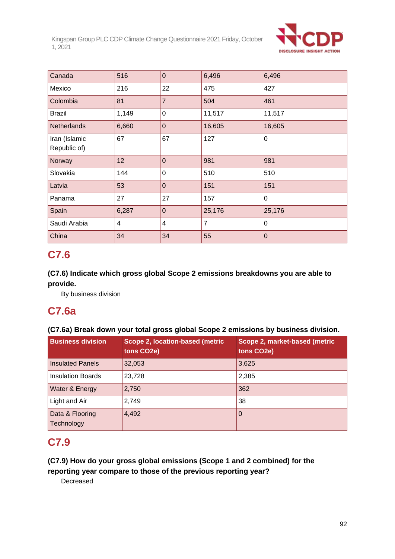

| Canada                        | 516            | $\mathbf 0$    | 6,496          | 6,496          |
|-------------------------------|----------------|----------------|----------------|----------------|
| Mexico                        | 216            | 22             | 475            | 427            |
| Colombia                      | 81             | $\overline{7}$ | 504            | 461            |
| <b>Brazil</b>                 | 1,149          | $\mathbf 0$    | 11,517         | 11,517         |
| <b>Netherlands</b>            | 6,660          | $\mathbf 0$    | 16,605         | 16,605         |
| Iran (Islamic<br>Republic of) | 67             | 67             | 127            | $\mathbf 0$    |
| Norway                        | 12             | $\overline{0}$ | 981            | 981            |
| Slovakia                      | 144            | $\Omega$       | 510            | 510            |
| Latvia                        | 53             | $\overline{0}$ | 151            | 151            |
| Panama                        | 27             | 27             | 157            | $\mathbf 0$    |
| Spain                         | 6,287          | $\mathbf 0$    | 25,176         | 25,176         |
| Saudi Arabia                  | $\overline{4}$ | $\overline{4}$ | $\overline{7}$ | $\overline{0}$ |
| China                         | 34             | 34             | 55             | $\mathbf 0$    |

## **C7.6**

### **(C7.6) Indicate which gross global Scope 2 emissions breakdowns you are able to provide.**

By business division

## **C7.6a**

### **(C7.6a) Break down your total gross global Scope 2 emissions by business division.**

| <b>Business division</b>      | Scope 2, location-based (metric<br>tons CO2e) | Scope 2, market-based (metric<br>tons CO2e) |
|-------------------------------|-----------------------------------------------|---------------------------------------------|
| <b>Insulated Panels</b>       | 32,053                                        | 3,625                                       |
| <b>Insulation Boards</b>      | 23,728                                        | 2,385                                       |
| Water & Energy                | 2,750                                         | 362                                         |
| Light and Air                 | 2,749                                         | 38                                          |
| Data & Flooring<br>Technology | 4,492                                         | 0                                           |

## **C7.9**

### **(C7.9) How do your gross global emissions (Scope 1 and 2 combined) for the reporting year compare to those of the previous reporting year?**

Decreased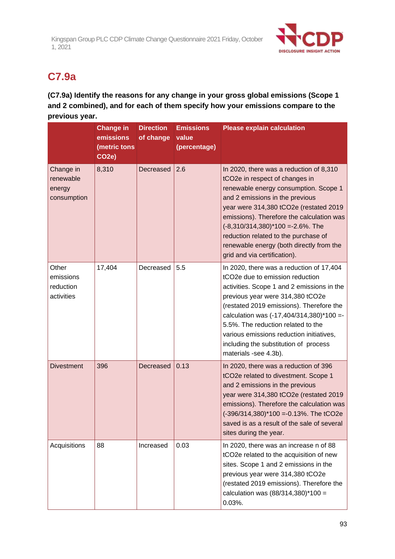

## **C7.9a**

**(C7.9a) Identify the reasons for any change in your gross global emissions (Scope 1 and 2 combined), and for each of them specify how your emissions compare to the previous year.**

|                                                 | <b>Change in</b><br>emissions<br>(metric tons<br>CO <sub>2</sub> e) | <b>Direction</b><br>of change | <b>Emissions</b><br>value<br>(percentage) | <b>Please explain calculation</b>                                                                                                                                                                                                                                                                                                                                                                                   |
|-------------------------------------------------|---------------------------------------------------------------------|-------------------------------|-------------------------------------------|---------------------------------------------------------------------------------------------------------------------------------------------------------------------------------------------------------------------------------------------------------------------------------------------------------------------------------------------------------------------------------------------------------------------|
| Change in<br>renewable<br>energy<br>consumption | 8,310                                                               | Decreased                     | 2.6                                       | In 2020, there was a reduction of 8,310<br>tCO2e in respect of changes in<br>renewable energy consumption. Scope 1<br>and 2 emissions in the previous<br>year were 314,380 tCO2e (restated 2019<br>emissions). Therefore the calculation was<br>$(-8,310/314,380)$ <sup>*</sup> 100 =-2.6%. The<br>reduction related to the purchase of<br>renewable energy (both directly from the<br>grid and via certification). |
| Other<br>emissions<br>reduction<br>activities   | 17,404                                                              | Decreased                     | 5.5                                       | In 2020, there was a reduction of 17,404<br>tCO2e due to emission reduction<br>activities. Scope 1 and 2 emissions in the<br>previous year were 314,380 tCO2e<br>(restated 2019 emissions). Therefore the<br>calculation was (-17,404/314,380)*100 =-<br>5.5%. The reduction related to the<br>various emissions reduction initiatives,<br>including the substitution of process<br>materials -see 4.3b).           |
| <b>Divestment</b>                               | 396                                                                 | Decreased                     | 0.13                                      | In 2020, there was a reduction of 396<br>tCO2e related to divestment. Scope 1<br>and 2 emissions in the previous<br>year were 314,380 tCO2e (restated 2019<br>emissions). Therefore the calculation was<br>(-396/314,380)*100 =-0.13%. The tCO2e<br>saved is as a result of the sale of several<br>sites during the year.                                                                                           |
| Acquisitions                                    | 88                                                                  | Increased                     | 0.03                                      | In 2020, there was an increase n of 88<br>tCO2e related to the acquisition of new<br>sites. Scope 1 and 2 emissions in the<br>previous year were 314,380 tCO2e<br>(restated 2019 emissions). Therefore the<br>calculation was $(88/314,380)*100 =$<br>$0.03%$ .                                                                                                                                                     |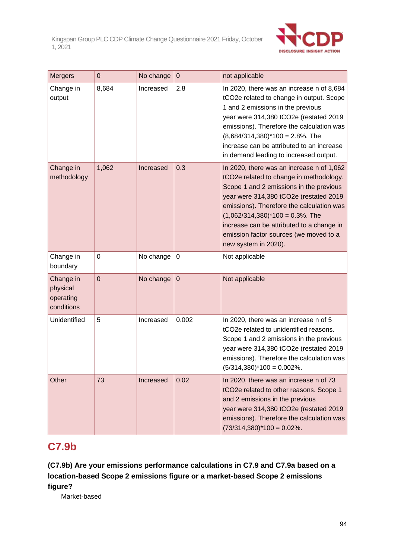

| <b>Mergers</b>                                   | 0           | No change | $\mathbf 0$ | not applicable                                                                                                                                                                                                                                                                                                                                                               |
|--------------------------------------------------|-------------|-----------|-------------|------------------------------------------------------------------------------------------------------------------------------------------------------------------------------------------------------------------------------------------------------------------------------------------------------------------------------------------------------------------------------|
| Change in<br>output                              | 8,684       | Increased | 2.8         | In 2020, there was an increase n of 8,684<br>tCO2e related to change in output. Scope<br>1 and 2 emissions in the previous<br>year were 314,380 tCO2e (restated 2019<br>emissions). Therefore the calculation was<br>$(8,684/314,380)^*100 = 2.8\%$ . The<br>increase can be attributed to an increase<br>in demand leading to increased output.                             |
| Change in<br>methodology                         | 1,062       | Increased | 0.3         | In 2020, there was an increase n of 1,062<br>tCO2e related to change in methodology.<br>Scope 1 and 2 emissions in the previous<br>year were 314,380 tCO2e (restated 2019<br>emissions). Therefore the calculation was<br>$(1,062/314,380)^*100 = 0.3%$ . The<br>increase can be attributed to a change in<br>emission factor sources (we moved to a<br>new system in 2020). |
| Change in<br>boundary                            | 0           | No change | $\pmb{0}$   | Not applicable                                                                                                                                                                                                                                                                                                                                                               |
| Change in<br>physical<br>operating<br>conditions | $\mathbf 0$ | No change | $\pmb{0}$   | Not applicable                                                                                                                                                                                                                                                                                                                                                               |
| Unidentified                                     | 5           | Increased | 0.002       | In 2020, there was an increase n of 5<br>tCO2e related to unidentified reasons.<br>Scope 1 and 2 emissions in the previous<br>year were 314,380 tCO2e (restated 2019<br>emissions). Therefore the calculation was<br>$(5/314,380)^*100 = 0.002\%$ .                                                                                                                          |
| Other                                            | 73          | Increased | 0.02        | In 2020, there was an increase n of 73<br>tCO2e related to other reasons. Scope 1<br>and 2 emissions in the previous<br>year were 314,380 tCO2e (restated 2019<br>emissions). Therefore the calculation was<br>$(73/314,380)^*100 = 0.02\%$ .                                                                                                                                |

## **C7.9b**

**(C7.9b) Are your emissions performance calculations in C7.9 and C7.9a based on a location-based Scope 2 emissions figure or a market-based Scope 2 emissions figure?**

Market-based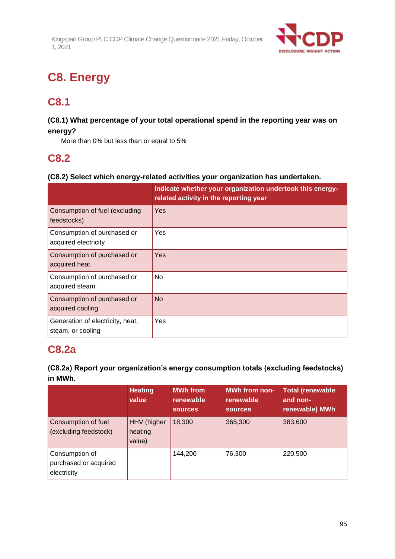

# **C8. Energy**

## **C8.1**

### **(C8.1) What percentage of your total operational spend in the reporting year was on energy?**

More than 0% but less than or equal to 5%

## **C8.2**

### **(C8.2) Select which energy-related activities your organization has undertaken.**

|                                                       | Indicate whether your organization undertook this energy-<br>related activity in the reporting year |
|-------------------------------------------------------|-----------------------------------------------------------------------------------------------------|
| Consumption of fuel (excluding<br>feedstocks)         | Yes                                                                                                 |
| Consumption of purchased or<br>acquired electricity   | Yes                                                                                                 |
| Consumption of purchased or<br>acquired heat          | Yes                                                                                                 |
| Consumption of purchased or<br>acquired steam         | N <sub>o</sub>                                                                                      |
| Consumption of purchased or<br>acquired cooling       | <b>No</b>                                                                                           |
| Generation of electricity, heat,<br>steam, or cooling | Yes                                                                                                 |

## **C8.2a**

### **(C8.2a) Report your organization's energy consumption totals (excluding feedstocks) in MWh.**

|                                                        | <b>Heating</b><br>value          | <b>MWh from</b><br>renewable<br><b>sources</b> | <b>MWh from non-</b><br>renewable<br><b>sources</b> | <b>Total (renewable</b><br>and non-<br>renewable) MWh |
|--------------------------------------------------------|----------------------------------|------------------------------------------------|-----------------------------------------------------|-------------------------------------------------------|
| Consumption of fuel<br>(excluding feedstock)           | HHV (higher<br>heating<br>value) | 18,300                                         | 365,300                                             | 383,600                                               |
| Consumption of<br>purchased or acquired<br>electricity |                                  | 144,200                                        | 76,300                                              | 220,500                                               |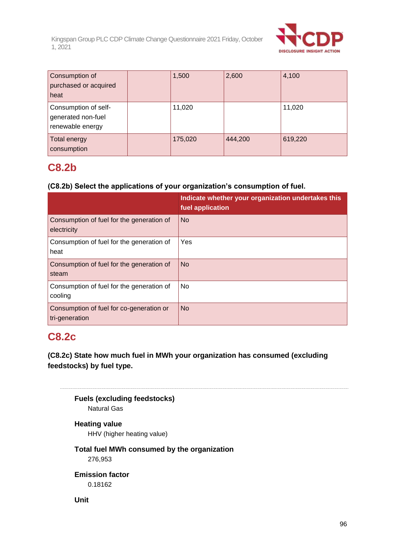

| Consumption of<br>purchased or acquired<br>heat                | 1,500   | 2,600   | 4,100   |
|----------------------------------------------------------------|---------|---------|---------|
| Consumption of self-<br>generated non-fuel<br>renewable energy | 11,020  |         | 11,020  |
| Total energy<br>consumption                                    | 175,020 | 444,200 | 619,220 |

## **C8.2b**

### **(C8.2b) Select the applications of your organization's consumption of fuel.**

|                                                            | Indicate whether your organization undertakes this<br>fuel application |
|------------------------------------------------------------|------------------------------------------------------------------------|
| Consumption of fuel for the generation of<br>electricity   | <b>No</b>                                                              |
| Consumption of fuel for the generation of<br>heat          | Yes                                                                    |
| Consumption of fuel for the generation of<br>steam         | <b>No</b>                                                              |
| Consumption of fuel for the generation of<br>cooling       | No                                                                     |
| Consumption of fuel for co-generation or<br>tri-generation | <b>No</b>                                                              |

## **C8.2c**

**(C8.2c) State how much fuel in MWh your organization has consumed (excluding feedstocks) by fuel type.**

**Fuels (excluding feedstocks)** Natural Gas

## **Heating value**

HHV (higher heating value)

### **Total fuel MWh consumed by the organization** 276,953

**Emission factor** 0.18162

**Unit**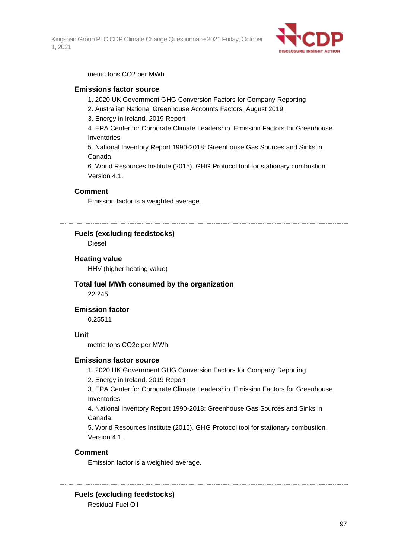

metric tons CO2 per MWh

### **Emissions factor source**

- 1. 2020 UK Government GHG Conversion Factors for Company Reporting
- 2. Australian National Greenhouse Accounts Factors. August 2019.
- 3. Energy in Ireland. 2019 Report

4. EPA Center for Corporate Climate Leadership. Emission Factors for Greenhouse Inventories

5. National Inventory Report 1990-2018: Greenhouse Gas Sources and Sinks in Canada.

6. World Resources Institute (2015). GHG Protocol tool for stationary combustion. Version 4.1

### **Comment**

Emission factor is a weighted average.

**Fuels (excluding feedstocks)**

Diesel

### **Heating value**

HHV (higher heating value)

### **Total fuel MWh consumed by the organization** 22,245

### **Emission factor**

0.25511

### **Unit**

metric tons CO2e per MWh

### **Emissions factor source**

1. 2020 UK Government GHG Conversion Factors for Company Reporting

2. Energy in Ireland. 2019 Report

3. EPA Center for Corporate Climate Leadership. Emission Factors for Greenhouse Inventories

4. National Inventory Report 1990-2018: Greenhouse Gas Sources and Sinks in Canada.

5. World Resources Institute (2015). GHG Protocol tool for stationary combustion. Version 4.1.

### **Comment**

Emission factor is a weighted average.

**Fuels (excluding feedstocks)** Residual Fuel Oil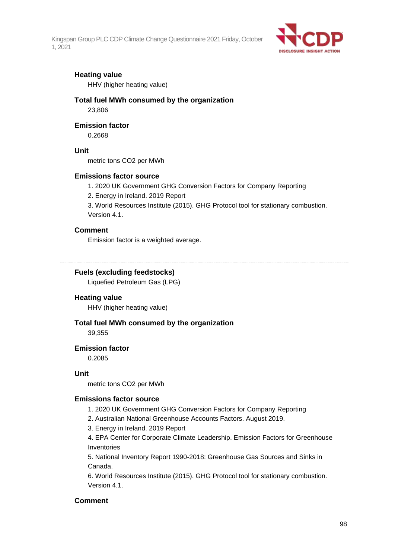

### **Heating value**

HHV (higher heating value)

## **Total fuel MWh consumed by the organization**

23,806

### **Emission factor**

0.2668

### **Unit**

metric tons CO2 per MWh

### **Emissions factor source**

- 1. 2020 UK Government GHG Conversion Factors for Company Reporting
- 2. Energy in Ireland. 2019 Report

3. World Resources Institute (2015). GHG Protocol tool for stationary combustion. Version 4.1.

### **Comment**

Emission factor is a weighted average.

### **Fuels (excluding feedstocks)**

Liquefied Petroleum Gas (LPG)

### **Heating value**

HHV (higher heating value)

### **Total fuel MWh consumed by the organization**

39,355

### **Emission factor**

0.2085

### **Unit**

metric tons CO2 per MWh

### **Emissions factor source**

- 1. 2020 UK Government GHG Conversion Factors for Company Reporting
- 2. Australian National Greenhouse Accounts Factors. August 2019.
- 3. Energy in Ireland. 2019 Report

4. EPA Center for Corporate Climate Leadership. Emission Factors for Greenhouse Inventories

5. National Inventory Report 1990-2018: Greenhouse Gas Sources and Sinks in Canada.

6. World Resources Institute (2015). GHG Protocol tool for stationary combustion. Version 4.1

### **Comment**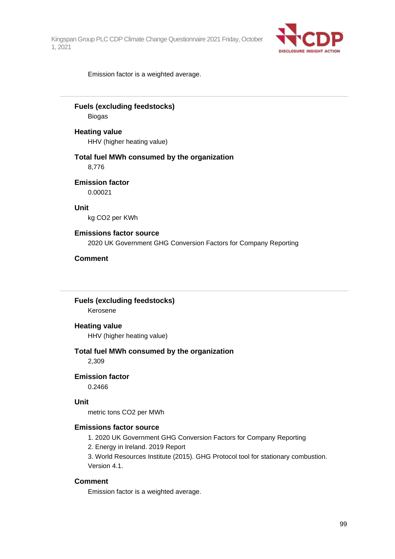

Emission factor is a weighted average.

## **Fuels (excluding feedstocks)**

Biogas

### **Heating value**

HHV (higher heating value)

### **Total fuel MWh consumed by the organization** 8,776

**Emission factor**

0.00021

**Unit**

kg CO2 per KWh

### **Emissions factor source**

2020 UK Government GHG Conversion Factors for Company Reporting

### **Comment**

**Fuels (excluding feedstocks)**

Kerosene

#### **Heating value**

HHV (higher heating value)

#### **Total fuel MWh consumed by the organization**

2,309

### **Emission factor**

0.2466

#### **Unit**

metric tons CO2 per MWh

### **Emissions factor source**

1. 2020 UK Government GHG Conversion Factors for Company Reporting

2. Energy in Ireland. 2019 Report

3. World Resources Institute (2015). GHG Protocol tool for stationary combustion. Version 4.1.

### **Comment**

Emission factor is a weighted average.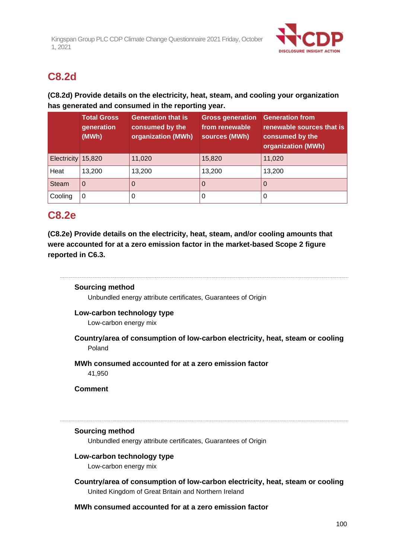

## **C8.2d**

### **(C8.2d) Provide details on the electricity, heat, steam, and cooling your organization has generated and consumed in the reporting year.**

|              | <b>Total Gross</b><br>generation<br>(MWh) | <b>Generation that is</b><br>consumed by the<br>organization (MWh) | <b>Gross generation</b><br>from renewable<br>sources (MWh) | <b>Generation from</b><br>renewable sources that is<br>consumed by the<br>organization (MWh) |
|--------------|-------------------------------------------|--------------------------------------------------------------------|------------------------------------------------------------|----------------------------------------------------------------------------------------------|
| Electricity  | 15,820                                    | 11,020                                                             | 15,820                                                     | 11,020                                                                                       |
| Heat         | 13,200                                    | 13,200                                                             | 13,200                                                     | 13,200                                                                                       |
| <b>Steam</b> | $\Omega$                                  |                                                                    | O                                                          | 0                                                                                            |
| Cooling      | 0                                         | 0                                                                  | O                                                          | Ü                                                                                            |

## **C8.2e**

**(C8.2e) Provide details on the electricity, heat, steam, and/or cooling amounts that were accounted for at a zero emission factor in the market-based Scope 2 figure reported in C6.3.**

### **Sourcing method**

Unbundled energy attribute certificates, Guarantees of Origin

### **Low-carbon technology type**

Low-carbon energy mix

**Country/area of consumption of low-carbon electricity, heat, steam or cooling** Poland

### **MWh consumed accounted for at a zero emission factor**

41,950

**Comment**

### **Sourcing method**

Unbundled energy attribute certificates, Guarantees of Origin

### **Low-carbon technology type**

Low-carbon energy mix

**Country/area of consumption of low-carbon electricity, heat, steam or cooling** United Kingdom of Great Britain and Northern Ireland

### **MWh consumed accounted for at a zero emission factor**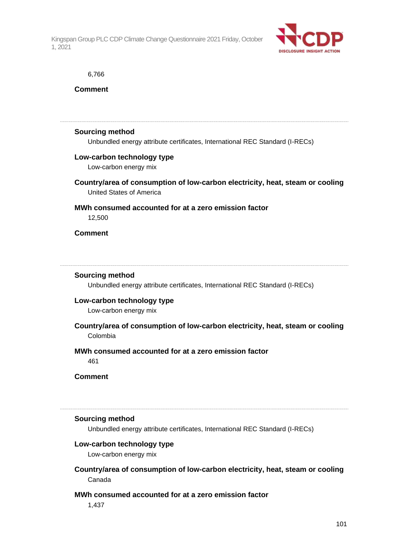

#### 6,766

**Comment**

#### **Sourcing method**

Unbundled energy attribute certificates, International REC Standard (I-RECs)

### **Low-carbon technology type**

Low-carbon energy mix

**Country/area of consumption of low-carbon electricity, heat, steam or cooling** United States of America

## **MWh consumed accounted for at a zero emission factor**

12,500

**Comment**

### **Sourcing method**

Unbundled energy attribute certificates, International REC Standard (I-RECs)

### **Low-carbon technology type**

Low-carbon energy mix

**Country/area of consumption of low-carbon electricity, heat, steam or cooling** Colombia

### **MWh consumed accounted for at a zero emission factor**

461

**Comment**

#### **Sourcing method**

Unbundled energy attribute certificates, International REC Standard (I-RECs)

### **Low-carbon technology type**

Low-carbon energy mix

### **Country/area of consumption of low-carbon electricity, heat, steam or cooling** Canada

### **MWh consumed accounted for at a zero emission factor**

1,437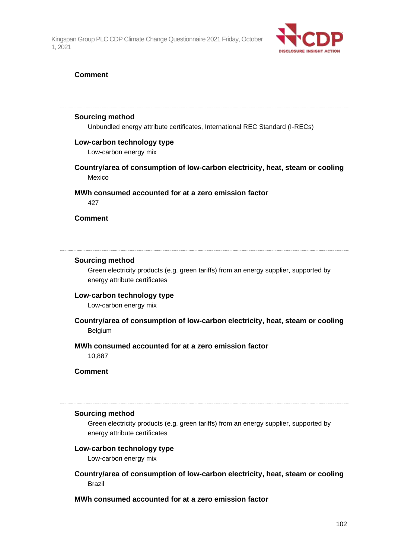

### **Comment**

#### **Sourcing method**

Unbundled energy attribute certificates, International REC Standard (I-RECs)

### **Low-carbon technology type**

Low-carbon energy mix

**Country/area of consumption of low-carbon electricity, heat, steam or cooling** Mexico

## **MWh consumed accounted for at a zero emission factor**

427

### **Comment**

#### **Sourcing method**

Green electricity products (e.g. green tariffs) from an energy supplier, supported by energy attribute certificates

### **Low-carbon technology type**

Low-carbon energy mix

**Country/area of consumption of low-carbon electricity, heat, steam or cooling** Belgium

### **MWh consumed accounted for at a zero emission factor**

10,887

**Comment**

#### **Sourcing method**

Green electricity products (e.g. green tariffs) from an energy supplier, supported by energy attribute certificates

### **Low-carbon technology type**

Low-carbon energy mix

**Country/area of consumption of low-carbon electricity, heat, steam or cooling** Brazil

### **MWh consumed accounted for at a zero emission factor**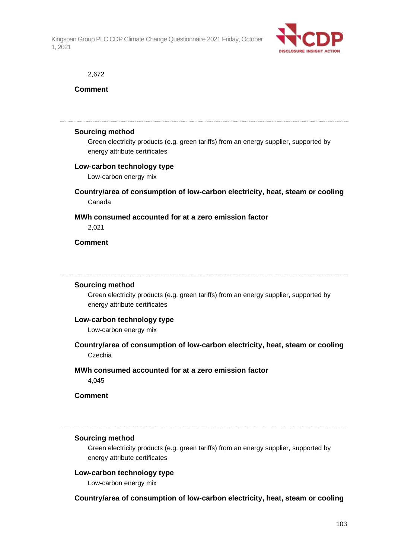

#### 2,672

### **Comment**

#### **Sourcing method**

Green electricity products (e.g. green tariffs) from an energy supplier, supported by energy attribute certificates

### **Low-carbon technology type**

Low-carbon energy mix

### **Country/area of consumption of low-carbon electricity, heat, steam or cooling** Canada

### **MWh consumed accounted for at a zero emission factor**

2,021

### **Comment**

#### **Sourcing method**

Green electricity products (e.g. green tariffs) from an energy supplier, supported by energy attribute certificates

### **Low-carbon technology type**

Low-carbon energy mix

### **Country/area of consumption of low-carbon electricity, heat, steam or cooling** Czechia

#### **MWh consumed accounted for at a zero emission factor**

4,045

### **Comment**

### **Sourcing method**

Green electricity products (e.g. green tariffs) from an energy supplier, supported by energy attribute certificates

### **Low-carbon technology type**

Low-carbon energy mix

### **Country/area of consumption of low-carbon electricity, heat, steam or cooling**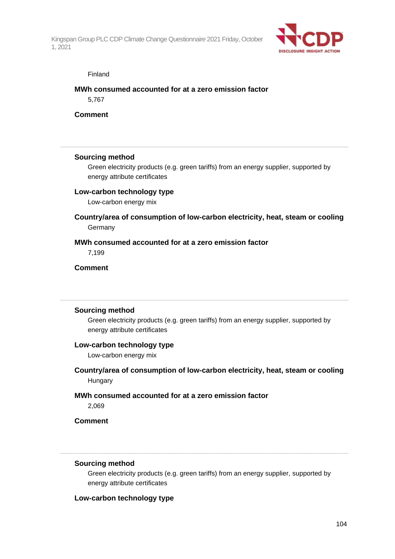

#### Finland

### **MWh consumed accounted for at a zero emission factor**

5,767

**Comment**

### **Sourcing method**

Green electricity products (e.g. green tariffs) from an energy supplier, supported by energy attribute certificates

### **Low-carbon technology type**

Low-carbon energy mix

### **Country/area of consumption of low-carbon electricity, heat, steam or cooling** Germany

### **MWh consumed accounted for at a zero emission factor**

7,199

### **Comment**

### **Sourcing method**

Green electricity products (e.g. green tariffs) from an energy supplier, supported by energy attribute certificates

### **Low-carbon technology type**

Low-carbon energy mix

- **Country/area of consumption of low-carbon electricity, heat, steam or cooling Hungary**
- **MWh consumed accounted for at a zero emission factor**

2,069

### **Comment**

### **Sourcing method**

Green electricity products (e.g. green tariffs) from an energy supplier, supported by energy attribute certificates

### **Low-carbon technology type**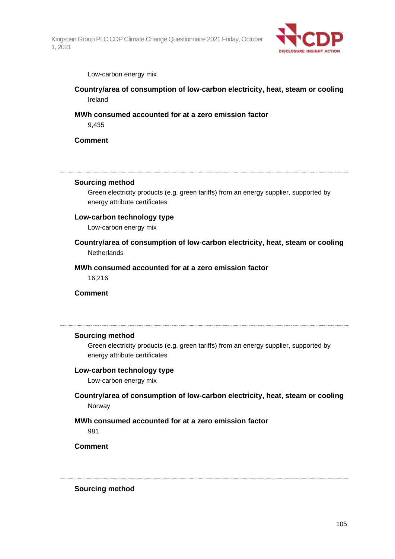

#### Low-carbon energy mix

**Country/area of consumption of low-carbon electricity, heat, steam or cooling** Ireland

### **MWh consumed accounted for at a zero emission factor**

9,435

### **Comment**

#### **Sourcing method**

Green electricity products (e.g. green tariffs) from an energy supplier, supported by energy attribute certificates

#### **Low-carbon technology type**

Low-carbon energy mix

**Country/area of consumption of low-carbon electricity, heat, steam or cooling Netherlands** 

### **MWh consumed accounted for at a zero emission factor**

16,216

**Comment**

### **Sourcing method**

Green electricity products (e.g. green tariffs) from an energy supplier, supported by energy attribute certificates

#### **Low-carbon technology type**

Low-carbon energy mix

**Country/area of consumption of low-carbon electricity, heat, steam or cooling** Norway

### **MWh consumed accounted for at a zero emission factor**

981

**Comment**

**Sourcing method**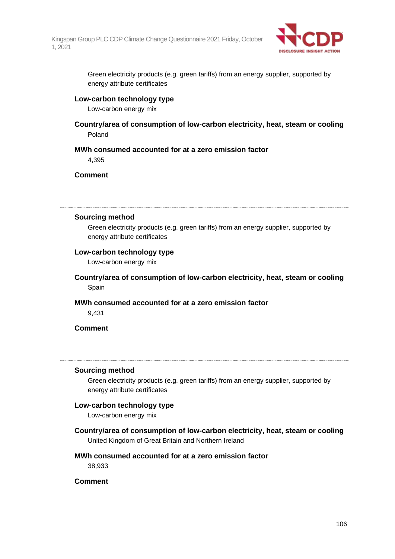

Green electricity products (e.g. green tariffs) from an energy supplier, supported by energy attribute certificates

### **Low-carbon technology type**

Low-carbon energy mix

**Country/area of consumption of low-carbon electricity, heat, steam or cooling** Poland

### **MWh consumed accounted for at a zero emission factor**

4,395

### **Comment**

#### **Sourcing method**

Green electricity products (e.g. green tariffs) from an energy supplier, supported by energy attribute certificates

### **Low-carbon technology type**

Low-carbon energy mix

**Country/area of consumption of low-carbon electricity, heat, steam or cooling** Spain

### **MWh consumed accounted for at a zero emission factor**

9,431

### **Comment**

#### **Sourcing method**

Green electricity products (e.g. green tariffs) from an energy supplier, supported by energy attribute certificates

### **Low-carbon technology type**

Low-carbon energy mix

**Country/area of consumption of low-carbon electricity, heat, steam or cooling**

United Kingdom of Great Britain and Northern Ireland

### **MWh consumed accounted for at a zero emission factor**

38,933

### **Comment**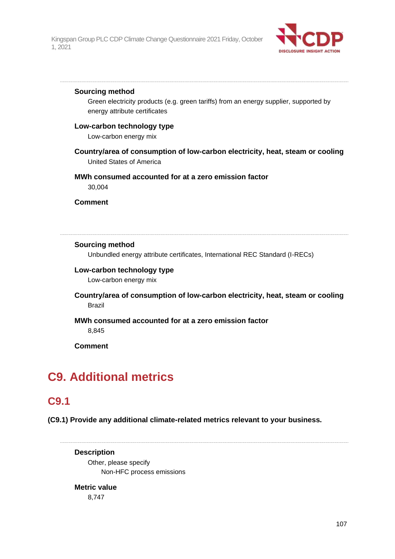

### **Sourcing method**

Green electricity products (e.g. green tariffs) from an energy supplier, supported by energy attribute certificates

### **Low-carbon technology type**

Low-carbon energy mix

**Country/area of consumption of low-carbon electricity, heat, steam or cooling** United States of America

### **MWh consumed accounted for at a zero emission factor**

30,004

**Comment**

### **Sourcing method**

Unbundled energy attribute certificates, International REC Standard (I-RECs)

### **Low-carbon technology type**

Low-carbon energy mix

### **Country/area of consumption of low-carbon electricity, heat, steam or cooling** Brazil

### **MWh consumed accounted for at a zero emission factor** 8,845

**Comment**

## **C9. Additional metrics**

## **C9.1**

**(C9.1) Provide any additional climate-related metrics relevant to your business.**

**Description**

Other, please specify Non-HFC process emissions

### **Metric value**

8,747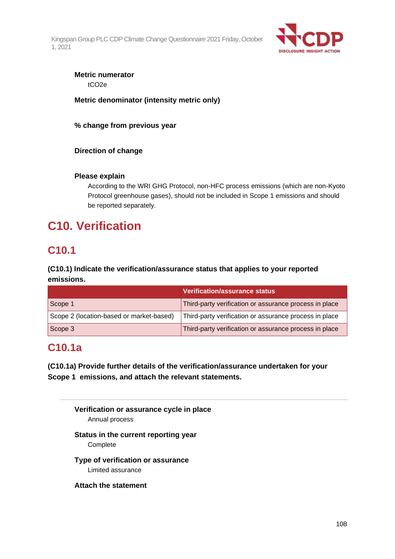

## **Metric numerator**

tCO2e

### **Metric denominator (intensity metric only)**

**% change from previous year**

### **Direction of change**

### **Please explain**

According to the WRI GHG Protocol, non-HFC process emissions (which are non-Kyoto Protocol greenhouse gases), should not be included in Scope 1 emissions and should be reported separately.

# **C10. Verification**

## **C10.1**

### **(C10.1) Indicate the verification/assurance status that applies to your reported emissions.**

|                                          | <b>Verification/assurance status</b>                   |
|------------------------------------------|--------------------------------------------------------|
| Scope 1                                  | Third-party verification or assurance process in place |
| Scope 2 (location-based or market-based) | Third-party verification or assurance process in place |
| Scope 3                                  | Third-party verification or assurance process in place |

## **C10.1a**

**(C10.1a) Provide further details of the verification/assurance undertaken for your Scope 1 emissions, and attach the relevant statements.**

**Verification or assurance cycle in place** Annual process **Status in the current reporting year** Complete **Type of verification or assurance** Limited assurance **Attach the statement**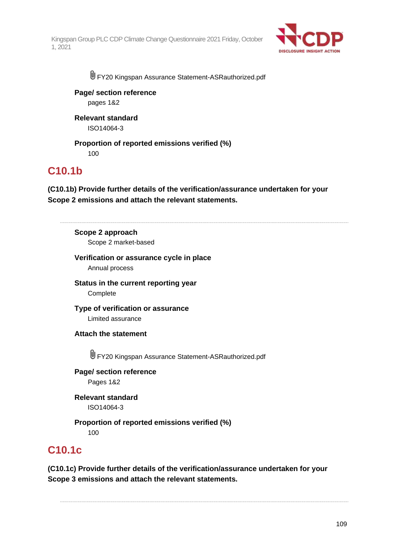

FY20 Kingspan Assurance Statement-ASRauthorized.pdf

**Page/ section reference** pages 1&2

**Relevant standard** ISO14064-3

**Proportion of reported emissions verified (%)** 100

### **C10.1b**

**(C10.1b) Provide further details of the verification/assurance undertaken for your Scope 2 emissions and attach the relevant statements.**

**Scope 2 approach** Scope 2 market-based

**Verification or assurance cycle in place**

Annual process

**Status in the current reporting year Complete** 

**Type of verification or assurance** Limited assurance

**Attach the statement**

U FY20 Kingspan Assurance Statement-ASRauthorized.pdf

**Page/ section reference** Pages 1&2

**Relevant standard** ISO14064-3

**Proportion of reported emissions verified (%)** 100

### **C10.1c**

**(C10.1c) Provide further details of the verification/assurance undertaken for your Scope 3 emissions and attach the relevant statements.**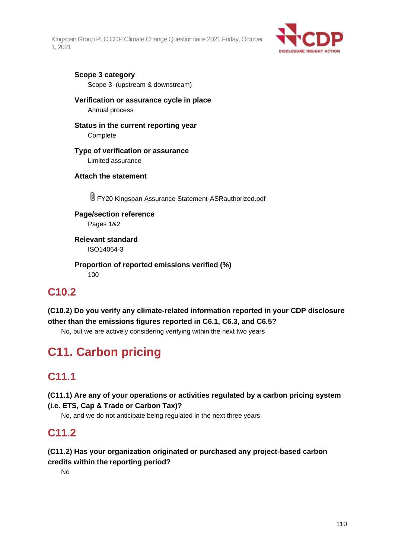

### **Scope 3 category**

Scope 3 (upstream & downstream)

### **Verification or assurance cycle in place**

Annual process

### **Status in the current reporting year**

**Complete** 

### **Type of verification or assurance**

Limited assurance

### **Attach the statement**

FY20 Kingspan Assurance Statement-ASRauthorized.pdf

**Page/section reference** Pages 1&2

**Relevant standard** ISO14064-3

**Proportion of reported emissions verified (%)** 100

### **C10.2**

**(C10.2) Do you verify any climate-related information reported in your CDP disclosure other than the emissions figures reported in C6.1, C6.3, and C6.5?**

No, but we are actively considering verifying within the next two years

# **C11. Carbon pricing**

# **C11.1**

**(C11.1) Are any of your operations or activities regulated by a carbon pricing system (i.e. ETS, Cap & Trade or Carbon Tax)?**

No, and we do not anticipate being regulated in the next three years

### **C11.2**

### **(C11.2) Has your organization originated or purchased any project-based carbon credits within the reporting period?**

No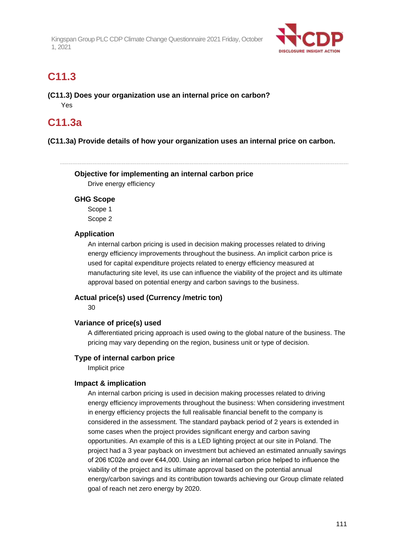

### **C11.3**

**(C11.3) Does your organization use an internal price on carbon?** Yes

### **C11.3a**

### **(C11.3a) Provide details of how your organization uses an internal price on carbon.**

**Objective for implementing an internal carbon price** Drive energy efficiency

### **GHG Scope**

Scope 1 Scope 2

### **Application**

An internal carbon pricing is used in decision making processes related to driving energy efficiency improvements throughout the business. An implicit carbon price is used for capital expenditure projects related to energy efficiency measured at manufacturing site level, its use can influence the viability of the project and its ultimate approval based on potential energy and carbon savings to the business.

### **Actual price(s) used (Currency /metric ton)**

30

### **Variance of price(s) used**

A differentiated pricing approach is used owing to the global nature of the business. The pricing may vary depending on the region, business unit or type of decision.

### **Type of internal carbon price**

Implicit price

### **Impact & implication**

An internal carbon pricing is used in decision making processes related to driving energy efficiency improvements throughout the business: When considering investment in energy efficiency projects the full realisable financial benefit to the company is considered in the assessment. The standard payback period of 2 years is extended in some cases when the project provides significant energy and carbon saving opportunities. An example of this is a LED lighting project at our site in Poland. The project had a 3 year payback on investment but achieved an estimated annually savings of 206 tC02e and over €44,000. Using an internal carbon price helped to influence the viability of the project and its ultimate approval based on the potential annual energy/carbon savings and its contribution towards achieving our Group climate related goal of reach net zero energy by 2020.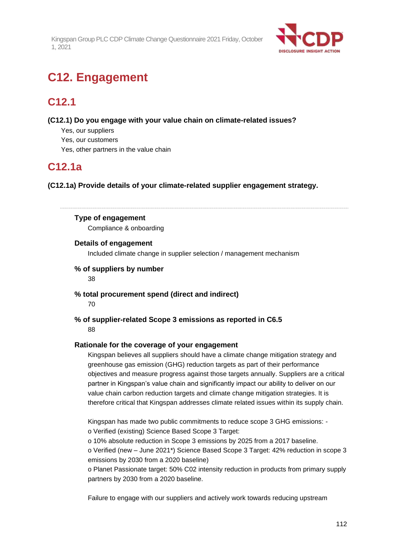

# **C12. Engagement**

## **C12.1**

**(C12.1) Do you engage with your value chain on climate-related issues?**

- Yes, our suppliers
- Yes, our customers
- Yes, other partners in the value chain

### **C12.1a**

**(C12.1a) Provide details of your climate-related supplier engagement strategy.**

### **Type of engagement**

Compliance & onboarding

### **Details of engagement**

Included climate change in supplier selection / management mechanism

### **% of suppliers by number**

38

**% total procurement spend (direct and indirect)**

70

**% of supplier-related Scope 3 emissions as reported in C6.5** 88

### **Rationale for the coverage of your engagement**

Kingspan believes all suppliers should have a climate change mitigation strategy and greenhouse gas emission (GHG) reduction targets as part of their performance objectives and measure progress against those targets annually. Suppliers are a critical partner in Kingspan's value chain and significantly impact our ability to deliver on our value chain carbon reduction targets and climate change mitigation strategies. It is therefore critical that Kingspan addresses climate related issues within its supply chain.

Kingspan has made two public commitments to reduce scope 3 GHG emissions: o Verified (existing) Science Based Scope 3 Target:

o 10% absolute reduction in Scope 3 emissions by 2025 from a 2017 baseline.

o Verified (new – June 2021\*) Science Based Scope 3 Target: 42% reduction in scope 3 emissions by 2030 from a 2020 baseline)

o Planet Passionate target: 50% C02 intensity reduction in products from primary supply partners by 2030 from a 2020 baseline.

Failure to engage with our suppliers and actively work towards reducing upstream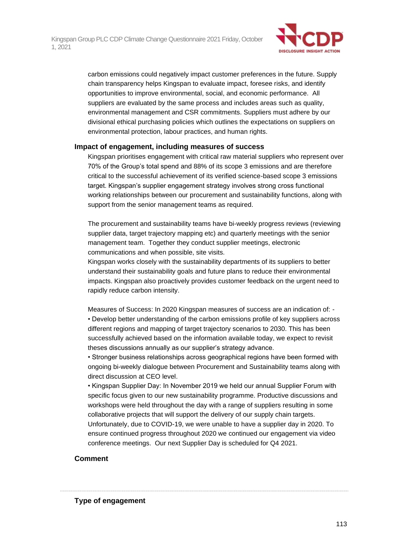

carbon emissions could negatively impact customer preferences in the future. Supply chain transparency helps Kingspan to evaluate impact, foresee risks, and identify opportunities to improve environmental, social, and economic performance. All suppliers are evaluated by the same process and includes areas such as quality, environmental management and CSR commitments. Suppliers must adhere by our divisional ethical purchasing policies which outlines the expectations on suppliers on environmental protection, labour practices, and human rights.

### **Impact of engagement, including measures of success**

Kingspan prioritises engagement with critical raw material suppliers who represent over 70% of the Group's total spend and 88% of its scope 3 emissions and are therefore critical to the successful achievement of its verified science-based scope 3 emissions target. Kingspan's supplier engagement strategy involves strong cross functional working relationships between our procurement and sustainability functions, along with support from the senior management teams as required.

The procurement and sustainability teams have bi-weekly progress reviews (reviewing supplier data, target trajectory mapping etc) and quarterly meetings with the senior management team. Together they conduct supplier meetings, electronic communications and when possible, site visits.

Kingspan works closely with the sustainability departments of its suppliers to better understand their sustainability goals and future plans to reduce their environmental impacts. Kingspan also proactively provides customer feedback on the urgent need to rapidly reduce carbon intensity.

Measures of Success: In 2020 Kingspan measures of success are an indication of: - • Develop better understanding of the carbon emissions profile of key suppliers across different regions and mapping of target trajectory scenarios to 2030. This has been successfully achieved based on the information available today, we expect to revisit theses discussions annually as our supplier's strategy advance.

• Stronger business relationships across geographical regions have been formed with ongoing bi-weekly dialogue between Procurement and Sustainability teams along with direct discussion at CEO level.

• Kingspan Supplier Day: In November 2019 we held our annual Supplier Forum with specific focus given to our new sustainability programme. Productive discussions and workshops were held throughout the day with a range of suppliers resulting in some collaborative projects that will support the delivery of our supply chain targets.

Unfortunately, due to COVID-19, we were unable to have a supplier day in 2020. To ensure continued progress throughout 2020 we continued our engagement via video conference meetings. Our next Supplier Day is scheduled for Q4 2021.

### **Comment**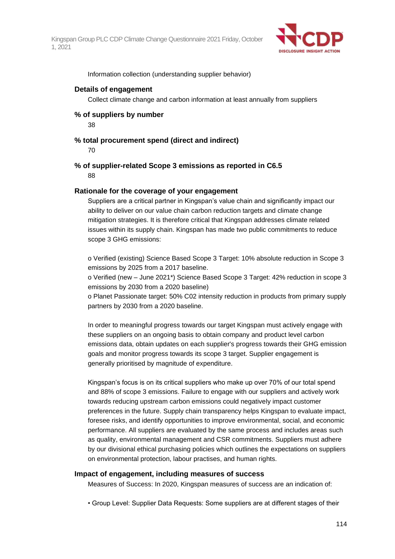

Information collection (understanding supplier behavior)

### **Details of engagement**

Collect climate change and carbon information at least annually from suppliers

### **% of suppliers by number**

38

### **% total procurement spend (direct and indirect)**

70

### **% of supplier-related Scope 3 emissions as reported in C6.5** 88

### **Rationale for the coverage of your engagement**

Suppliers are a critical partner in Kingspan's value chain and significantly impact our ability to deliver on our value chain carbon reduction targets and climate change mitigation strategies. It is therefore critical that Kingspan addresses climate related issues within its supply chain. Kingspan has made two public commitments to reduce scope 3 GHG emissions:

o Verified (existing) Science Based Scope 3 Target: 10% absolute reduction in Scope 3 emissions by 2025 from a 2017 baseline.

o Verified (new – June 2021\*) Science Based Scope 3 Target: 42% reduction in scope 3 emissions by 2030 from a 2020 baseline)

o Planet Passionate target: 50% C02 intensity reduction in products from primary supply partners by 2030 from a 2020 baseline.

In order to meaningful progress towards our target Kingspan must actively engage with these suppliers on an ongoing basis to obtain company and product level carbon emissions data, obtain updates on each supplier's progress towards their GHG emission goals and monitor progress towards its scope 3 target. Supplier engagement is generally prioritised by magnitude of expenditure.

Kingspan's focus is on its critical suppliers who make up over 70% of our total spend and 88% of scope 3 emissions. Failure to engage with our suppliers and actively work towards reducing upstream carbon emissions could negatively impact customer preferences in the future. Supply chain transparency helps Kingspan to evaluate impact, foresee risks, and identify opportunities to improve environmental, social, and economic performance. All suppliers are evaluated by the same process and includes areas such as quality, environmental management and CSR commitments. Suppliers must adhere by our divisional ethical purchasing policies which outlines the expectations on suppliers on environmental protection, labour practises, and human rights.

### **Impact of engagement, including measures of success**

Measures of Success: In 2020, Kingspan measures of success are an indication of:

• Group Level: Supplier Data Requests: Some suppliers are at different stages of their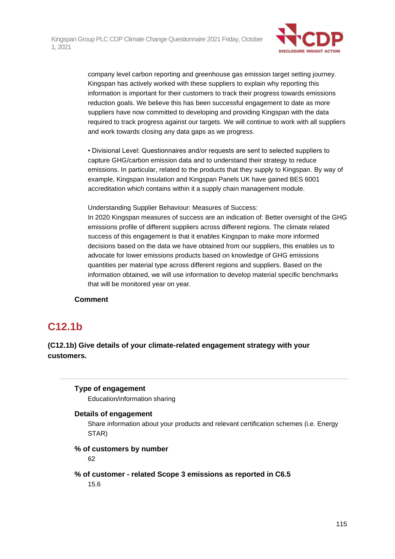

company level carbon reporting and greenhouse gas emission target setting journey. Kingspan has actively worked with these suppliers to explain why reporting this information is important for their customers to track their progress towards emissions reduction goals. We believe this has been successful engagement to date as more suppliers have now committed to developing and providing Kingspan with the data required to track progress against our targets. We will continue to work with all suppliers and work towards closing any data gaps as we progress.

• Divisional Level: Questionnaires and/or requests are sent to selected suppliers to capture GHG/carbon emission data and to understand their strategy to reduce emissions. In particular, related to the products that they supply to Kingspan. By way of example, Kingspan Insulation and Kingspan Panels UK have gained BES 6001 accreditation which contains within it a supply chain management module.

Understanding Supplier Behaviour: Measures of Success:

In 2020 Kingspan measures of success are an indication of: Better oversight of the GHG emissions profile of different suppliers across different regions. The climate related success of this engagement is that it enables Kingspan to make more informed decisions based on the data we have obtained from our suppliers, this enables us to advocate for lower emissions products based on knowledge of GHG emissions quantities per material type across different regions and suppliers. Based on the information obtained, we will use information to develop material specific benchmarks that will be monitored year on year.

### **Comment**

### **C12.1b**

### **(C12.1b) Give details of your climate-related engagement strategy with your customers.**

### **Type of engagement**

Education/information sharing

### **Details of engagement**

Share information about your products and relevant certification schemes (i.e. Energy STAR)

### **% of customers by number**

62

### **% of customer - related Scope 3 emissions as reported in C6.5**

15.6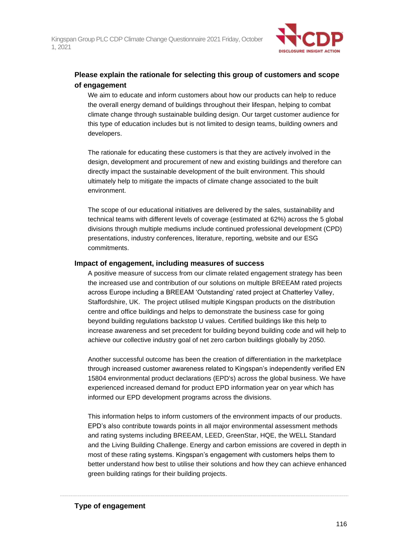

### **Please explain the rationale for selecting this group of customers and scope of engagement**

We aim to educate and inform customers about how our products can help to reduce the overall energy demand of buildings throughout their lifespan, helping to combat climate change through sustainable building design. Our target customer audience for this type of education includes but is not limited to design teams, building owners and developers.

The rationale for educating these customers is that they are actively involved in the design, development and procurement of new and existing buildings and therefore can directly impact the sustainable development of the built environment. This should ultimately help to mitigate the impacts of climate change associated to the built environment.

The scope of our educational initiatives are delivered by the sales, sustainability and technical teams with different levels of coverage (estimated at 62%) across the 5 global divisions through multiple mediums include continued professional development (CPD) presentations, industry conferences, literature, reporting, website and our ESG commitments.

### **Impact of engagement, including measures of success**

A positive measure of success from our climate related engagement strategy has been the increased use and contribution of our solutions on multiple BREEAM rated projects across Europe including a BREEAM 'Outstanding' rated project at Chatterley Valley, Staffordshire, UK. The project utilised multiple Kingspan products on the distribution centre and office buildings and helps to demonstrate the business case for going beyond building regulations backstop U values. Certified buildings like this help to increase awareness and set precedent for building beyond building code and will help to achieve our collective industry goal of net zero carbon buildings globally by 2050.

Another successful outcome has been the creation of differentiation in the marketplace through increased customer awareness related to Kingspan's independently verified EN 15804 environmental product declarations (EPD's) across the global business. We have experienced increased demand for product EPD information year on year which has informed our EPD development programs across the divisions.

This information helps to inform customers of the environment impacts of our products. EPD's also contribute towards points in all major environmental assessment methods and rating systems including BREEAM, LEED, GreenStar, HQE, the WELL Standard and the Living Building Challenge. Energy and carbon emissions are covered in depth in most of these rating systems. Kingspan's engagement with customers helps them to better understand how best to utilise their solutions and how they can achieve enhanced green building ratings for their building projects.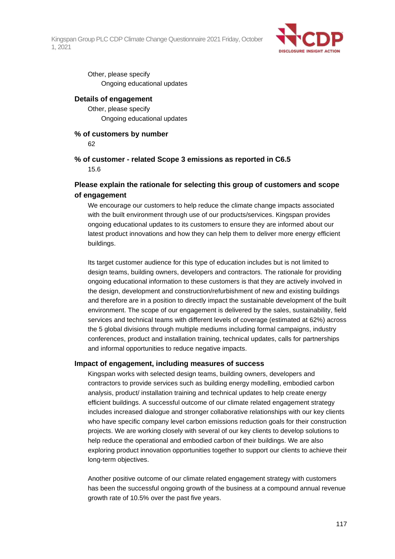

Other, please specify Ongoing educational updates

### **Details of engagement**

Other, please specify Ongoing educational updates

### **% of customers by number**

62

### **% of customer - related Scope 3 emissions as reported in C6.5** 15.6

### **Please explain the rationale for selecting this group of customers and scope of engagement**

We encourage our customers to help reduce the climate change impacts associated with the built environment through use of our products/services. Kingspan provides ongoing educational updates to its customers to ensure they are informed about our latest product innovations and how they can help them to deliver more energy efficient buildings.

Its target customer audience for this type of education includes but is not limited to design teams, building owners, developers and contractors. The rationale for providing ongoing educational information to these customers is that they are actively involved in the design, development and construction/refurbishment of new and existing buildings and therefore are in a position to directly impact the sustainable development of the built environment. The scope of our engagement is delivered by the sales, sustainability, field services and technical teams with different levels of coverage (estimated at 62%) across the 5 global divisions through multiple mediums including formal campaigns, industry conferences, product and installation training, technical updates, calls for partnerships and informal opportunities to reduce negative impacts.

### **Impact of engagement, including measures of success**

Kingspan works with selected design teams, building owners, developers and contractors to provide services such as building energy modelling, embodied carbon analysis, product/ installation training and technical updates to help create energy efficient buildings. A successful outcome of our climate related engagement strategy includes increased dialogue and stronger collaborative relationships with our key clients who have specific company level carbon emissions reduction goals for their construction projects. We are working closely with several of our key clients to develop solutions to help reduce the operational and embodied carbon of their buildings. We are also exploring product innovation opportunities together to support our clients to achieve their long-term objectives.

Another positive outcome of our climate related engagement strategy with customers has been the successful ongoing growth of the business at a compound annual revenue growth rate of 10.5% over the past five years.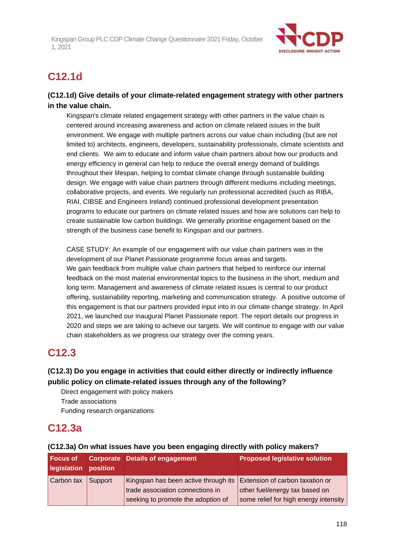

# **C12.1d**

### **(C12.1d) Give details of your climate-related engagement strategy with other partners in the value chain.**

Kingspan's climate related engagement strategy with other partners in the value chain is centered around increasing awareness and action on climate related issues in the built environment. We engage with multiple partners across our value chain including (but are not limited to) architects, engineers, developers, sustainability professionals, climate scientists and end clients. We aim to educate and inform value chain partners about how our products and energy efficiency in general can help to reduce the overall energy demand of buildings throughout their lifespan, helping to combat climate change through sustainable building design. We engage with value chain partners through different mediums including meetings, collaborative projects, and events. We regularly run professional accredited (such as RIBA, RIAI, CIBSE and Engineers Ireland) continued professional development presentation programs to educate our partners on climate related issues and how are solutions can help to create sustainable low carbon buildings. We generally prioritise engagement based on the strength of the business case benefit to Kingspan and our partners.

CASE STUDY: An example of our engagement with our value chain partners was in the development of our Planet Passionate programme focus areas and targets. We gain feedback from multiple value chain partners that helped to reinforce our internal feedback on the most material environmental topics to the business in the short, medium and long term. Management and awareness of climate related issues is central to our product offering, sustainability reporting, marketing and communication strategy. A positive outcome of this engagement is that our partners provided input into in our climate change strategy. In April 2021, we launched our inaugural Planet Passionate report. The report details our progress in 2020 and steps we are taking to achieve our targets. We will continue to engage with our value chain stakeholders as we progress our strategy over the coming years.

# **C12.3**

### **(C12.3) Do you engage in activities that could either directly or indirectly influence public policy on climate-related issues through any of the following?**

Direct engagement with policy makers

Trade associations

Funding research organizations

# **C12.3a**

| <b>Focus of</b><br>legislation position |         | <b>Corporate Details of engagement</b>                                                                   | <b>Proposed legislative solution</b>  |
|-----------------------------------------|---------|----------------------------------------------------------------------------------------------------------|---------------------------------------|
| Carbon tax                              | Support | Kingspan has been active through its Extension of carbon taxation or<br>trade association connections in | other fuel/energy tax based on        |
|                                         |         | seeking to promote the adoption of                                                                       | some relief for high energy intensity |

### **(C12.3a) On what issues have you been engaging directly with policy makers?**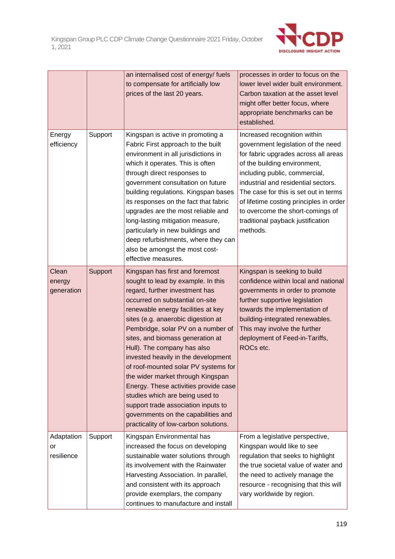

|                                |         | an internalised cost of energy/fuels<br>to compensate for artificially low<br>prices of the last 20 years.                                                                                                                                                                                                                                                                                                                                                                                                                                                                                                                                             | processes in order to focus on the<br>lower level wider built environment.<br>Carbon taxation at the asset level<br>might offer better focus, where<br>appropriate benchmarks can be<br>established.                                                                                                                                                                                        |
|--------------------------------|---------|--------------------------------------------------------------------------------------------------------------------------------------------------------------------------------------------------------------------------------------------------------------------------------------------------------------------------------------------------------------------------------------------------------------------------------------------------------------------------------------------------------------------------------------------------------------------------------------------------------------------------------------------------------|---------------------------------------------------------------------------------------------------------------------------------------------------------------------------------------------------------------------------------------------------------------------------------------------------------------------------------------------------------------------------------------------|
| Energy<br>efficiency           | Support | Kingspan is active in promoting a<br>Fabric First approach to the built<br>environment in all jurisdictions in<br>which it operates. This is often<br>through direct responses to<br>government consultation on future<br>building regulations. Kingspan bases<br>its responses on the fact that fabric<br>upgrades are the most reliable and<br>long-lasting mitigation measure,<br>particularly in new buildings and<br>deep refurbishments, where they can<br>also be amongst the most cost-<br>effective measures.                                                                                                                                 | Increased recognition within<br>government legislation of the need<br>for fabric upgrades across all areas<br>of the building environment,<br>including public, commercial,<br>industrial and residential sectors.<br>The case for this is set out in terms<br>of lifetime costing principles in order<br>to overcome the short-comings of<br>traditional payback justification<br>methods. |
| Clean<br>energy<br>generation  | Support | Kingspan has first and foremost<br>sought to lead by example. In this<br>regard, further investment has<br>occurred on substantial on-site<br>renewable energy facilities at key<br>sites (e.g. anaerobic digestion at<br>Pembridge, solar PV on a number of<br>sites, and biomass generation at<br>Hull). The company has also<br>invested heavily in the development<br>of roof-mounted solar PV systems for<br>the wider market through Kingspan<br>Energy. These activities provide case<br>studies which are being used to<br>support trade association inputs to<br>governments on the capabilities and<br>practicality of low-carbon solutions. | Kingspan is seeking to build<br>confidence within local and national<br>governments in order to promote<br>further supportive legislation<br>towards the implementation of<br>building-integrated renewables.<br>This may involve the further<br>deployment of Feed-in-Tariffs,<br>ROCs etc.                                                                                                |
| Adaptation<br>or<br>resilience | Support | Kingspan Environmental has<br>increased the focus on developing<br>sustainable water solutions through<br>its involvement with the Rainwater<br>Harvesting Association. In parallel,<br>and consistent with its approach<br>provide exemplars, the company<br>continues to manufacture and install                                                                                                                                                                                                                                                                                                                                                     | From a legislative perspective,<br>Kingspan would like to see<br>regulation that seeks to highlight<br>the true societal value of water and<br>the need to actively manage the<br>resource - recognising that this will<br>vary worldwide by region.                                                                                                                                        |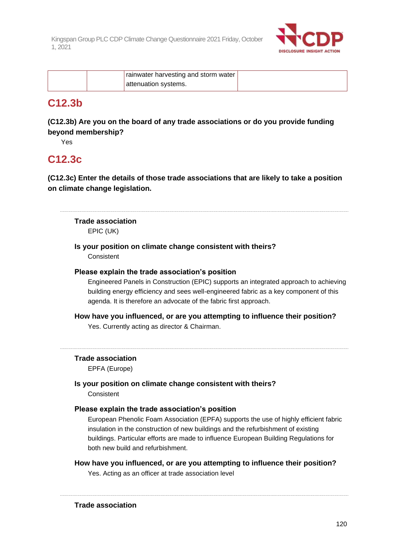

| rainwater harvesting and storm water |  |
|--------------------------------------|--|
| attenuation systems.                 |  |

### **C12.3b**

**(C12.3b) Are you on the board of any trade associations or do you provide funding beyond membership?**

Yes

### **C12.3c**

**(C12.3c) Enter the details of those trade associations that are likely to take a position on climate change legislation.**

# **Trade association**

EPIC (UK)

# **Is your position on climate change consistent with theirs?**

**Consistent** 

### **Please explain the trade association's position**

Engineered Panels in Construction (EPIC) supports an integrated approach to achieving building energy efficiency and sees well-engineered fabric as a key component of this agenda. It is therefore an advocate of the fabric first approach.

**How have you influenced, or are you attempting to influence their position?**

Yes. Currently acting as director & Chairman.

### **Trade association**

EPFA (Europe)

**Is your position on climate change consistent with theirs?**

**Consistent** 

### **Please explain the trade association's position**

European Phenolic Foam Association (EPFA) supports the use of highly efficient fabric insulation in the construction of new buildings and the refurbishment of existing buildings. Particular efforts are made to influence European Building Regulations for both new build and refurbishment.

**How have you influenced, or are you attempting to influence their position?** Yes. Acting as an officer at trade association level

**Trade association**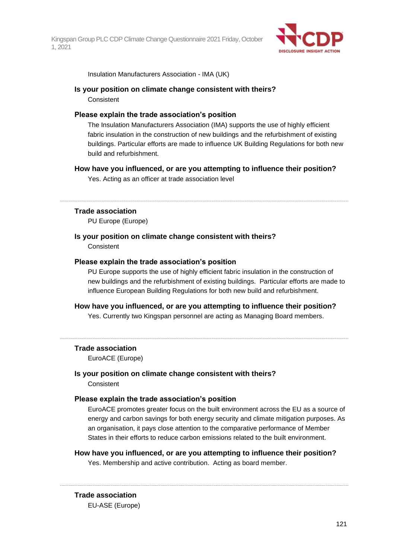

Insulation Manufacturers Association - IMA (UK)

### **Is your position on climate change consistent with theirs?** Consistent

### **Please explain the trade association's position**

The Insulation Manufacturers Association (IMA) supports the use of highly efficient fabric insulation in the construction of new buildings and the refurbishment of existing buildings. Particular efforts are made to influence UK Building Regulations for both new build and refurbishment.

### **How have you influenced, or are you attempting to influence their position?**

Yes. Acting as an officer at trade association level

### **Trade association**

PU Europe (Europe)

### **Is your position on climate change consistent with theirs?** Consistent

### **Please explain the trade association's position**

PU Europe supports the use of highly efficient fabric insulation in the construction of new buildings and the refurbishment of existing buildings. Particular efforts are made to influence European Building Regulations for both new build and refurbishment.

### **How have you influenced, or are you attempting to influence their position?**

Yes. Currently two Kingspan personnel are acting as Managing Board members.

#### **Trade association**

EuroACE (Europe)

### **Is your position on climate change consistent with theirs?**

**Consistent** 

### **Please explain the trade association's position**

EuroACE promotes greater focus on the built environment across the EU as a source of energy and carbon savings for both energy security and climate mitigation purposes. As an organisation, it pays close attention to the comparative performance of Member States in their efforts to reduce carbon emissions related to the built environment.

### **How have you influenced, or are you attempting to influence their position?**

Yes. Membership and active contribution. Acting as board member.

# **Trade association**

EU-ASE (Europe)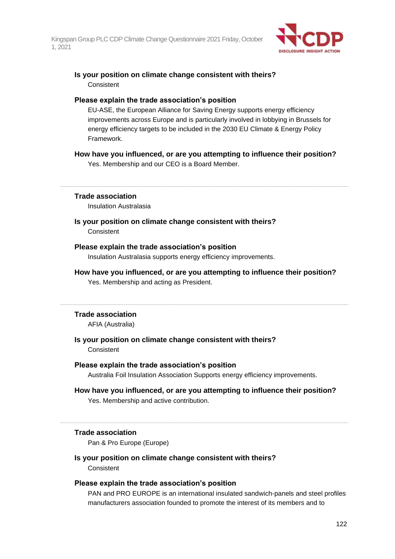

### **Is your position on climate change consistent with theirs? Consistent**

### **Please explain the trade association's position**

EU-ASE, the European Alliance for Saving Energy supports energy efficiency improvements across Europe and is particularly involved in lobbying in Brussels for energy efficiency targets to be included in the 2030 EU Climate & Energy Policy Framework.

### **How have you influenced, or are you attempting to influence their position?**

Yes. Membership and our CEO is a Board Member.

### **Trade association**

Insulation Australasia

### **Is your position on climate change consistent with theirs?**

Consistent

### **Please explain the trade association's position**

Insulation Australasia supports energy efficiency improvements.

### **How have you influenced, or are you attempting to influence their position?**

Yes. Membership and acting as President.

#### **Trade association**

AFIA (Australia)

### **Is your position on climate change consistent with theirs? Consistent**

#### **Please explain the trade association's position**

Australia Foil Insulation Association Supports energy efficiency improvements.

### **How have you influenced, or are you attempting to influence their position?** Yes. Membership and active contribution.

### **Trade association**

Pan & Pro Europe (Europe)

### **Is your position on climate change consistent with theirs?**

**Consistent** 

### **Please explain the trade association's position**

PAN and PRO EUROPE is an international insulated sandwich-panels and steel profiles manufacturers association founded to promote the interest of its members and to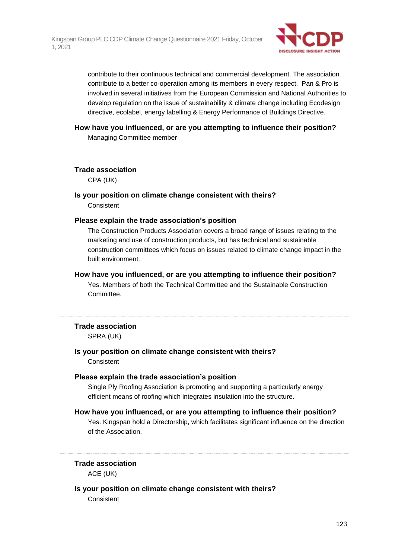

contribute to their continuous technical and commercial development. The association contribute to a better co-operation among its members in every respect. Pan & Pro is involved in several initiatives from the European Commission and National Authorities to develop regulation on the issue of sustainability & climate change including Ecodesign directive, ecolabel, energy labelling & Energy Performance of Buildings Directive.

### **How have you influenced, or are you attempting to influence their position?** Managing Committee member

**Trade association**

CPA (UK)

### **Is your position on climate change consistent with theirs? Consistent**

### **Please explain the trade association's position**

The Construction Products Association covers a broad range of issues relating to the marketing and use of construction products, but has technical and sustainable construction committees which focus on issues related to climate change impact in the built environment.

### **How have you influenced, or are you attempting to influence their position?**

Yes. Members of both the Technical Committee and the Sustainable Construction Committee.

#### **Trade association**

SPRA (UK)

### **Is your position on climate change consistent with theirs?** Consistent

### **Please explain the trade association's position**

Single Ply Roofing Association is promoting and supporting a particularly energy efficient means of roofing which integrates insulation into the structure.

### **How have you influenced, or are you attempting to influence their position?**

Yes. Kingspan hold a Directorship, which facilitates significant influence on the direction of the Association.

### **Trade association**

ACE (UK)

### **Is your position on climate change consistent with theirs?**

**Consistent**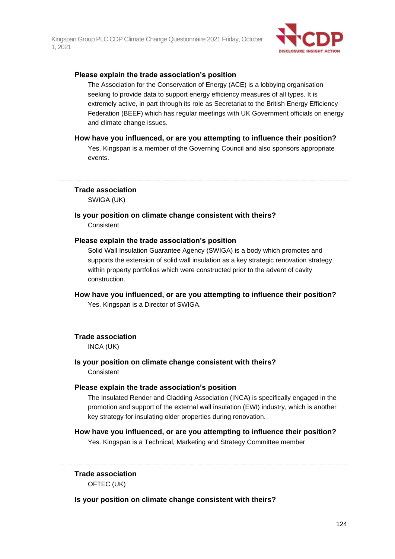

### **Please explain the trade association's position**

The Association for the Conservation of Energy (ACE) is a lobbying organisation seeking to provide data to support energy efficiency measures of all types. It is extremely active, in part through its role as Secretariat to the British Energy Efficiency Federation (BEEF) which has regular meetings with UK Government officials on energy and climate change issues.

### **How have you influenced, or are you attempting to influence their position?**

Yes. Kingspan is a member of the Governing Council and also sponsors appropriate events.

**Trade association**

SWIGA (UK)

**Is your position on climate change consistent with theirs?** Consistent

### **Please explain the trade association's position**

Solid Wall Insulation Guarantee Agency (SWIGA) is a body which promotes and supports the extension of solid wall insulation as a key strategic renovation strategy within property portfolios which were constructed prior to the advent of cavity construction.

**How have you influenced, or are you attempting to influence their position?** Yes. Kingspan is a Director of SWIGA.

### **Trade association**

INCA (UK)

### **Is your position on climate change consistent with theirs?** Consistent

### **Please explain the trade association's position**

The Insulated Render and Cladding Association (INCA) is specifically engaged in the promotion and support of the external wall insulation (EWI) industry, which is another key strategy for insulating older properties during renovation.

### **How have you influenced, or are you attempting to influence their position?**

Yes. Kingspan is a Technical, Marketing and Strategy Committee member

### **Trade association**

OFTEC (UK)

### **Is your position on climate change consistent with theirs?**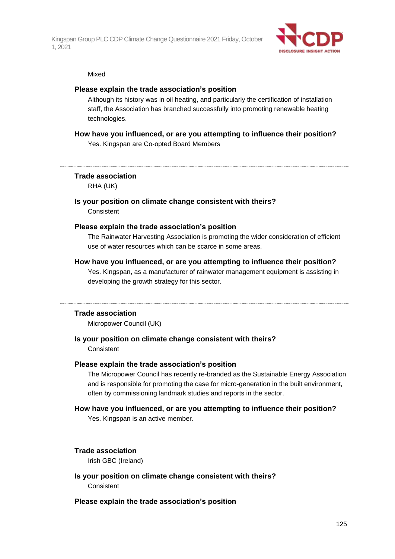

#### Mixed

### **Please explain the trade association's position**

Although its history was in oil heating, and particularly the certification of installation staff, the Association has branched successfully into promoting renewable heating technologies.

### **How have you influenced, or are you attempting to influence their position?**

Yes. Kingspan are Co-opted Board Members

### **Trade association**

RHA (UK)

### **Is your position on climate change consistent with theirs? Consistent**

### **Please explain the trade association's position**

The Rainwater Harvesting Association is promoting the wider consideration of efficient use of water resources which can be scarce in some areas.

### **How have you influenced, or are you attempting to influence their position?**

Yes. Kingspan, as a manufacturer of rainwater management equipment is assisting in developing the growth strategy for this sector.

#### **Trade association**

Micropower Council (UK)

### **Is your position on climate change consistent with theirs? Consistent**

#### **Please explain the trade association's position**

The Micropower Council has recently re-branded as the Sustainable Energy Association and is responsible for promoting the case for micro-generation in the built environment, often by commissioning landmark studies and reports in the sector.

### **How have you influenced, or are you attempting to influence their position?**

Yes. Kingspan is an active member.

### **Trade association**

Irish GBC (Ireland)

**Is your position on climate change consistent with theirs?** Consistent

### **Please explain the trade association's position**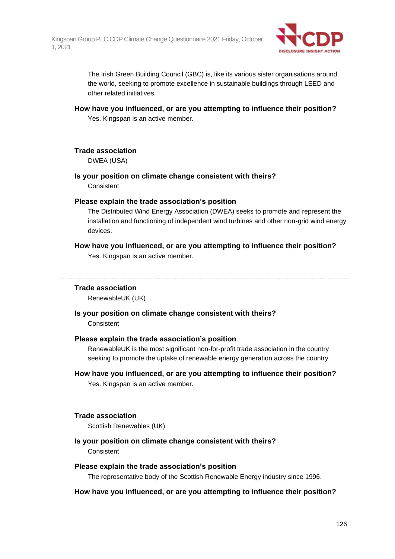

The Irish Green Building Council (GBC) is, like its various sister organisations around the world, seeking to promote excellence in sustainable buildings through LEED and other related initiatives.

**How have you influenced, or are you attempting to influence their position?** Yes. Kingspan is an active member.

### **Trade association**

DWEA (USA)

**Is your position on climate change consistent with theirs? Consistent** 

### **Please explain the trade association's position**

The Distributed Wind Energy Association (DWEA) seeks to promote and represent the installation and functioning of independent wind turbines and other non-grid wind energy devices.

### **How have you influenced, or are you attempting to influence their position?** Yes. Kingspan is an active member.

### **Trade association**

RenewableUK (UK)

### **Is your position on climate change consistent with theirs? Consistent**

### **Please explain the trade association's position**

RenewableUK is the most significant non-for-profit trade association in the country seeking to promote the uptake of renewable energy generation across the country.

### **How have you influenced, or are you attempting to influence their position?**

Yes. Kingspan is an active member.

### **Trade association**

Scottish Renewables (UK)

### **Is your position on climate change consistent with theirs? Consistent**

### **Please explain the trade association's position**

The representative body of the Scottish Renewable Energy industry since 1996.

### **How have you influenced, or are you attempting to influence their position?**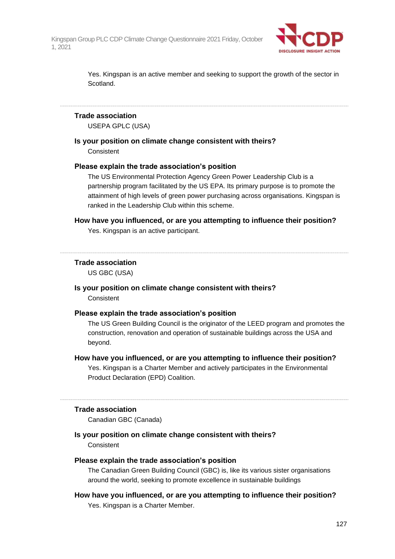

Yes. Kingspan is an active member and seeking to support the growth of the sector in Scotland.

### **Trade association**

USEPA GPLC (USA)

### **Is your position on climate change consistent with theirs?**

**Consistent** 

### **Please explain the trade association's position**

The US Environmental Protection Agency Green Power Leadership Club is a partnership program facilitated by the US EPA. Its primary purpose is to promote the attainment of high levels of green power purchasing across organisations. Kingspan is ranked in the Leadership Club within this scheme.

### **How have you influenced, or are you attempting to influence their position?**

Yes. Kingspan is an active participant.

### **Trade association**

US GBC (USA)

### **Is your position on climate change consistent with theirs? Consistent**

#### **Please explain the trade association's position**

The US Green Building Council is the originator of the LEED program and promotes the construction, renovation and operation of sustainable buildings across the USA and beyond.

### **How have you influenced, or are you attempting to influence their position?**

Yes. Kingspan is a Charter Member and actively participates in the Environmental Product Declaration (EPD) Coalition.

#### **Trade association**

Canadian GBC (Canada)

### **Is your position on climate change consistent with theirs? Consistent**

### **Please explain the trade association's position**

The Canadian Green Building Council (GBC) is, like its various sister organisations around the world, seeking to promote excellence in sustainable buildings

### **How have you influenced, or are you attempting to influence their position?** Yes. Kingspan is a Charter Member.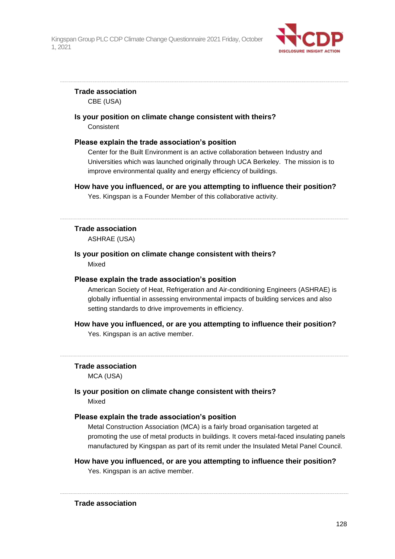

### **Trade association**

CBE (USA)

**Is your position on climate change consistent with theirs? Consistent** 

### **Please explain the trade association's position**

Center for the Built Environment is an active collaboration between Industry and Universities which was launched originally through UCA Berkeley. The mission is to improve environmental quality and energy efficiency of buildings.

### **How have you influenced, or are you attempting to influence their position?**

Yes. Kingspan is a Founder Member of this collaborative activity.

### **Trade association**

ASHRAE (USA)

### **Is your position on climate change consistent with theirs?** Mixed

### **Please explain the trade association's position**

American Society of Heat, Refrigeration and Air-conditioning Engineers (ASHRAE) is globally influential in assessing environmental impacts of building services and also setting standards to drive improvements in efficiency.

### **How have you influenced, or are you attempting to influence their position?**

Yes. Kingspan is an active member.

### **Trade association**

MCA (USA)

### **Is your position on climate change consistent with theirs?** Mixed

### **Please explain the trade association's position**

Metal Construction Association (MCA) is a fairly broad organisation targeted at promoting the use of metal products in buildings. It covers metal-faced insulating panels manufactured by Kingspan as part of its remit under the Insulated Metal Panel Council.

### **How have you influenced, or are you attempting to influence their position?** Yes. Kingspan is an active member.

**Trade association**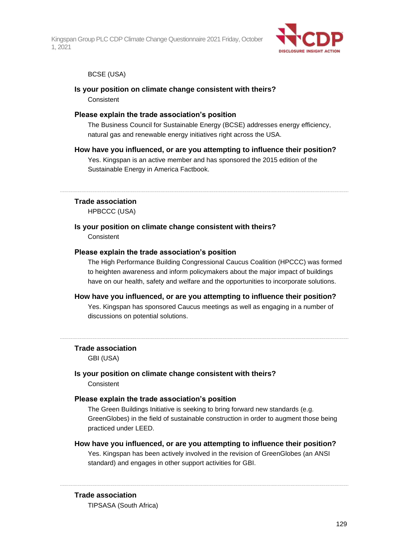

### BCSE (USA)

### **Is your position on climate change consistent with theirs? Consistent**

### **Please explain the trade association's position**

The Business Council for Sustainable Energy (BCSE) addresses energy efficiency, natural gas and renewable energy initiatives right across the USA.

### **How have you influenced, or are you attempting to influence their position?**

Yes. Kingspan is an active member and has sponsored the 2015 edition of the Sustainable Energy in America Factbook.

#### **Trade association**

HPBCCC (USA)

### **Is your position on climate change consistent with theirs? Consistent**

### **Please explain the trade association's position**

The High Performance Building Congressional Caucus Coalition (HPCCC) was formed to heighten awareness and inform policymakers about the major impact of buildings have on our health, safety and welfare and the opportunities to incorporate solutions.

### **How have you influenced, or are you attempting to influence their position?** Yes. Kingspan has sponsored Caucus meetings as well as engaging in a number of

discussions on potential solutions.

#### **Trade association**

GBI (USA)

# **Is your position on climate change consistent with theirs?**

**Consistent** 

### **Please explain the trade association's position**

The Green Buildings Initiative is seeking to bring forward new standards (e.g. GreenGlobes) in the field of sustainable construction in order to augment those being practiced under LEED.

#### **How have you influenced, or are you attempting to influence their position?**

Yes. Kingspan has been actively involved in the revision of GreenGlobes (an ANSI standard) and engages in other support activities for GBI.

### **Trade association**

TIPSASA (South Africa)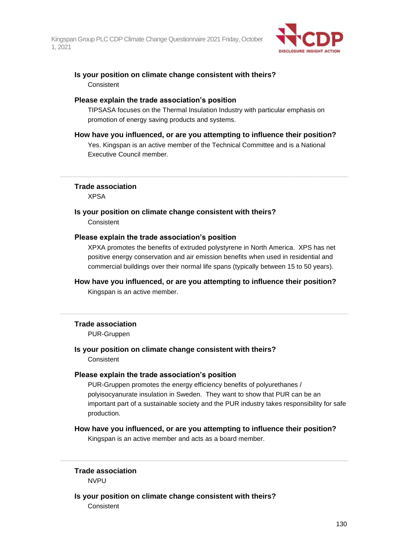

### **Is your position on climate change consistent with theirs? Consistent**

### **Please explain the trade association's position**

TIPSASA focuses on the Thermal Insulation Industry with particular emphasis on promotion of energy saving products and systems.

### **How have you influenced, or are you attempting to influence their position?**

Yes. Kingspan is an active member of the Technical Committee and is a National Executive Council member.

**Trade association**

XPSA

### **Is your position on climate change consistent with theirs?**

**Consistent** 

### **Please explain the trade association's position**

XPXA promotes the benefits of extruded polystyrene in North America. XPS has net positive energy conservation and air emission benefits when used in residential and commercial buildings over their normal life spans (typically between 15 to 50 years).

### **How have you influenced, or are you attempting to influence their position?**

Kingspan is an active member.

### **Trade association**

PUR-Gruppen

### **Is your position on climate change consistent with theirs?**

**Consistent** 

### **Please explain the trade association's position**

PUR-Gruppen promotes the energy efficiency benefits of polyurethanes / polyisocyanurate insulation in Sweden. They want to show that PUR can be an important part of a sustainable society and the PUR industry takes responsibility for safe production.

### **How have you influenced, or are you attempting to influence their position?**

Kingspan is an active member and acts as a board member.

**Trade association**

**NVPU** 

### **Is your position on climate change consistent with theirs?**

**Consistent**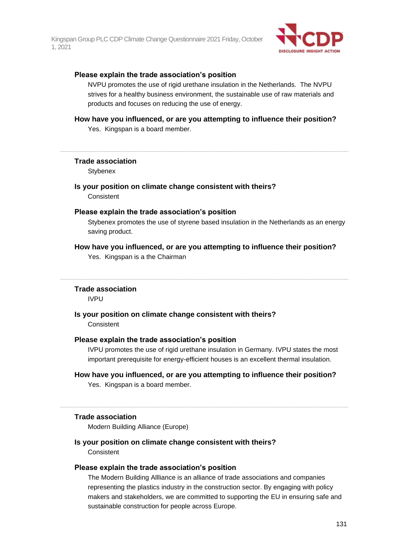

### **Please explain the trade association's position**

NVPU promotes the use of rigid urethane insulation in the Netherlands. The NVPU strives for a healthy business environment, the sustainable use of raw materials and products and focuses on reducing the use of energy.

### **How have you influenced, or are you attempting to influence their position?** Yes. Kingspan is a board member.

#### **Trade association**

**Stybenex** 

### **Is your position on climate change consistent with theirs?**

**Consistent** 

### **Please explain the trade association's position**

Stybenex promotes the use of styrene based insulation in the Netherlands as an energy saving product.

### **How have you influenced, or are you attempting to influence their position?**

Yes. Kingspan is a the Chairman

#### **Trade association**

IVPU

**Is your position on climate change consistent with theirs?**

**Consistent** 

### **Please explain the trade association's position**

IVPU promotes the use of rigid urethane insulation in Germany. IVPU states the most important prerequisite for energy-efficient houses is an excellent thermal insulation.

### **How have you influenced, or are you attempting to influence their position?**

Yes. Kingspan is a board member.

### **Trade association**

Modern Building Alliance (Europe)

### **Is your position on climate change consistent with theirs?**

**Consistent** 

#### **Please explain the trade association's position**

The Modern Building Allliance is an alliance of trade associations and companies representing the plastics industry in the construction sector. By engaging with policy makers and stakeholders, we are committed to supporting the EU in ensuring safe and sustainable construction for people across Europe.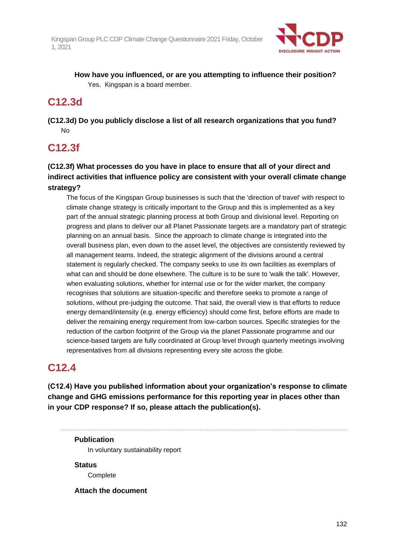

**How have you influenced, or are you attempting to influence their position?** Yes. Kingspan is a board member.

### **C12.3d**

**(C12.3d) Do you publicly disclose a list of all research organizations that you fund?** No

# **C12.3f**

### **(C12.3f) What processes do you have in place to ensure that all of your direct and indirect activities that influence policy are consistent with your overall climate change strategy?**

The focus of the Kingspan Group businesses is such that the 'direction of travel' with respect to climate change strategy is critically important to the Group and this is implemented as a key part of the annual strategic planning process at both Group and divisional level. Reporting on progress and plans to deliver our all Planet Passionate targets are a mandatory part of strategic planning on an annual basis. Since the approach to climate change is integrated into the overall business plan, even down to the asset level, the objectives are consistently reviewed by all management teams. Indeed, the strategic alignment of the divisions around a central statement is regularly checked. The company seeks to use its own facilities as exemplars of what can and should be done elsewhere. The culture is to be sure to 'walk the talk'. However, when evaluating solutions, whether for internal use or for the wider market, the company recognises that solutions are situation-specific and therefore seeks to promote a range of solutions, without pre-judging the outcome. That said, the overall view is that efforts to reduce energy demand/intensity (e.g. energy efficiency) should come first, before efforts are made to deliver the remaining energy requirement from low-carbon sources. Specific strategies for the reduction of the carbon footprint of the Group via the planet Passionate programme and our science-based targets are fully coordinated at Group level through quarterly meetings involving representatives from all divisions representing every site across the globe.

### **C12.4**

**(C12.4) Have you published information about your organization's response to climate change and GHG emissions performance for this reporting year in places other than in your CDP response? If so, please attach the publication(s).**

**Publication** In voluntary sustainability report

**Status Complete** 

**Attach the document**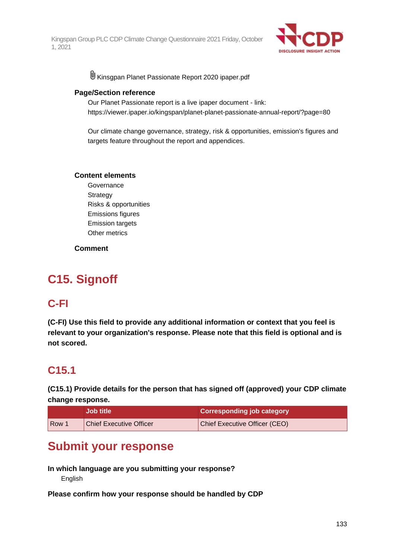

U Kinsgpan Planet Passionate Report 2020 ipaper.pdf

### **Page/Section reference**

Our Planet Passionate report is a live ipaper document - link: https://viewer.ipaper.io/kingspan/planet-planet-passionate-annual-report/?page=80

Our climate change governance, strategy, risk & opportunities, emission's figures and targets feature throughout the report and appendices.

### **Content elements**

Governance **Strategy** Risks & opportunities Emissions figures Emission targets Other metrics

### **Comment**

# **C15. Signoff**

### **C-FI**

**(C-FI) Use this field to provide any additional information or context that you feel is relevant to your organization's response. Please note that this field is optional and is not scored.**

# **C15.1**

**(C15.1) Provide details for the person that has signed off (approved) your CDP climate change response.**

|            | <b>Job title</b>               | <b>Corresponding job category</b>    |
|------------|--------------------------------|--------------------------------------|
| <b>Row</b> | <b>Chief Executive Officer</b> | <b>Chief Executive Officer (CEO)</b> |

# **Submit your response**

**In which language are you submitting your response? English** 

**Please confirm how your response should be handled by CDP**